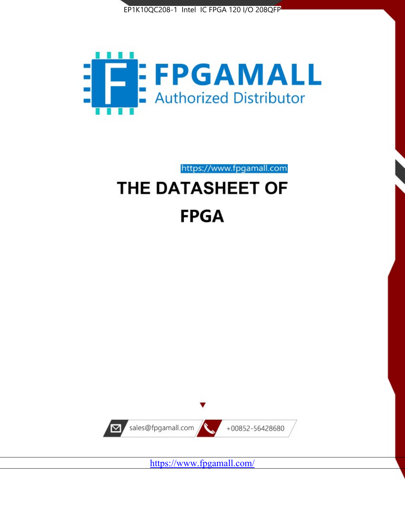



https://www.fpgamall.com

# THE DATASHEET OF **FPGA**



<https://www.fpgamall.com/>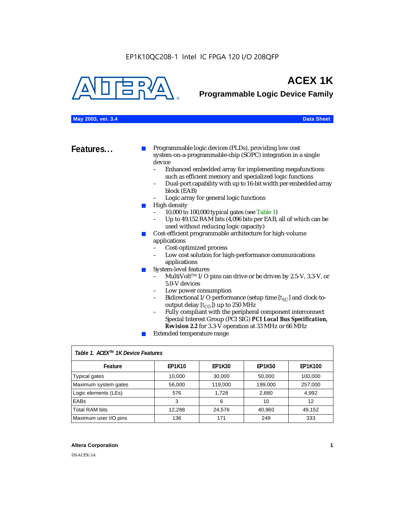

## **ACEX 1K**

**Programmable Logic Device Family**

| May 2003, ver. 3.4 | <b>Data Sheet</b> |
|--------------------|-------------------|
|--------------------|-------------------|

|  | <b>Data Sheet</b> |
|--|-------------------|
|  |                   |
|  |                   |

**Features...** ■ Programmable logic devices (PLDs), providing low cost system-on-a-programmable-chip (SOPC) integration in a single device<br>- Fr

- Enhanced embedded array for implementing megafunctions such as efficient memory and specialized logic functions
- Dual-port capability with up to 16-bit width per embedded array block (EAB)
- Logic array for general logic functions
- High density
	- 10,000 to 100,000 typical gates (see Table 1)
	- Up to 49,152 RAM bits (4,096 bits per EAB, all of which can be used without reducing logic capacity)
- Cost-efficient programmable architecture for high-volume applications
	- Cost-optimized process
	- Low cost solution for high-performance communications applications
- System-level features
	- MultiVolt<sup>™</sup> I/O pins can drive or be driven by 2.5-V, 3.3-V, or 5.0-V devices
	- Low power consumption
	- Bidirectional I/O performance (setup time [ $t_{SU}$ ] and clock-tooutput delay  $[t_{CO}]$ ) up to 250 MHz
	- Fully compliant with the peripheral component interconnect Special Interest Group (PCI SIG) *PCI Local Bus Specification, Revision 2.2* for 3.3-V operation at 33 MHz or 66 MHz
	- Extended temperature range

| Table 1. ACEX™ 1K Device Features |               |               |               |         |  |  |
|-----------------------------------|---------------|---------------|---------------|---------|--|--|
| Feature                           | <b>EP1K10</b> | <b>EP1K30</b> | <b>EP1K50</b> | EP1K100 |  |  |
| <b>Typical gates</b>              | 10,000        | 30,000        | 50,000        | 100,000 |  |  |
| Maximum system gates              | 56,000        | 119,000       | 199,000       | 257,000 |  |  |
| Logic elements (LEs)              | 576           | 1.728         | 2,880         | 4,992   |  |  |
| <b>EABs</b>                       | 3             | 6             | 10            | 12      |  |  |
| <b>Total RAM bits</b>             | 12,288        | 24,576        | 40,960        | 49,152  |  |  |
| Maximum user I/O pins             | 136           | 171           | 249           | 333     |  |  |

#### **Altera Corporation 1**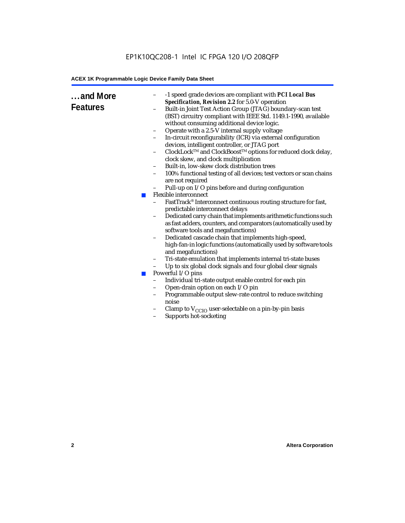| and More<br><b>Features</b> | $\blacksquare$<br><b>COL</b> | -1 speed grade devices are compliant with PCI Local Bus<br>-<br>Specification, Revision 2.2 for 5.0-V operation<br>Built-in Joint Test Action Group (JTAG) boundary-scan test<br>(BST) circuitry compliant with IEEE Std. 1149.1-1990, available<br>without consuming additional device logic.<br>Operate with a 2.5-V internal supply voltage<br>$\qquad \qquad -$<br>In-circuit reconfigurability (ICR) via external configuration<br>devices, intelligent controller, or JTAG port<br>ClockLock™ and ClockBoost™ options for reduced clock delay,<br>clock skew, and clock multiplication<br>Built-in, low-skew clock distribution trees<br>$\overline{\phantom{a}}$<br>100% functional testing of all devices; test vectors or scan chains<br>-<br>are not required<br>Pull-up on I/O pins before and during configuration<br>Flexible interconnect<br>FastTrack® Interconnect continuous routing structure for fast,<br>predictable interconnect delays<br>Dedicated carry chain that implements arithmetic functions such<br>$\qquad \qquad -$<br>as fast adders, counters, and comparators (automatically used by<br>software tools and megafunctions)<br>Dedicated cascade chain that implements high-speed,<br>-<br>high-fan-in logic functions (automatically used by software tools<br>and megafunctions)<br>Tri-state emulation that implements internal tri-state buses<br>$\qquad \qquad -$<br>Up to six global clock signals and four global clear signals<br>Powerful I/O pins<br>Individual tri-state output enable control for each pin<br>$\overline{a}$<br>Open-drain option on each I/O pin<br>$\overline{\phantom{0}}$<br>Programmable output slew-rate control to reduce switching<br>$\qquad \qquad -$<br>noise<br>Clamp to $V_{\text{CCIO}}$ user-selectable on a pin-by-pin basis<br>Supports hot-socketing |
|-----------------------------|------------------------------|---------------------------------------------------------------------------------------------------------------------------------------------------------------------------------------------------------------------------------------------------------------------------------------------------------------------------------------------------------------------------------------------------------------------------------------------------------------------------------------------------------------------------------------------------------------------------------------------------------------------------------------------------------------------------------------------------------------------------------------------------------------------------------------------------------------------------------------------------------------------------------------------------------------------------------------------------------------------------------------------------------------------------------------------------------------------------------------------------------------------------------------------------------------------------------------------------------------------------------------------------------------------------------------------------------------------------------------------------------------------------------------------------------------------------------------------------------------------------------------------------------------------------------------------------------------------------------------------------------------------------------------------------------------------------------------------------------------------------------------------------------------------------------------------------------------------------------------|
|                             |                              |                                                                                                                                                                                                                                                                                                                                                                                                                                                                                                                                                                                                                                                                                                                                                                                                                                                                                                                                                                                                                                                                                                                                                                                                                                                                                                                                                                                                                                                                                                                                                                                                                                                                                                                                                                                                                                       |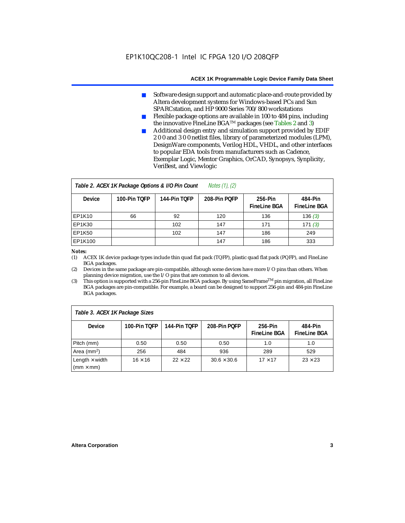- Software design support and automatic place-and-route provided by Altera development systems for Windows-based PCs and Sun SPARCstation, and HP 9000 Series 700/800 workstations
- Flexible package options are available in 100 to 484 pins, including the innovative FineLine BGATM packages (see Tables 2 and 3)
- Additional design entry and simulation support provided by EDIF 2 0 0 and 3 0 0 netlist files, library of parameterized modules (LPM), DesignWare components, Verilog HDL, VHDL, and other interfaces to popular EDA tools from manufacturers such as Cadence, Exemplar Logic, Mentor Graphics, OrCAD, Synopsys, Synplicity, VeriBest, and Viewlogic

| <i>Notes <math>(1)</math>, <math>(2)</math></i><br>Table 2. ACEX 1K Package Options & I/O Pin Count |              |              |              |                                |                                |  |
|-----------------------------------------------------------------------------------------------------|--------------|--------------|--------------|--------------------------------|--------------------------------|--|
| <b>Device</b>                                                                                       | 100-Pin TOFP | 144-Pin TOFP | 208-Pin POFP | 256-Pin<br><b>FineLine BGA</b> | 484-Pin<br><b>FineLine BGA</b> |  |
| EP1K10                                                                                              | 66           | 92           | 120          | 136                            | 136(3)                         |  |
| <b>EP1K30</b>                                                                                       |              | 102          | 147          | 171                            | 171(3)                         |  |
| <b>EP1K50</b>                                                                                       |              | 102          | 147          | 186                            | 249                            |  |
| EP1K100                                                                                             |              |              | 147          | 186                            | 333                            |  |

#### *Notes:*

(1) ACEX 1K device package types include thin quad flat pack (TQFP), plastic quad flat pack (PQFP), and FineLine BGA packages.

(2) Devices in the same package are pin-compatible, although some devices have more I/O pins than others. When planning device migration, use the I/O pins that are common to all devices.

(3) This option is supported with a 256-pin FineLine BGA package. By using SameFrameTM pin migration, all FineLine BGA packages are pin-compatible. For example, a board can be designed to support 256-pin and 484-pin FineLine BGA packages.

| Table 3. ACEX 1K Package Sizes                           |                |                |                    |                                |                                |
|----------------------------------------------------------|----------------|----------------|--------------------|--------------------------------|--------------------------------|
| <b>Device</b>                                            | 100-Pin TOFP   | 144-Pin TOFP   | 208-Pin POFP       | 256-Pin<br><b>FineLine BGA</b> | 484-Pin<br><b>FineLine BGA</b> |
| Pitch (mm)                                               | 0.50           | 0.50           | 0.50               | 1.0                            | 1.0                            |
| Area ( $mm2$ )                                           | 256            | 484            | 936                | 289                            | 529                            |
| Length $\times$ width<br>$\mathsf{mmm}\times\mathsf{mm}$ | $16 \times 16$ | $22 \times 22$ | $30.6 \times 30.6$ | $17 \times 17$                 | $23 \times 23$                 |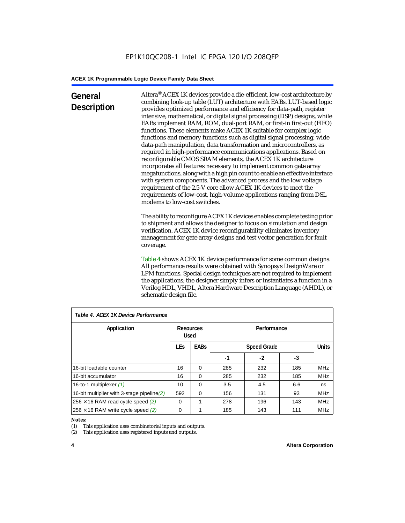### **General Description**

Altera® ACEX 1K devices provide a die-efficient, low-cost architecture by combining look-up table (LUT) architecture with EABs. LUT-based logic provides optimized performance and efficiency for data-path, register intensive, mathematical, or digital signal processing (DSP) designs, while EABs implement RAM, ROM, dual-port RAM, or first-in first-out (FIFO) functions. These elements make ACEX 1K suitable for complex logic functions and memory functions such as digital signal processing, wide data-path manipulation, data transformation and microcontrollers, as required in high-performance communications applications. Based on reconfigurable CMOS SRAM elements, the ACEX 1K architecture incorporates all features necessary to implement common gate array megafunctions, along with a high pin count to enable an effective interface with system components. The advanced process and the low voltage requirement of the 2.5-V core allow ACEX 1K devices to meet the requirements of low-cost, high-volume applications ranging from DSL modems to low-cost switches.

The ability to reconfigure ACEX 1K devices enables complete testing prior to shipment and allows the designer to focus on simulation and design verification. ACEX 1K device reconfigurability eliminates inventory management for gate array designs and test vector generation for fault coverage.

Table 4 shows ACEX 1K device performance for some common designs. All performance results were obtained with Synopsys DesignWare or LPM functions. Special design techniques are not required to implement the applications; the designer simply infers or instantiates a function in a Verilog HDL, VHDL, Altera Hardware Description Language (AHDL), or schematic design file.

| Table 4. ACEX 1K Device Performance        |            |                                         |     |                    |     |              |
|--------------------------------------------|------------|-----------------------------------------|-----|--------------------|-----|--------------|
| Application                                |            | Performance<br>Resources<br><b>Used</b> |     |                    |     |              |
|                                            | <b>LEs</b> | <b>EABs</b>                             |     | <b>Speed Grade</b> |     | <b>Units</b> |
|                                            |            |                                         | -1  | $-2$               | -3  |              |
| 16-bit loadable counter                    | 16         | $\Omega$                                | 285 | 232                | 185 | <b>MHz</b>   |
| 16-bit accumulator                         | 16         | $\Omega$                                | 285 | 232                | 185 | <b>MHz</b>   |
| 16-to-1 multiplexer (1)                    | 10         | $\Omega$                                | 3.5 | 4.5                | 6.6 | ns           |
| 16-bit multiplier with 3-stage pipeline(2) | 592        | $\Omega$                                | 156 | 131                | 93  | <b>MHz</b>   |
| $256 \times 16$ RAM read cycle speed (2)   | $\Omega$   | 1                                       | 278 | 196                | 143 | <b>MHz</b>   |
| $256 \times 16$ RAM write cycle speed (2)  | $\Omega$   |                                         | 185 | 143                | 111 | <b>MHz</b>   |

#### *Table 4. ACEX 1K Device Performance*

#### *Notes:*

(1) This application uses combinatorial inputs and outputs.

(2) This application uses registered inputs and outputs.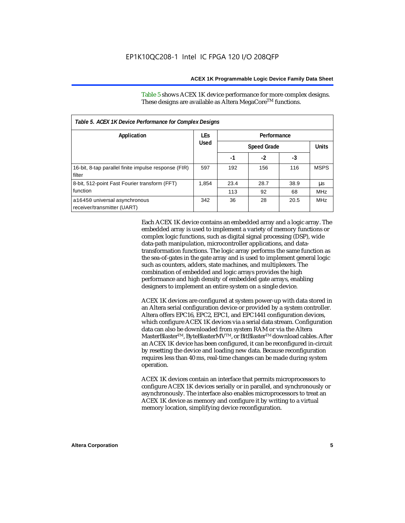Table 5 shows ACEX 1K device performance for more complex designs. These designs are available as Altera MegaCore<sup>TM</sup> functions.

| Table 5. ACEX 1K Device Performance for Complex Designs        |             |      |                    |      |              |
|----------------------------------------------------------------|-------------|------|--------------------|------|--------------|
| Application                                                    | <b>LEs</b>  |      | Performance        |      |              |
|                                                                | <b>Used</b> |      | <b>Speed Grade</b> |      | <b>Units</b> |
|                                                                |             | -1   | $-2$               | -3   |              |
| 16-bit, 8-tap parallel finite impulse response (FIR)<br>filter | 597         | 192  | 156                | 116  | <b>MSPS</b>  |
| 8-bit, 512-point Fast Fourier transform (FFT)                  | 1.854       | 23.4 | 28.7               | 38.9 | μs           |
| function                                                       |             | 113  | 92                 | 68   | <b>MHz</b>   |
| a16450 universal asynchronous<br>receiver/transmitter (UART)   | 342         | 36   | 28                 | 20.5 | <b>MHz</b>   |

Each ACEX 1K device contains an embedded array and a logic array. The embedded array is used to implement a variety of memory functions or complex logic functions, such as digital signal processing (DSP), wide data-path manipulation, microcontroller applications, and datatransformation functions. The logic array performs the same function as the sea-of-gates in the gate array and is used to implement general logic such as counters, adders, state machines, and multiplexers. The combination of embedded and logic arrays provides the high performance and high density of embedded gate arrays, enabling designers to implement an entire system on a single device.

ACEX 1K devices are configured at system power-up with data stored in an Altera serial configuration device or provided by a system controller. Altera offers EPC16, EPC2, EPC1, and EPC1441 configuration devices, which configure ACEX 1K devices via a serial data stream. Configuration data can also be downloaded from system RAM or via the Altera MasterBlaster™, ByteBlasterMV™, or BitBlaster™ download cables. After an ACEX 1K device has been configured, it can be reconfigured in-circuit by resetting the device and loading new data. Because reconfiguration requires less than 40 ms, real-time changes can be made during system operation.

ACEX 1K devices contain an interface that permits microprocessors to configure ACEX 1K devices serially or in parallel, and synchronously or asynchronously. The interface also enables microprocessors to treat an ACEX 1K device as memory and configure it by writing to a virtual memory location, simplifying device reconfiguration.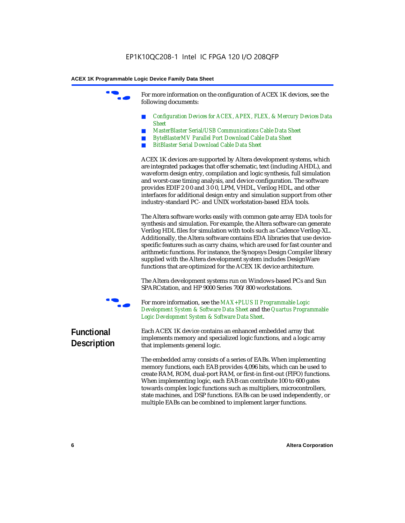For more information on the configuration of ACEX 1K devices, see the following documents:

- *Configuration Devices for ACEX, APEX, FLEX, & Mercury Devices Data Sheet*
- *MasterBlaster Serial/USB Communications Cable Data Sheet*
- *ByteBlasterMV Parallel Port Download Cable Data Sheet*
- *BitBlaster Serial Download Cable Data Sheet*

ACEX 1K devices are supported by Altera development systems, which are integrated packages that offer schematic, text (including AHDL), and waveform design entry, compilation and logic synthesis, full simulation and worst-case timing analysis, and device configuration. The software provides EDIF 2 0 0 and 3 0 0, LPM, VHDL, Verilog HDL, and other interfaces for additional design entry and simulation support from other industry-standard PC- and UNIX workstation-based EDA tools.

The Altera software works easily with common gate array EDA tools for synthesis and simulation. For example, the Altera software can generate Verilog HDL files for simulation with tools such as Cadence Verilog-XL. Additionally, the Altera software contains EDA libraries that use devicespecific features such as carry chains, which are used for fast counter and arithmetic functions. For instance, the Synopsys Design Compiler library supplied with the Altera development system includes DesignWare functions that are optimized for the ACEX 1K device architecture.

The Altera development systems run on Windows-based PCs and Sun SPARCstation, and HP 9000 Series 700/800 workstations.



For more information, see the *MAX+PLUS II Programmable Logic Development System & Software Data Sheet* and the *Quartus Programmable Logic Development System & Software Data Sheet*.

### **Functional Description**

Each ACEX 1K device contains an enhanced embedded array that implements memory and specialized logic functions, and a logic array that implements general logic.

The embedded array consists of a series of EABs. When implementing memory functions, each EAB provides 4,096 bits, which can be used to create RAM, ROM, dual-port RAM, or first-in first-out (FIFO) functions. When implementing logic, each EAB can contribute 100 to 600 gates towards complex logic functions such as multipliers, microcontrollers, state machines, and DSP functions. EABs can be used independently, or multiple EABs can be combined to implement larger functions.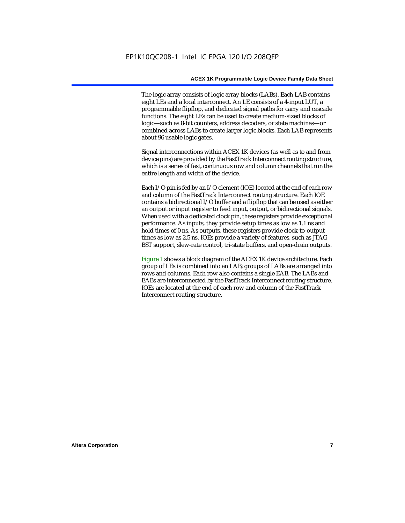The logic array consists of logic array blocks (LABs). Each LAB contains eight LEs and a local interconnect. An LE consists of a 4-input LUT, a programmable flipflop, and dedicated signal paths for carry and cascade functions. The eight LEs can be used to create medium-sized blocks of logic—such as 8-bit counters, address decoders, or state machines—or combined across LABs to create larger logic blocks. Each LAB represents about 96 usable logic gates.

Signal interconnections within ACEX 1K devices (as well as to and from device pins) are provided by the FastTrack Interconnect routing structure, which is a series of fast, continuous row and column channels that run the entire length and width of the device.

Each I/O pin is fed by an I/O element (IOE) located at the end of each row and column of the FastTrack Interconnect routing structure. Each IOE contains a bidirectional I/O buffer and a flipflop that can be used as either an output or input register to feed input, output, or bidirectional signals. When used with a dedicated clock pin, these registers provide exceptional performance. As inputs, they provide setup times as low as 1.1 ns and hold times of 0 ns. As outputs, these registers provide clock-to-output times as low as 2.5 ns. IOEs provide a variety of features, such as JTAG BST support, slew-rate control, tri-state buffers, and open-drain outputs.

Figure 1 shows a block diagram of the ACEX 1K device architecture. Each group of LEs is combined into an LAB; groups of LABs are arranged into rows and columns. Each row also contains a single EAB. The LABs and EABs are interconnected by the FastTrack Interconnect routing structure. IOEs are located at the end of each row and column of the FastTrack Interconnect routing structure.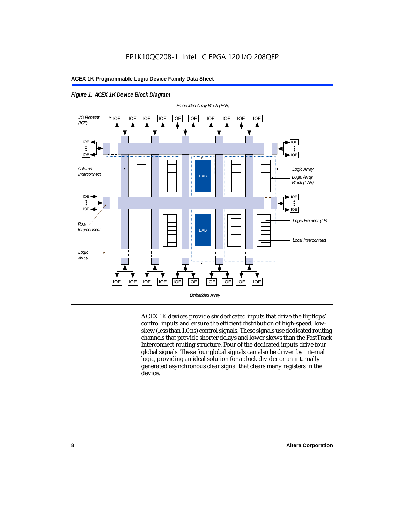



ACEX 1K devices provide six dedicated inputs that drive the flipflops' control inputs and ensure the efficient distribution of high-speed, lowskew (less than 1.0 ns) control signals. These signals use dedicated routing channels that provide shorter delays and lower skews than the FastTrack Interconnect routing structure. Four of the dedicated inputs drive four global signals. These four global signals can also be driven by internal logic, providing an ideal solution for a clock divider or an internally generated asynchronous clear signal that clears many registers in the device.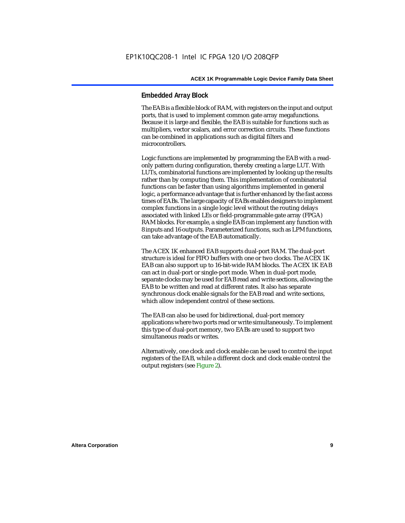#### **Embedded Array Block**

The EAB is a flexible block of RAM, with registers on the input and output ports, that is used to implement common gate array megafunctions. Because it is large and flexible, the EAB is suitable for functions such as multipliers, vector scalars, and error correction circuits. These functions can be combined in applications such as digital filters and microcontrollers.

Logic functions are implemented by programming the EAB with a readonly pattern during configuration, thereby creating a large LUT. With LUTs, combinatorial functions are implemented by looking up the results rather than by computing them. This implementation of combinatorial functions can be faster than using algorithms implemented in general logic, a performance advantage that is further enhanced by the fast access times of EABs. The large capacity of EABs enables designers to implement complex functions in a single logic level without the routing delays associated with linked LEs or field-programmable gate array (FPGA) RAM blocks. For example, a single EAB can implement any function with 8 inputs and 16 outputs. Parameterized functions, such as LPM functions, can take advantage of the EAB automatically.

The ACEX 1K enhanced EAB supports dual-port RAM. The dual-port structure is ideal for FIFO buffers with one or two clocks. The ACEX 1K EAB can also support up to 16-bit-wide RAM blocks. The ACEX 1K EAB can act in dual-port or single-port mode. When in dual-port mode, separate clocks may be used for EAB read and write sections, allowing the EAB to be written and read at different rates. It also has separate synchronous clock enable signals for the EAB read and write sections, which allow independent control of these sections.

The EAB can also be used for bidirectional, dual-port memory applications where two ports read or write simultaneously. To implement this type of dual-port memory, two EABs are used to support two simultaneous reads or writes.

Alternatively, one clock and clock enable can be used to control the input registers of the EAB, while a different clock and clock enable control the output registers (see Figure 2).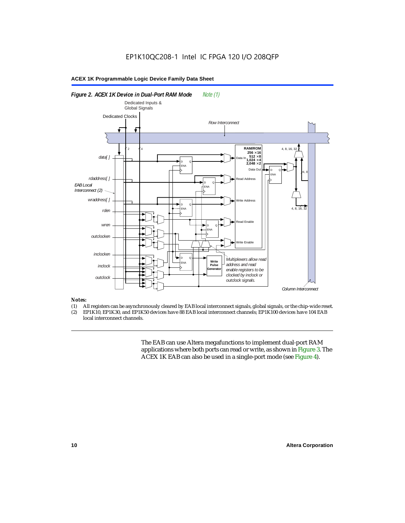#### *Figure 2. ACEX 1K Device in Dual-Port RAM Mode Note (1) Column Interconnect EAB Local Interconnect (2)*  Dedicated Clocks 2 4 D ENA  $^{\circ}$ D ENA  $^{\circ}$ D ENA  $^{\circ}$ D ENA Q D ENA  $^{\circ}$ *data[ ] rdaddress[ ] wraddress[ ]* **RAM/ROM**  $256 \times 16$ <br> $512 \times 8$ <br> $1,024 \times 4$  $2.048 \times 2$ Data In Address Write Address Read Enable Write Enable Data Out 4, 8, 16 4, 8, 16, 32 *outclocken inclocken inclock outclock* D ENA  $^{\circ}$ **Write Pulse enerator** *rden wren Multiplexers allow read address and read enable registers to be clocked by inclock or outclock signals. Row Interconnect* 4, 8 Dedicated Inputs & Global Signals

#### *Notes:*

- (1) All registers can be asynchronously cleared by EAB local interconnect signals, global signals, or the chip-wide reset.<br>(2) EP1K10. EP1K30. and EP1K50 devices have 88 EAB local interconnect channels: EP1K100 devices hav
- EP1K10, EP1K30, and EP1K50 devices have 88 EAB local interconnect channels; EP1K100 devices have 104 EAB local interconnect channels.

The EAB can use Altera megafunctions to implement dual-port RAM applications where both ports can read or write, as shown in Figure 3. The ACEX 1K EAB can also be used in a single-port mode (see Figure 4).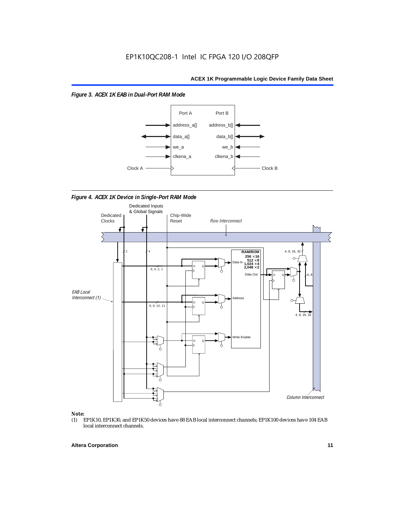*Figure 3. ACEX 1K EAB in Dual-Port RAM Mode*



*Figure 4. ACEX 1K Device in Single-Port RAM Mode* 



## *Note:*<br>(1) **H**

EP1K10, EP1K30, and EP1K50 devices have 88 EAB local interconnect channels; EP1K100 devices have 104 EAB local interconnect channels.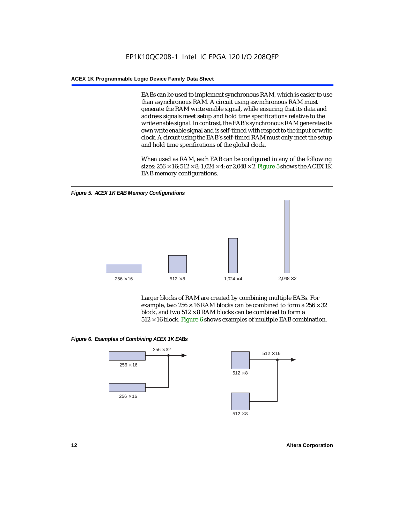EABs can be used to implement synchronous RAM, which is easier to use than asynchronous RAM. A circuit using asynchronous RAM must generate the RAM write enable signal, while ensuring that its data and address signals meet setup and hold time specifications relative to the write enable signal. In contrast, the EAB's synchronous RAM generates its own write enable signal and is self-timed with respect to the input or write clock. A circuit using the EAB's self-timed RAM must only meet the setup and hold time specifications of the global clock.

When used as RAM, each EAB can be configured in any of the following sizes:  $256 \times 16$ ;  $512 \times 8$ ;  $1,024 \times 4$ ; or  $2,048 \times 2$ . Figure 5 shows the ACEX 1K EAB memory configurations.



Larger blocks of RAM are created by combining multiple EABs. For example, two  $256 \times 16$  RAM blocks can be combined to form a  $256 \times 32$ block, and two  $512 \times 8$  RAM blocks can be combined to form a  $512 \times 16$  block. Figure 6 shows examples of multiple EAB combination.

#### *Figure 6. Examples of Combining ACEX 1K EABs*



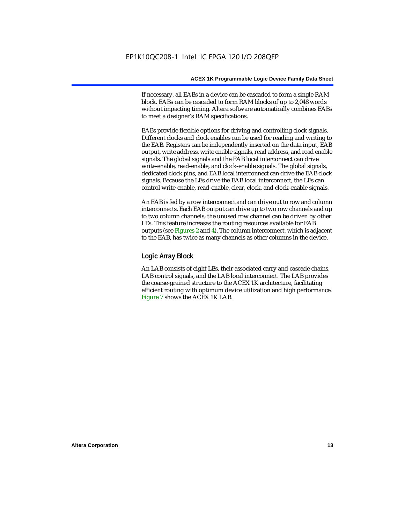If necessary, all EABs in a device can be cascaded to form a single RAM block. EABs can be cascaded to form RAM blocks of up to 2,048 words without impacting timing. Altera software automatically combines EABs to meet a designer's RAM specifications.

EABs provide flexible options for driving and controlling clock signals. Different clocks and clock enables can be used for reading and writing to the EAB. Registers can be independently inserted on the data input, EAB output, write address, write enable signals, read address, and read enable signals. The global signals and the EAB local interconnect can drive write-enable, read-enable, and clock-enable signals. The global signals, dedicated clock pins, and EAB local interconnect can drive the EAB clock signals. Because the LEs drive the EAB local interconnect, the LEs can control write-enable, read-enable, clear, clock, and clock-enable signals.

An EAB is fed by a row interconnect and can drive out to row and column interconnects. Each EAB output can drive up to two row channels and up to two column channels; the unused row channel can be driven by other LEs. This feature increases the routing resources available for EAB outputs (see Figures 2 and 4). The column interconnect, which is adjacent to the EAB, has twice as many channels as other columns in the device.

#### **Logic Array Block**

An LAB consists of eight LEs, their associated carry and cascade chains, LAB control signals, and the LAB local interconnect. The LAB provides the coarse-grained structure to the ACEX 1K architecture, facilitating efficient routing with optimum device utilization and high performance. Figure 7 shows the ACEX 1K LAB.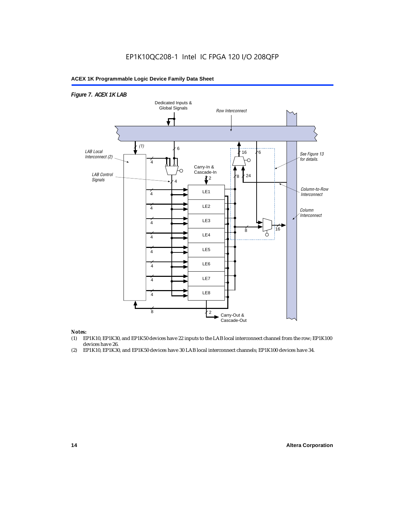

#### *Notes:*

- (1) EP1K10, EP1K30, and EP1K50 devices have 22 inputs to the LAB local interconnect channel from the row; EP1K100 devices have 26.
- (2) EP1K10, EP1K30, and EP1K50 devices have 30 LAB local interconnect channels; EP1K100 devices have 34.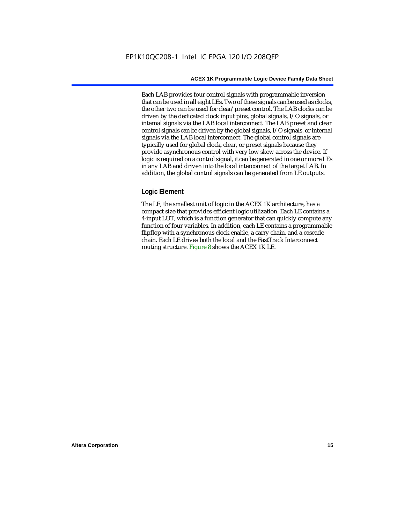Each LAB provides four control signals with programmable inversion that can be used in all eight LEs. Two of these signals can be used as clocks, the other two can be used for clear/preset control. The LAB clocks can be driven by the dedicated clock input pins, global signals, I/O signals, or internal signals via the LAB local interconnect. The LAB preset and clear control signals can be driven by the global signals, I/O signals, or internal signals via the LAB local interconnect. The global control signals are typically used for global clock, clear, or preset signals because they provide asynchronous control with very low skew across the device. If logic is required on a control signal, it can be generated in one or more LEs in any LAB and driven into the local interconnect of the target LAB. In addition, the global control signals can be generated from LE outputs.

#### **Logic Element**

The LE, the smallest unit of logic in the ACEX 1K architecture, has a compact size that provides efficient logic utilization. Each LE contains a 4-input LUT, which is a function generator that can quickly compute any function of four variables. In addition, each LE contains a programmable flipflop with a synchronous clock enable, a carry chain, and a cascade chain. Each LE drives both the local and the FastTrack Interconnect routing structure. Figure 8 shows the ACEX 1K LE.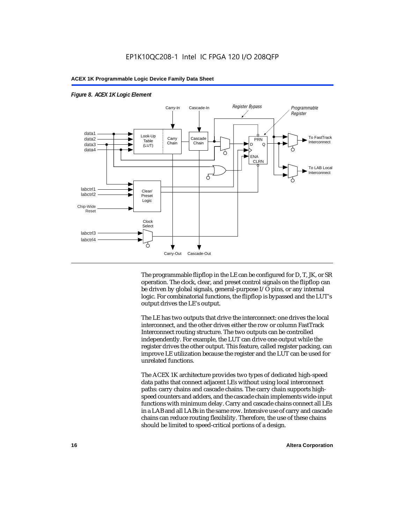

*Figure 8. ACEX 1K Logic Element*

The programmable flipflop in the LE can be configured for D, T, JK, or SR operation. The clock, clear, and preset control signals on the flipflop can be driven by global signals, general-purpose I/O pins, or any internal logic. For combinatorial functions, the flipflop is bypassed and the LUT's output drives the LE's output.

The LE has two outputs that drive the interconnect: one drives the local interconnect, and the other drives either the row or column FastTrack Interconnect routing structure. The two outputs can be controlled independently. For example, the LUT can drive one output while the register drives the other output. This feature, called register packing, can improve LE utilization because the register and the LUT can be used for unrelated functions.

The ACEX 1K architecture provides two types of dedicated high-speed data paths that connect adjacent LEs without using local interconnect paths: carry chains and cascade chains. The carry chain supports highspeed counters and adders, and the cascade chain implements wide-input functions with minimum delay. Carry and cascade chains connect all LEs in a LAB and all LABs in the same row. Intensive use of carry and cascade chains can reduce routing flexibility. Therefore, the use of these chains should be limited to speed-critical portions of a design.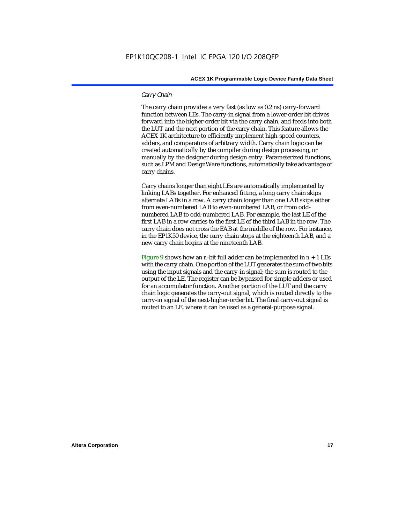#### *Carry Chain*

The carry chain provides a very fast (as low as 0.2 ns) carry-forward function between LEs. The carry-in signal from a lower-order bit drives forward into the higher-order bit via the carry chain, and feeds into both the LUT and the next portion of the carry chain. This feature allows the ACEX 1K architecture to efficiently implement high-speed counters, adders, and comparators of arbitrary width. Carry chain logic can be created automatically by the compiler during design processing, or manually by the designer during design entry. Parameterized functions, such as LPM and DesignWare functions, automatically take advantage of carry chains.

Carry chains longer than eight LEs are automatically implemented by linking LABs together. For enhanced fitting, a long carry chain skips alternate LABs in a row. A carry chain longer than one LAB skips either from even-numbered LAB to even-numbered LAB, or from oddnumbered LAB to odd-numbered LAB. For example, the last LE of the first LAB in a row carries to the first LE of the third LAB in the row. The carry chain does not cross the EAB at the middle of the row. For instance, in the EP1K50 device, the carry chain stops at the eighteenth LAB, and a new carry chain begins at the nineteenth LAB.

Figure 9 shows how an *n*-bit full adder can be implemented in  $n + 1$  LEs with the carry chain. One portion of the LUT generates the sum of two bits using the input signals and the carry-in signal; the sum is routed to the output of the LE. The register can be bypassed for simple adders or used for an accumulator function. Another portion of the LUT and the carry chain logic generates the carry-out signal, which is routed directly to the carry-in signal of the next-higher-order bit. The final carry-out signal is routed to an LE, where it can be used as a general-purpose signal.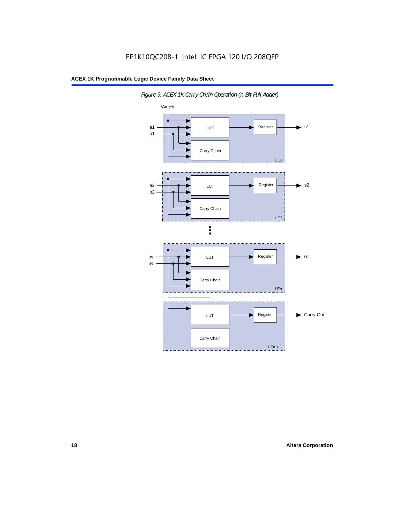

*Figure 9. ACEX 1K Carry Chain Operation (n-Bit Full Adder)*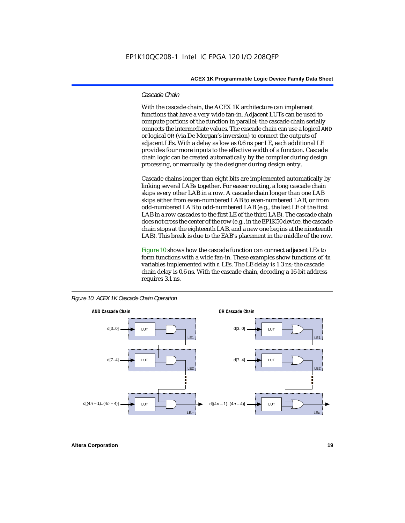#### *Cascade Chain*

With the cascade chain, the ACEX 1K architecture can implement functions that have a very wide fan-in. Adjacent LUTs can be used to compute portions of the function in parallel; the cascade chain serially connects the intermediate values. The cascade chain can use a logical AND or logical OR (via De Morgan's inversion) to connect the outputs of adjacent LEs. With a delay as low as 0.6 ns per LE, each additional LE provides four more inputs to the effective width of a function. Cascade chain logic can be created automatically by the compiler during design processing, or manually by the designer during design entry.

Cascade chains longer than eight bits are implemented automatically by linking several LABs together. For easier routing, a long cascade chain skips every other LAB in a row. A cascade chain longer than one LAB skips either from even-numbered LAB to even-numbered LAB, or from odd-numbered LAB to odd-numbered LAB (e.g., the last LE of the first LAB in a row cascades to the first LE of the third LAB). The cascade chain does not cross the center of the row (e.g., in the EP1K50 device, the cascade chain stops at the eighteenth LAB, and a new one begins at the nineteenth LAB). This break is due to the EAB's placement in the middle of the row.

Figure 10 shows how the cascade function can connect adjacent LEs to form functions with a wide fan-in. These examples show functions of 4*n* variables implemented with *n* LEs. The LE delay is 1.3 ns; the cascade chain delay is 0.6 ns. With the cascade chain, decoding a 16-bit address requires 3.1 ns.



*Figure 10. ACEX 1K Cascade Chain Operation*

**Altera Corporation 19**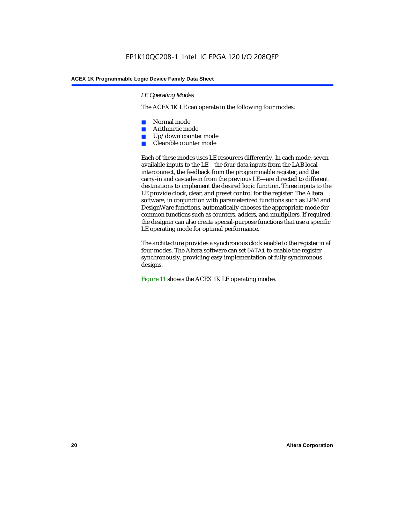#### *LE Operating Modes*

The ACEX 1K LE can operate in the following four modes:

- Normal mode
- Arithmetic mode
- Up/down counter mode
- Clearable counter mode

Each of these modes uses LE resources differently. In each mode, seven available inputs to the LE—the four data inputs from the LAB local interconnect, the feedback from the programmable register, and the carry-in and cascade-in from the previous LE—are directed to different destinations to implement the desired logic function. Three inputs to the LE provide clock, clear, and preset control for the register. The Altera software, in conjunction with parameterized functions such as LPM and DesignWare functions, automatically chooses the appropriate mode for common functions such as counters, adders, and multipliers. If required, the designer can also create special-purpose functions that use a specific LE operating mode for optimal performance.

The architecture provides a synchronous clock enable to the register in all four modes. The Altera software can set DATA1 to enable the register synchronously, providing easy implementation of fully synchronous designs.

Figure 11 shows the ACEX 1K LE operating modes.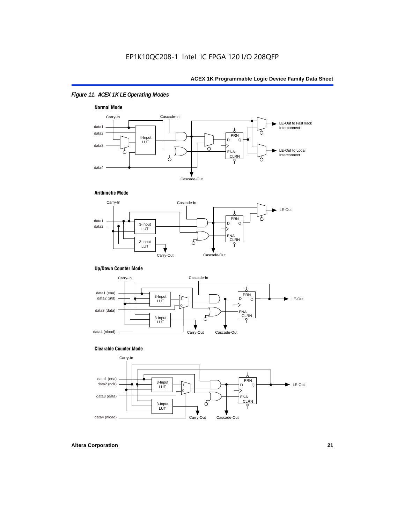### *Figure 11. ACEX 1K LE Operating Modes*



#### **Arithmetic Mode**



#### **Up/Down Counter Mode**



#### **Clearable Counter Mode**

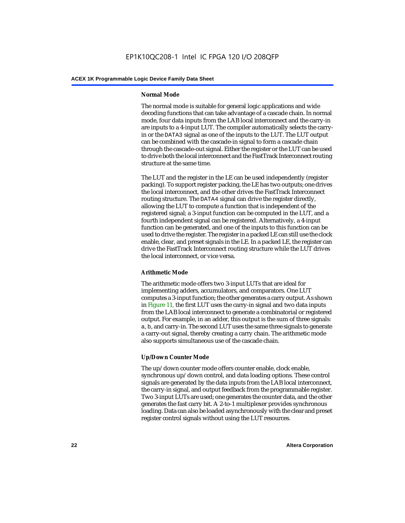#### **Normal Mode**

The normal mode is suitable for general logic applications and wide decoding functions that can take advantage of a cascade chain. In normal mode, four data inputs from the LAB local interconnect and the carry-in are inputs to a 4-input LUT. The compiler automatically selects the carryin or the DATA3 signal as one of the inputs to the LUT. The LUT output can be combined with the cascade-in signal to form a cascade chain through the cascade-out signal. Either the register or the LUT can be used to drive both the local interconnect and the FastTrack Interconnect routing structure at the same time.

The LUT and the register in the LE can be used independently (register packing). To support register packing, the LE has two outputs; one drives the local interconnect, and the other drives the FastTrack Interconnect routing structure. The DATA4 signal can drive the register directly, allowing the LUT to compute a function that is independent of the registered signal; a 3-input function can be computed in the LUT, and a fourth independent signal can be registered. Alternatively, a 4-input function can be generated, and one of the inputs to this function can be used to drive the register. The register in a packed LE can still use the clock enable, clear, and preset signals in the LE. In a packed LE, the register can drive the FastTrack Interconnect routing structure while the LUT drives the local interconnect, or vice versa.

#### **Arithmetic Mode**

The arithmetic mode offers two 3-input LUTs that are ideal for implementing adders, accumulators, and comparators. One LUT computes a 3-input function; the other generates a carry output. As shown in Figure 11, the first LUT uses the carry-in signal and two data inputs from the LAB local interconnect to generate a combinatorial or registered output. For example, in an adder, this output is the sum of three signals: a, b, and carry-in. The second LUT uses the same three signals to generate a carry-out signal, thereby creating a carry chain. The arithmetic mode also supports simultaneous use of the cascade chain.

#### **Up/Down Counter Mode**

The up/down counter mode offers counter enable, clock enable, synchronous up/down control, and data loading options. These control signals are generated by the data inputs from the LAB local interconnect, the carry-in signal, and output feedback from the programmable register. Two 3-input LUTs are used; one generates the counter data, and the other generates the fast carry bit. A 2-to-1 multiplexer provides synchronous loading. Data can also be loaded asynchronously with the clear and preset register control signals without using the LUT resources.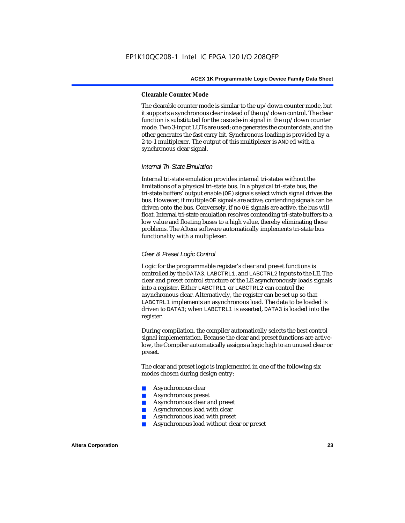#### **Clearable Counter Mode**

The clearable counter mode is similar to the up/down counter mode, but it supports a synchronous clear instead of the up/down control. The clear function is substituted for the cascade-in signal in the up/down counter mode. Two 3-input LUTs are used; one generates the counter data, and the other generates the fast carry bit. Synchronous loading is provided by a 2-to-1 multiplexer. The output of this multiplexer is ANDed with a synchronous clear signal.

#### *Internal Tri-State Emulation*

Internal tri-state emulation provides internal tri-states without the limitations of a physical tri-state bus. In a physical tri-state bus, the tri-state buffers' output enable (OE) signals select which signal drives the bus. However, if multiple OE signals are active, contending signals can be driven onto the bus. Conversely, if no OE signals are active, the bus will float. Internal tri-state emulation resolves contending tri-state buffers to a low value and floating buses to a high value, thereby eliminating these problems. The Altera software automatically implements tri-state bus functionality with a multiplexer.

#### *Clear & Preset Logic Control*

Logic for the programmable register's clear and preset functions is controlled by the DATA3, LABCTRL1, and LABCTRL2 inputs to the LE. The clear and preset control structure of the LE asynchronously loads signals into a register. Either LABCTRL1 or LABCTRL2 can control the asynchronous clear. Alternatively, the register can be set up so that LABCTRL1 implements an asynchronous load. The data to be loaded is driven to DATA3; when LABCTRL1 is asserted, DATA3 is loaded into the register.

During compilation, the compiler automatically selects the best control signal implementation. Because the clear and preset functions are activelow, the Compiler automatically assigns a logic high to an unused clear or preset.

The clear and preset logic is implemented in one of the following six modes chosen during design entry:

- Asynchronous clear
- Asynchronous preset
- Asynchronous clear and preset
- Asynchronous load with clear
- Asynchronous load with preset
- Asynchronous load without clear or preset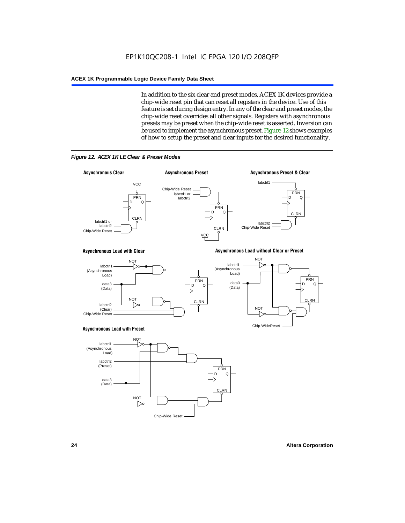In addition to the six clear and preset modes, ACEX 1K devices provide a chip-wide reset pin that can reset all registers in the device. Use of this feature is set during design entry. In any of the clear and preset modes, the chip-wide reset overrides all other signals. Registers with asynchronous presets may be preset when the chip-wide reset is asserted. Inversion can be used to implement the asynchronous preset. Figure 12 shows examples of how to setup the preset and clear inputs for the desired functionality.



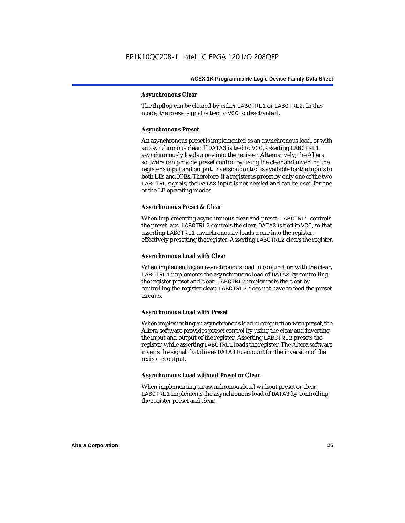#### **Asynchronous Clear**

The flipflop can be cleared by either LABCTRL1 or LABCTRL2. In this mode, the preset signal is tied to VCC to deactivate it.

#### **Asynchronous Preset**

An asynchronous preset is implemented as an asynchronous load, or with an asynchronous clear. If DATA3 is tied to VCC, asserting LABCTRL1 asynchronously loads a one into the register. Alternatively, the Altera software can provide preset control by using the clear and inverting the register's input and output. Inversion control is available for the inputs to both LEs and IOEs. Therefore, if a register is preset by only one of the two LABCTRL signals, the DATA3 input is not needed and can be used for one of the LE operating modes.

#### **Asynchronous Preset & Clear**

When implementing asynchronous clear and preset, LABCTRL1 controls the preset, and LABCTRL2 controls the clear. DATA3 is tied to VCC, so that asserting LABCTRL1 asynchronously loads a one into the register, effectively presetting the register. Asserting LABCTRL2 clears the register.

#### **Asynchronous Load with Clear**

When implementing an asynchronous load in conjunction with the clear, LABCTRL1 implements the asynchronous load of DATA3 by controlling the register preset and clear. LABCTRL2 implements the clear by controlling the register clear; LABCTRL2 does not have to feed the preset circuits.

#### **Asynchronous Load with Preset**

When implementing an asynchronous load in conjunction with preset, the Altera software provides preset control by using the clear and inverting the input and output of the register. Asserting LABCTRL2 presets the register, while asserting LABCTRL1 loads the register. The Altera software inverts the signal that drives DATA3 to account for the inversion of the register's output.

#### **Asynchronous Load without Preset or Clear**

When implementing an asynchronous load without preset or clear, LABCTRL1 implements the asynchronous load of DATA3 by controlling the register preset and clear.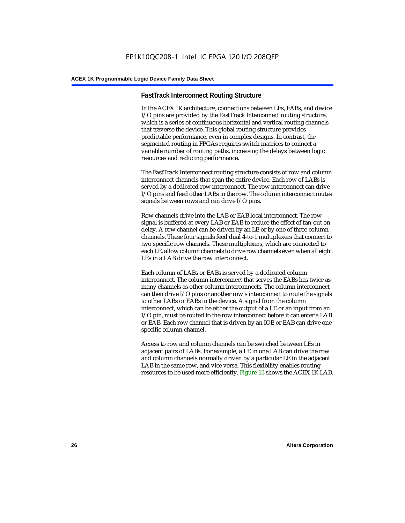#### **FastTrack Interconnect Routing Structure**

In the ACEX 1K architecture, connections between LEs, EABs, and device I/O pins are provided by the FastTrack Interconnect routing structure, which is a series of continuous horizontal and vertical routing channels that traverse the device. This global routing structure provides predictable performance, even in complex designs. In contrast, the segmented routing in FPGAs requires switch matrices to connect a variable number of routing paths, increasing the delays between logic resources and reducing performance.

The FastTrack Interconnect routing structure consists of row and column interconnect channels that span the entire device. Each row of LABs is served by a dedicated row interconnect. The row interconnect can drive I/O pins and feed other LABs in the row. The column interconnect routes signals between rows and can drive I/O pins.

Row channels drive into the LAB or EAB local interconnect. The row signal is buffered at every LAB or EAB to reduce the effect of fan-out on delay. A row channel can be driven by an LE or by one of three column channels. These four signals feed dual 4-to-1 multiplexers that connect to two specific row channels. These multiplexers, which are connected to each LE, allow column channels to drive row channels even when all eight LEs in a LAB drive the row interconnect.

Each column of LABs or EABs is served by a dedicated column interconnect. The column interconnect that serves the EABs has twice as many channels as other column interconnects. The column interconnect can then drive I/O pins or another row's interconnect to route the signals to other LABs or EABs in the device. A signal from the column interconnect, which can be either the output of a LE or an input from an I/O pin, must be routed to the row interconnect before it can enter a LAB or EAB. Each row channel that is driven by an IOE or EAB can drive one specific column channel.

Access to row and column channels can be switched between LEs in adjacent pairs of LABs. For example, a LE in one LAB can drive the row and column channels normally driven by a particular LE in the adjacent LAB in the same row, and vice versa. This flexibility enables routing resources to be used more efficiently. Figure 13 shows the ACEX 1K LAB.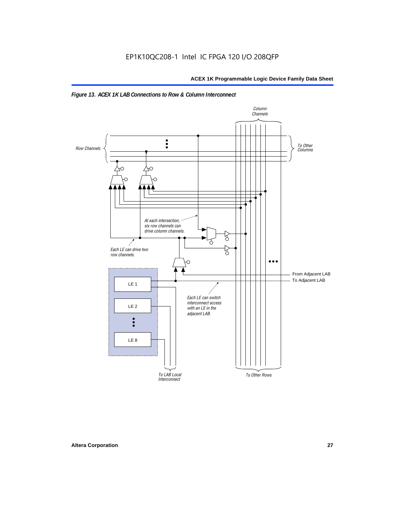

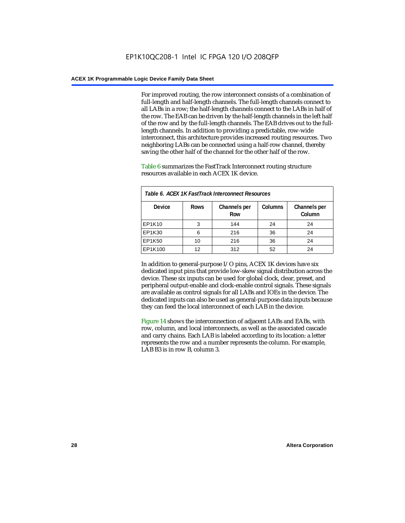For improved routing, the row interconnect consists of a combination of full-length and half-length channels. The full-length channels connect to all LABs in a row; the half-length channels connect to the LABs in half of the row. The EAB can be driven by the half-length channels in the left half of the row and by the full-length channels. The EAB drives out to the fulllength channels. In addition to providing a predictable, row-wide interconnect, this architecture provides increased routing resources. Two neighboring LABs can be connected using a half-row channel, thereby saving the other half of the channel for the other half of the row.

Table 6 summarizes the FastTrack Interconnect routing structure resources available in each ACEX 1K device.

| Table 6. ACEX 1K FastTrack Interconnect Resources |             |                     |                |                        |  |
|---------------------------------------------------|-------------|---------------------|----------------|------------------------|--|
| <b>Device</b>                                     | <b>Rows</b> | Channels per<br>Row | <b>Columns</b> | Channels per<br>Column |  |
| EP1K10                                            | 3           | 144                 | 24             | 24                     |  |
| EP1K30                                            | 6           | 216                 | 36             | 24                     |  |
| EP1K50                                            | 10          | 216                 | 36             | 24                     |  |
| EP1K100                                           | 12          | 312                 | 52             | 24                     |  |

In addition to general-purpose I/O pins, ACEX 1K devices have six dedicated input pins that provide low-skew signal distribution across the device. These six inputs can be used for global clock, clear, preset, and peripheral output-enable and clock-enable control signals. These signals are available as control signals for all LABs and IOEs in the device. The dedicated inputs can also be used as general-purpose data inputs because they can feed the local interconnect of each LAB in the device.

Figure 14 shows the interconnection of adjacent LABs and EABs, with row, column, and local interconnects, as well as the associated cascade and carry chains. Each LAB is labeled according to its location: a letter represents the row and a number represents the column. For example, LAB B3 is in row B, column 3.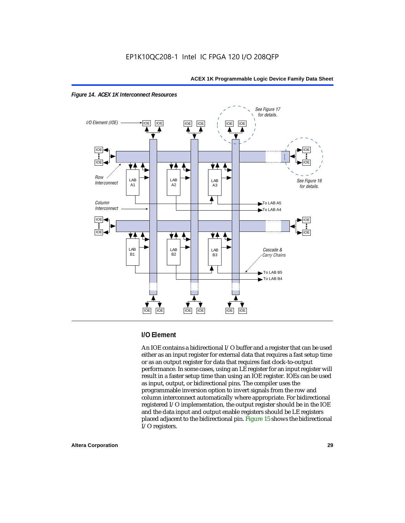



#### **I/O Element**

An IOE contains a bidirectional I/O buffer and a register that can be used either as an input register for external data that requires a fast setup time or as an output register for data that requires fast clock-to-output performance. In some cases, using an LE register for an input register will result in a faster setup time than using an IOE register. IOEs can be used as input, output, or bidirectional pins. The compiler uses the programmable inversion option to invert signals from the row and column interconnect automatically where appropriate. For bidirectional registered I/O implementation, the output register should be in the IOE and the data input and output enable registers should be LE registers placed adjacent to the bidirectional pin. Figure 15 shows the bidirectional I/O registers.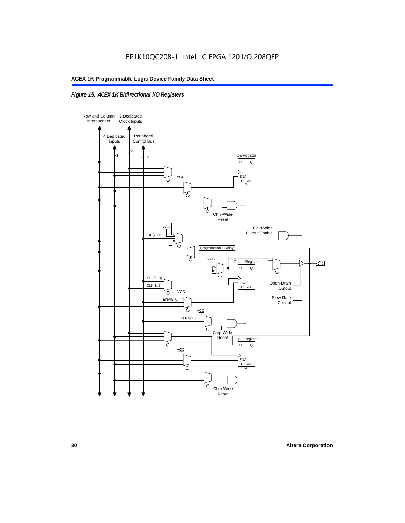### *Figure 15. ACEX 1K Bidirectional I/O Registers*

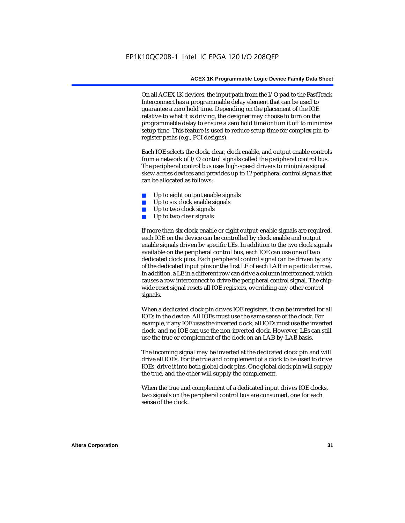On all ACEX 1K devices, the input path from the I/O pad to the FastTrack Interconnect has a programmable delay element that can be used to guarantee a zero hold time. Depending on the placement of the IOE relative to what it is driving, the designer may choose to turn on the programmable delay to ensure a zero hold time or turn it off to minimize setup time. This feature is used to reduce setup time for complex pin-toregister paths (e.g., PCI designs).

Each IOE selects the clock, clear, clock enable, and output enable controls from a network of I/O control signals called the peripheral control bus. The peripheral control bus uses high-speed drivers to minimize signal skew across devices and provides up to 12 peripheral control signals that can be allocated as follows:

- Up to eight output enable signals
- Up to six clock enable signals
- Up to two clock signals
- Up to two clear signals

If more than six clock-enable or eight output-enable signals are required, each IOE on the device can be controlled by clock enable and output enable signals driven by specific LEs. In addition to the two clock signals available on the peripheral control bus, each IOE can use one of two dedicated clock pins. Each peripheral control signal can be driven by any of the dedicated input pins or the first LE of each LAB in a particular row. In addition, a LE in a different row can drive a column interconnect, which causes a row interconnect to drive the peripheral control signal. The chipwide reset signal resets all IOE registers, overriding any other control signals.

When a dedicated clock pin drives IOE registers, it can be inverted for all IOEs in the device. All IOEs must use the same sense of the clock. For example, if any IOE uses the inverted clock, all IOEs must use the inverted clock, and no IOE can use the non-inverted clock. However, LEs can still use the true or complement of the clock on an LAB-by-LAB basis.

The incoming signal may be inverted at the dedicated clock pin and will drive all IOEs. For the true and complement of a clock to be used to drive IOEs, drive it into both global clock pins. One global clock pin will supply the true, and the other will supply the complement.

When the true and complement of a dedicated input drives IOE clocks, two signals on the peripheral control bus are consumed, one for each sense of the clock.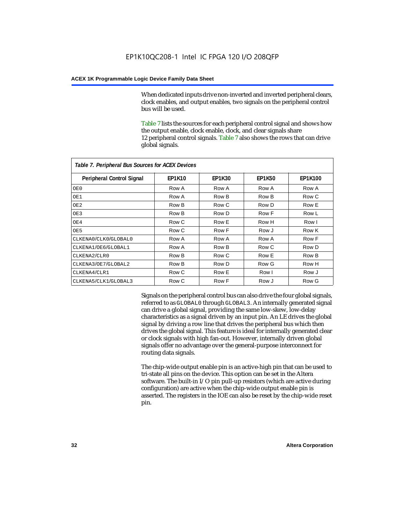When dedicated inputs drive non-inverted and inverted peripheral clears, clock enables, and output enables, two signals on the peripheral control bus will be used.

Table 7 lists the sources for each peripheral control signal and shows how the output enable, clock enable, clock, and clear signals share 12 peripheral control signals. Table 7 also shows the rows that can drive global signals.

| Table 7. Peripheral Bus Sources for ACEX Devices |               |               |               |                |  |  |
|--------------------------------------------------|---------------|---------------|---------------|----------------|--|--|
| <b>Peripheral Control Signal</b>                 | <b>EP1K10</b> | <b>EP1K30</b> | <b>EP1K50</b> | <b>EP1K100</b> |  |  |
| OE0                                              | Row A         | Row A         | Row A         | Row A          |  |  |
| OE1                                              | Row A         | Row B         | Row B         | Row C          |  |  |
| OE <sub>2</sub>                                  | Row B         | Row C         | Row D         | Row E          |  |  |
| OE3                                              | Row B         | Row D         | Row F         | Row L          |  |  |
| OE4                                              | Row C         | Row E         | Row H         | Row I          |  |  |
| OE5                                              | Row C         | Row F         | Row J         | Row K          |  |  |
| CLKENA0/CLK0/GLOBAL0                             | Row A         | Row A         | Row A         | Row F          |  |  |
| CLKENA1/OE6/GLOBAL1                              | Row A         | Row B         | Row C         | Row D          |  |  |
| CLKENA2/CLR0                                     | Row B         | Row C         | Row E         | Row B          |  |  |
| CLKENA3/OE7/GLOBAL2                              | Row B         | Row D         | Row G         | Row H          |  |  |
| CLKENA4/CLR1                                     | Row C         | Row E         | Row I         | Row J          |  |  |
| CLKENA5/CLK1/GLOBAL3                             | Row C         | Row F         | Row J         | Row G          |  |  |

Signals on the peripheral control bus can also drive the four global signals, referred to as GLOBAL0 through GLOBAL3. An internally generated signal can drive a global signal, providing the same low-skew, low-delay characteristics as a signal driven by an input pin. An LE drives the global signal by driving a row line that drives the peripheral bus which then drives the global signal. This feature is ideal for internally generated clear or clock signals with high fan-out. However, internally driven global signals offer no advantage over the general-purpose interconnect for routing data signals.

The chip-wide output enable pin is an active-high pin that can be used to tri-state all pins on the device. This option can be set in the Altera software. The built-in I/O pin pull-up resistors (which are active during configuration) are active when the chip-wide output enable pin is asserted. The registers in the IOE can also be reset by the chip-wide reset pin.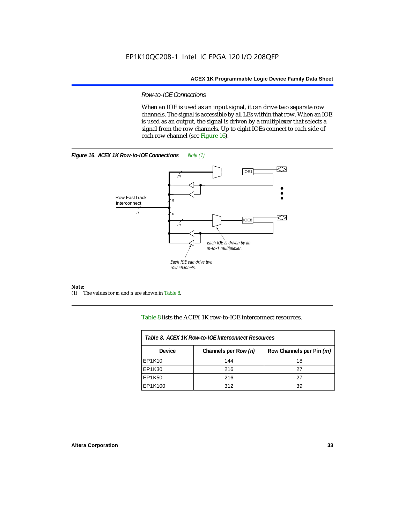#### *Row-to-IOE Connections*

When an IOE is used as an input signal, it can drive two separate row channels. The signal is accessible by all LEs within that row. When an IOE is used as an output, the signal is driven by a multiplexer that selects a signal from the row channels. Up to eight IOEs connect to each side of each row channel (see Figure 16).





*Note:*<br>(1) 7 (1) The values for *m* and *n* are shown in Table 8.

Table 8 lists the ACEX 1K row-to-IOE interconnect resources.

| Table 8. ACEX 1K Row-to-IOE Interconnect Resources |                      |                          |  |  |  |
|----------------------------------------------------|----------------------|--------------------------|--|--|--|
| Device                                             | Channels per Row (n) | Row Channels per Pin (m) |  |  |  |
| EP1K10                                             | 144                  | 18                       |  |  |  |
| EP1K30                                             | 216                  | 27                       |  |  |  |
| EP1K50                                             | 216                  | 27                       |  |  |  |
| EP1K100                                            | 312                  | 39                       |  |  |  |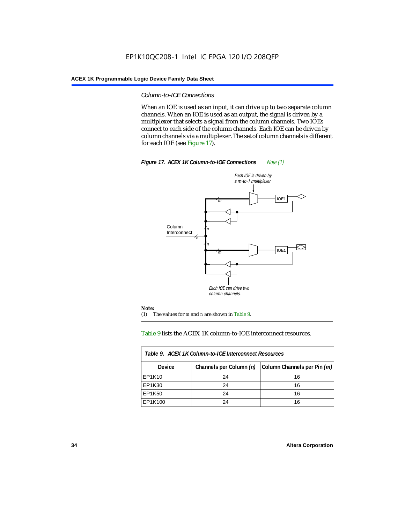#### *Column-to-IOE Connections*

When an IOE is used as an input, it can drive up to two separate column channels. When an IOE is used as an output, the signal is driven by a multiplexer that selects a signal from the column channels. Two IOEs connect to each side of the column channels. Each IOE can be driven by column channels via a multiplexer. The set of column channels is different for each IOE (see Figure 17).



#### Table 9 lists the ACEX 1K column-to-IOE interconnect resources.

| Table 9. ACEX 1K Column-to-IOE Interconnect Resources |                         |                             |  |  |  |
|-------------------------------------------------------|-------------------------|-----------------------------|--|--|--|
| Device                                                | Channels per Column (n) | Column Channels per Pin (m) |  |  |  |
| EP1K10                                                | 24                      | 16                          |  |  |  |
| EP1K30                                                | 24                      | 16                          |  |  |  |
| EP1K50                                                | 24                      | 16                          |  |  |  |
| EP1K100                                               | 24                      | 16                          |  |  |  |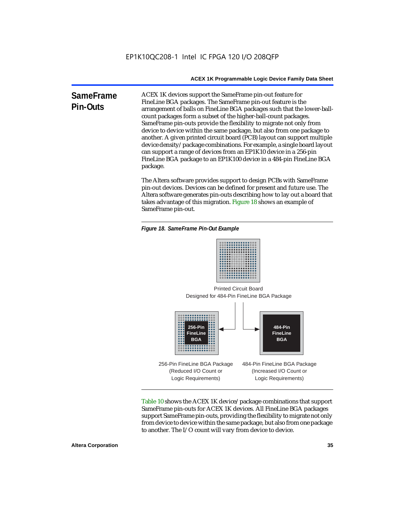**SameFrame Pin-Outs** ACEX 1K devices support the SameFrame pin-out feature for FineLine BGA packages. The SameFrame pin-out feature is the arrangement of balls on FineLine BGA packages such that the lower-ballcount packages form a subset of the higher-ball-count packages. SameFrame pin-outs provide the flexibility to migrate not only from device to device within the same package, but also from one package to another. A given printed circuit board (PCB) layout can support multiple device density/package combinations. For example, a single board layout can support a range of devices from an EP1K10 device in a 256-pin FineLine BGA package to an EP1K100 device in a 484-pin FineLine BGA package.

> The Altera software provides support to design PCBs with SameFrame pin-out devices. Devices can be defined for present and future use. The Altera software generates pin-outs describing how to lay out a board that takes advantage of this migration. Figure 18 shows an example of SameFrame pin-out.

*Figure 18. SameFrame Pin-Out Example*



Designed for 484-Pin FineLine BGA Package Printed Circuit Board



Table 10 shows the ACEX 1K device/package combinations that support SameFrame pin-outs for ACEX 1K devices. All FineLine BGA packages support SameFrame pin-outs, providing the flexibility to migrate not only from device to device within the same package, but also from one package to another. The I/O count will vary from device to device.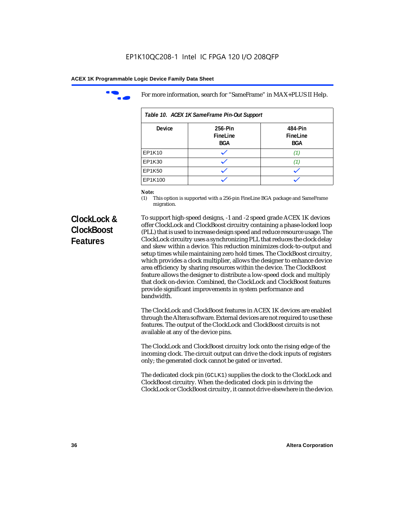

For more information, search for "SameFrame" in MAX+PLUS II Help.

| Table 10. ACEX 1K SameFrame Pin-Out Support |                            |                                   |  |  |  |
|---------------------------------------------|----------------------------|-----------------------------------|--|--|--|
| <b>Device</b>                               | 256-Pin<br>FineLine<br>BGA | 484-Pin<br>FineLine<br><b>BGA</b> |  |  |  |
| EP1K10                                      |                            | (1.                               |  |  |  |
| EP1K30                                      |                            | 11.                               |  |  |  |
| EP1K50                                      |                            |                                   |  |  |  |
| EP1K100                                     |                            |                                   |  |  |  |

# *Note:*<br>(1) **7**

This option is supported with a 256-pin FineLine BGA package and SameFrame migration.

# **ClockLock & ClockBoost Features**

To support high-speed designs, -1 and -2 speed grade ACEX 1K devices offer ClockLock and ClockBoost circuitry containing a phase-locked loop (PLL) that is used to increase design speed and reduce resource usage. The ClockLock circuitry uses a synchronizing PLL that reduces the clock delay and skew within a device. This reduction minimizes clock-to-output and setup times while maintaining zero hold times. The ClockBoost circuitry, which provides a clock multiplier, allows the designer to enhance device area efficiency by sharing resources within the device. The ClockBoost feature allows the designer to distribute a low-speed clock and multiply that clock on-device. Combined, the ClockLock and ClockBoost features provide significant improvements in system performance and bandwidth.

The ClockLock and ClockBoost features in ACEX 1K devices are enabled through the Altera software. External devices are not required to use these features. The output of the ClockLock and ClockBoost circuits is not available at any of the device pins.

The ClockLock and ClockBoost circuitry lock onto the rising edge of the incoming clock. The circuit output can drive the clock inputs of registers only; the generated clock cannot be gated or inverted.

The dedicated clock pin (GCLK1) supplies the clock to the ClockLock and ClockBoost circuitry. When the dedicated clock pin is driving the ClockLock or ClockBoost circuitry, it cannot drive elsewhere in the device.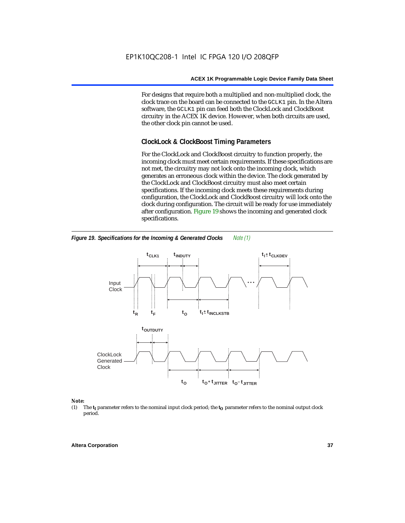For designs that require both a multiplied and non-multiplied clock, the clock trace on the board can be connected to the GCLK1 pin. In the Altera software, the GCLK1 pin can feed both the ClockLock and ClockBoost circuitry in the ACEX 1K device. However, when both circuits are used, the other clock pin cannot be used.

# **ClockLock & ClockBoost Timing Parameters**

For the ClockLock and ClockBoost circuitry to function properly, the incoming clock must meet certain requirements. If these specifications are not met, the circuitry may not lock onto the incoming clock, which generates an erroneous clock within the device. The clock generated by the ClockLock and ClockBoost circuitry must also meet certain specifications. If the incoming clock meets these requirements during configuration, the ClockLock and ClockBoost circuitry will lock onto the clock during configuration. The circuit will be ready for use immediately after configuration. Figure 19 shows the incoming and generated clock specifications.



*Figure 19. Specifications for the Incoming & Generated Clocks Note (1)*

### *Note:*

(1) The  $t_I$  parameter refers to the nominal input clock period; the  $t_O$  parameter refers to the nominal output clock period.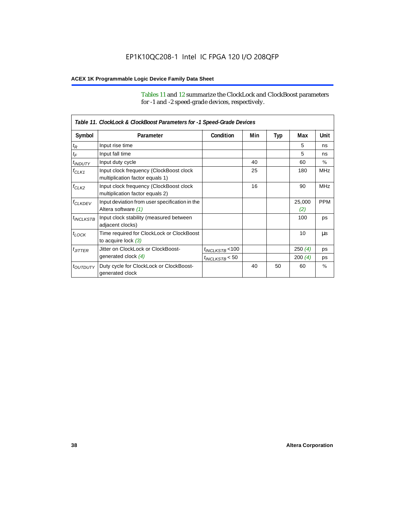Tables 11 and 12 summarize the ClockLock and ClockBoost parameters for -1 and -2 speed-grade devices, respectively.

|                       | Table 11. ClockLock & ClockBoost Parameters for -1 Speed-Grade Devices     |                      |     |     |               |               |  |
|-----------------------|----------------------------------------------------------------------------|----------------------|-----|-----|---------------|---------------|--|
| Symbol                | Parameter                                                                  | Condition            | Min | Typ | Max           | Unit          |  |
| $t_{\mathsf{R}}$      | Input rise time                                                            |                      |     |     | 5             | ns            |  |
| $t_{\mathsf{F}}$      | Input fall time                                                            |                      |     |     | 5             | ns            |  |
| $t_{INDUTY}$          | Input duty cycle                                                           |                      | 40  |     | 60            | $\frac{0}{0}$ |  |
| $f_{CLK1}$            | Input clock frequency (ClockBoost clock<br>multiplication factor equals 1) |                      | 25  |     | 180           | <b>MHz</b>    |  |
| $f_{CLK2}$            | Input clock frequency (ClockBoost clock<br>multiplication factor equals 2) |                      | 16  |     | 90            | <b>MHz</b>    |  |
| <sup>f</sup> CLKDEV   | Input deviation from user specification in the<br>Altera software (1)      |                      |     |     | 25,000<br>(2) | <b>PPM</b>    |  |
| <sup>t</sup> INCLKSTB | Input clock stability (measured between<br>adjacent clocks)                |                      |     |     | 100           | ps            |  |
| $t_{LOCK}$            | Time required for ClockLock or ClockBoost<br>to acquire lock $(3)$         |                      |     |     | 10            | μs            |  |
| $t_{JITTER}$          | Jitter on ClockLock or ClockBoost-                                         | $t_{INCLKSTB}$ < 100 |     |     | 250(4)        | ps            |  |
|                       | generated clock (4)                                                        | $t_{INCLKSTB}$ < 50  |     |     | 200(4)        | ps            |  |
| <i>toutputy</i>       | Duty cycle for ClockLock or ClockBoost-<br>generated clock                 |                      | 40  | 50  | 60            | $\frac{0}{0}$ |  |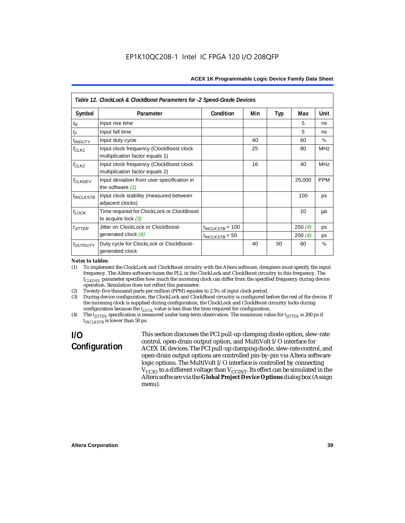|                           | Table 12. ClockLock & ClockBoost Parameters for -2 Speed-Grade Devices     |                      |     |     |        |               |
|---------------------------|----------------------------------------------------------------------------|----------------------|-----|-----|--------|---------------|
| Symbol                    | Parameter                                                                  | Condition            | Min | Typ | Max    | Unit          |
| $t_{\mathsf{R}}$          | Input rise time                                                            |                      |     |     | 5      | ns            |
| $t_F$                     | Input fall time                                                            |                      |     |     | 5      | ns            |
| <i>t<sub>INDUTY</sub></i> | Input duty cycle                                                           |                      | 40  |     | 60     | $\frac{0}{0}$ |
| $f_{CLK1}$                | Input clock frequency (ClockBoost clock<br>multiplication factor equals 1) |                      | 25  |     | 80     | <b>MHz</b>    |
| $f_{CLK2}$                | Input clock frequency (ClockBoost clock<br>multiplication factor equals 2) |                      | 16  |     | 40     | <b>MHz</b>    |
| <b>f<sub>CLKDEV</sub></b> | Input deviation from user specification in<br>the software $(1)$           |                      |     |     | 25,000 | <b>PPM</b>    |
| $t_{INCLKSTB}$            | Input clock stability (measured between<br>adjacent clocks)                |                      |     |     | 100    | ps            |
| $t_{LOCK}$                | Time required for ClockLock or ClockBoost<br>to acquire lock $(3)$         |                      |     |     | 10     | μs            |
| $t_{JITTER}$              | Jitter on ClockLock or ClockBoost-                                         | $t_{INCLUSTB}$ < 100 |     |     | 250(4) | ps            |
|                           | generated clock $(4)$                                                      | $t_{INCLKSTB}$ < 50  |     |     | 200(4) | ps            |
| t <sub>outputy</sub>      | Duty cycle for ClockLock or ClockBoost-<br>generated clock                 |                      | 40  | 50  | 60     | $\frac{0}{0}$ |

### *Notes to tables:*

(1) To implement the ClockLock and ClockBoost circuitry with the Altera software, designers must specify the input frequency. The Altera software tunes the PLL in the ClockLock and ClockBoost circuitry to this frequency. The *fCLKDEV* parameter specifies how much the incoming clock can differ from the specified frequency during device operation. Simulation does not reflect this parameter.

(2) Twenty-five thousand parts per million (PPM) equates to 2.5% of input clock period.

(3) During device configuration, the ClockLock and ClockBoost circuitry is configured before the rest of the device. If the incoming clock is supplied during configuration, the ClockLock and ClockBoost circuitry locks during configuration because the  $t_{LOCK}$  value is less than the time required for configuration.

(4) The  $t_{\text{ITTTER}}$  specification is measured under long-term observation. The maximum value for  $t_{\text{ITTTER}}$  is 200 ps if *tINCLKSTB* is lower than 50 ps.

# **I/O Configuration**

This section discusses the PCI pull-up clamping diode option, slew-rate control, open-drain output option, and MultiVolt I/O interface for ACEX 1K devices. The PCI pull-up clamping diode, slew-rate control, and open-drain output options are controlled pin-by-pin via Altera software logic options. The MultiVolt I/O interface is controlled by connecting  $V_{\rm CCD}$  to a different voltage than  $V_{\rm CCINT}$ . Its effect can be simulated in the Altera software via the **Global Project Device Options** dialog box (Assign menu).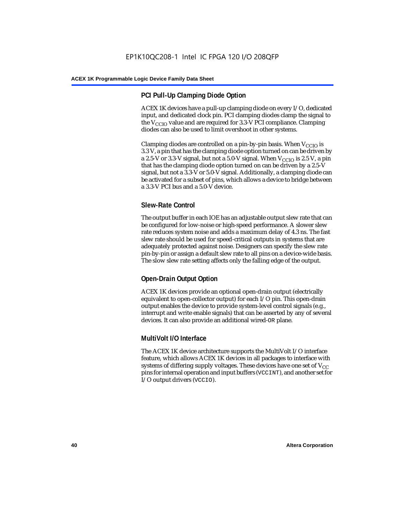# **PCI Pull-Up Clamping Diode Option**

ACEX 1K devices have a pull-up clamping diode on every I/O, dedicated input, and dedicated clock pin. PCI clamping diodes clamp the signal to the  $V_{\text{CCIO}}$  value and are required for 3.3-V PCI compliance. Clamping diodes can also be used to limit overshoot in other systems.

Clamping diodes are controlled on a pin-by-pin basis. When  $V_{CCIO}$  is 3.3 V, a pin that has the clamping diode option turned on can be driven by a 2.5-V or 3.3-V signal, but not a 5.0-V signal. When  $V_{CCIO}$  is 2.5 V, a pin that has the clamping diode option turned on can be driven by a 2.5-V signal, but not a 3.3-V or 5.0-V signal. Additionally, a clamping diode can be activated for a subset of pins, which allows a device to bridge between a 3.3-V PCI bus and a 5.0-V device.

# **Slew-Rate Control**

The output buffer in each IOE has an adjustable output slew rate that can be configured for low-noise or high-speed performance. A slower slew rate reduces system noise and adds a maximum delay of 4.3 ns. The fast slew rate should be used for speed-critical outputs in systems that are adequately protected against noise. Designers can specify the slew rate pin-by-pin or assign a default slew rate to all pins on a device-wide basis. The slow slew rate setting affects only the falling edge of the output.

# **Open-Drain Output Option**

ACEX 1K devices provide an optional open-drain output (electrically equivalent to open-collector output) for each I/O pin. This open-drain output enables the device to provide system-level control signals (e.g., interrupt and write enable signals) that can be asserted by any of several devices. It can also provide an additional wired-OR plane.

# **MultiVolt I/O Interface**

The ACEX 1K device architecture supports the MultiVolt I/O interface feature, which allows ACEX 1K devices in all packages to interface with systems of differing supply voltages. These devices have one set of  $V_{CC}$ pins for internal operation and input buffers (VCCINT), and another set for I/O output drivers (VCCIO).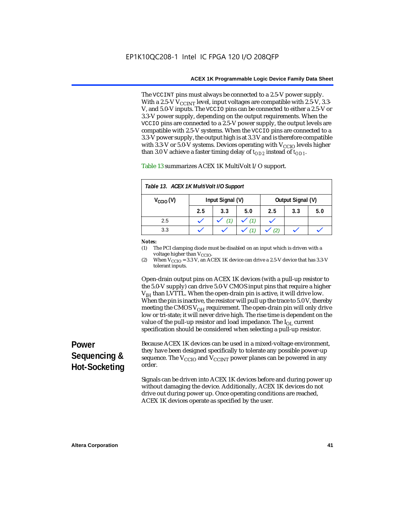The VCCINT pins must always be connected to a 2.5-V power supply. With a 2.5-V  $V_{CCMT}$  level, input voltages are compatible with 2.5-V, 3.3-V, and 5.0-V inputs. The VCCIO pins can be connected to either a 2.5-V or 3.3-V power supply, depending on the output requirements. When the VCCIO pins are connected to a 2.5-V power supply, the output levels are compatible with 2.5-V systems. When the VCCIO pins are connected to a 3.3-V power supply, the output high is at 3.3 V and is therefore compatible with 3.3-V or 5.0-V systems. Devices operating with  $V_{\text{CCIO}}$  levels higher than 3.0 V achieve a faster timing delay of  $t_{OD2}$  instead of  $t_{OD1}$ .

| Table 13. ACEX 1K MultiVolt I/O Support                       |     |     |     |     |     |     |
|---------------------------------------------------------------|-----|-----|-----|-----|-----|-----|
| Input Signal (V)<br>Output Signal (V)<br>$V_{\text{CCIO}}(V)$ |     |     |     |     |     |     |
|                                                               | 2.5 | 3.3 | 5.0 | 2.5 | 3.3 | 5.0 |
| 2.5                                                           |     |     | (1) |     |     |     |
| 3.3                                                           |     |     |     |     |     |     |

Table 13 summarizes ACEX 1K MultiVolt I/O support.

### *Notes:*

(1) The PCI clamping diode must be disabled on an input which is driven with a voltage higher than V<sub>CCIO</sub>.

(2) When  $V_{\text{CCIO}} = 3.3$  V, an ACEX 1K device can drive a 2.5-V device that has 3.3-V tolerant inputs.

Open-drain output pins on ACEX 1K devices (with a pull-up resistor to the 5.0-V supply) can drive 5.0-V CMOS input pins that require a higher  $V<sub>IH</sub>$  than LVTTL. When the open-drain pin is active, it will drive low. When the pin is inactive, the resistor will pull up the trace to 5.0 V, thereby meeting the CMOS  $V_{OH}$  requirement. The open-drain pin will only drive low or tri-state; it will never drive high. The rise time is dependent on the value of the pull-up resistor and load impedance. The  $I_{OL}$  current specification should be considered when selecting a pull-up resistor.

# **Power Sequencing & Hot-Socketing**

Because ACEX 1K devices can be used in a mixed-voltage environment, they have been designed specifically to tolerate any possible power-up sequence. The  $V_{\text{CCIO}}$  and  $V_{\text{CCINT}}$  power planes can be powered in any order.

Signals can be driven into ACEX 1K devices before and during power up without damaging the device. Additionally, ACEX 1K devices do not drive out during power up. Once operating conditions are reached, ACEX 1K devices operate as specified by the user.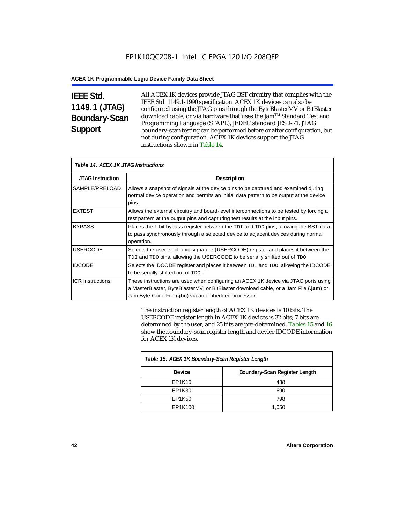# **IEEE Std. 1149.1 (JTAG) Boundary-Scan Support**

All ACEX 1K devices provide JTAG BST circuitry that complies with the IEEE Std. 1149.1-1990 specification. ACEX 1K devices can also be configured using the JTAG pins through the ByteBlasterMV or BitBlaster download cable, or via hardware that uses the Jam™ Standard Test and Programming Language (STAPL), JEDEC standard JESD-71. JTAG boundary-scan testing can be performed before or after configuration, but not during configuration. ACEX 1K devices support the JTAG instructions shown in Table 14.

| Table 14. ACEX 1K JTAG Instructions |                                                                                                                                                                                                                                      |  |  |  |
|-------------------------------------|--------------------------------------------------------------------------------------------------------------------------------------------------------------------------------------------------------------------------------------|--|--|--|
| <b>JTAG Instruction</b>             | <b>Description</b>                                                                                                                                                                                                                   |  |  |  |
| SAMPLE/PRELOAD                      | Allows a snapshot of signals at the device pins to be captured and examined during<br>normal device operation and permits an initial data pattern to be output at the device<br>pins.                                                |  |  |  |
| <b>EXTEST</b>                       | Allows the external circuitry and board-level interconnections to be tested by forcing a<br>test pattern at the output pins and capturing test results at the input pins.                                                            |  |  |  |
| <b>BYPASS</b>                       | Places the 1-bit bypass register between the TDI and TDO pins, allowing the BST data<br>to pass synchronously through a selected device to adjacent devices during normal<br>operation.                                              |  |  |  |
| <b>USERCODE</b>                     | Selects the user electronic signature (USERCODE) register and places it between the<br>TDI and TDO pins, allowing the USERCODE to be serially shifted out of TDO.                                                                    |  |  |  |
| <b>IDCODE</b>                       | Selects the IDCODE register and places it between TDI and TDO, allowing the IDCODE<br>to be serially shifted out of TDO.                                                                                                             |  |  |  |
| <b>ICR Instructions</b>             | These instructions are used when configuring an ACEX 1K device via JTAG ports using<br>a MasterBlaster, ByteBlasterMV, or BitBlaster download cable, or a Jam File (.jam) or<br>Jam Byte-Code File (.jbc) via an embedded processor. |  |  |  |

The instruction register length of ACEX 1K devices is 10 bits. The USERCODE register length in ACEX 1K devices is 32 bits; 7 bits are determined by the user, and 25 bits are pre-determined. Tables 15 and 16 show the boundary-scan register length and device IDCODE information for ACEX 1K devices.

| Table 15. ACEX 1K Boundary-Scan Register Length |                               |  |  |  |
|-------------------------------------------------|-------------------------------|--|--|--|
| <b>Device</b>                                   | Boundary-Scan Register Length |  |  |  |
| EP1K10                                          | 438                           |  |  |  |
| EP1K30                                          | 690                           |  |  |  |
| EP1K50                                          | 798                           |  |  |  |
| EP1K100                                         | 1,050                         |  |  |  |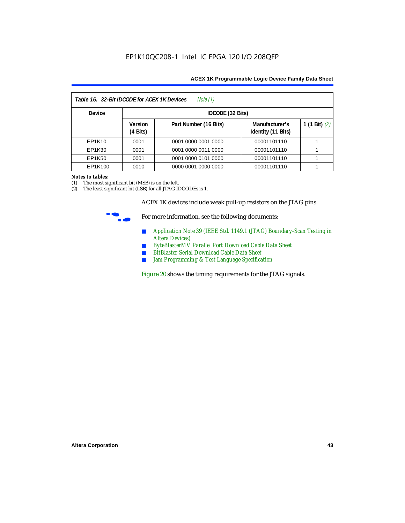| Table 16. 32-Bit IDCODE for ACEX 1K Devices<br>Note (1) |                                      |                       |                                      |                 |  |  |
|---------------------------------------------------------|--------------------------------------|-----------------------|--------------------------------------|-----------------|--|--|
| <b>Device</b>                                           |                                      | IDCODE (32 Bits)      |                                      |                 |  |  |
|                                                         | <b>Version</b><br>$(4 \text{ Bits})$ | Part Number (16 Bits) | Manufacturer's<br>Identity (11 Bits) | 1 (1 Bit) $(2)$ |  |  |
| EP1K10                                                  | 0001                                 | 0001 0000 0001 0000   | 00001101110                          |                 |  |  |
| EP1K30                                                  | 0001                                 | 0001 0000 0011 0000   | 00001101110                          |                 |  |  |
| EP1K50                                                  | 0001                                 | 0001 0000 0101 0000   | 00001101110                          |                 |  |  |
| EP1K100                                                 | 0010                                 | 0000 0001 0000 0000   | 00001101110                          |                 |  |  |

### *Notes to tables:*

(1) The most significant bit (MSB) is on the left.

(2) The least significant bit (LSB) for all JTAG IDCODEs is 1.

ACEX 1K devices include weak pull-up resistors on the JTAG pins.



For more information, see the following documents:

- *Application Note 39 (IEEE Std. 1149.1 (JTAG) Boundary-Scan Testing in Altera Devices)*
- *ByteBlasterMV Parallel Port Download Cable Data Sheet*
- *BitBlaster Serial Download Cable Data Sheet*
- *Jam Programming & Test Language Specification*

Figure 20 shows the timing requirements for the JTAG signals.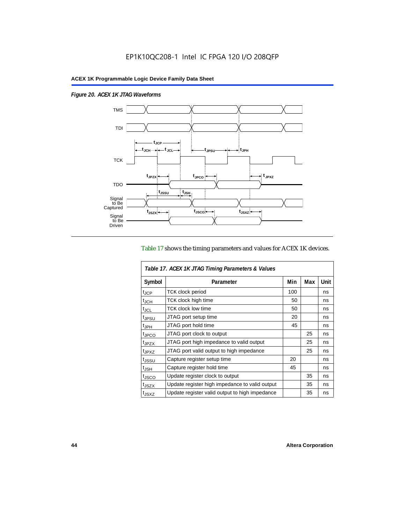$\overline{1}$ 

*Figure 20. ACEX 1K JTAG Waveforms*



### Table 17 shows the timing parameters and values for ACEX 1K devices.

| Table 17. ACEX 1K JTAG Timing Parameters & Values |                                                |     |     |      |  |  |
|---------------------------------------------------|------------------------------------------------|-----|-----|------|--|--|
| Symbol                                            | Parameter                                      | Min | Max | Unit |  |  |
| t <sub>JCP</sub>                                  | <b>TCK clock period</b>                        | 100 |     | ns   |  |  |
| $t_{JCH}$                                         | TCK clock high time                            | 50  |     | ns   |  |  |
| t <sub>JCL</sub>                                  | <b>TCK clock low time</b>                      | 50  |     | ns   |  |  |
| <sup>t</sup> JPSU                                 | JTAG port setup time                           | 20  |     | ns   |  |  |
| $t_{\rm JPH}$                                     | JTAG port hold time                            | 45  |     | ns   |  |  |
| <sup>t</sup> JPCO                                 | JTAG port clock to output                      |     | 25  | ns   |  |  |
| t <sub>JPZX</sub>                                 | JTAG port high impedance to valid output       |     | 25  | ns   |  |  |
| t <sub>JPXZ</sub>                                 | JTAG port valid output to high impedance       |     | 25  | ns   |  |  |
| tjssu                                             | Capture register setup time                    | 20  |     | ns   |  |  |
| $t_{\mathsf{JSH}}$                                | Capture register hold time                     | 45  |     | ns   |  |  |
| t <sub>JSCO</sub>                                 | Update register clock to output                |     | 35  | ns   |  |  |
| t <sub>JSZX</sub>                                 | Update register high impedance to valid output |     | 35  | ns   |  |  |
| t <sub>JSXZ</sub>                                 | Update register valid output to high impedance |     | 35  | ns   |  |  |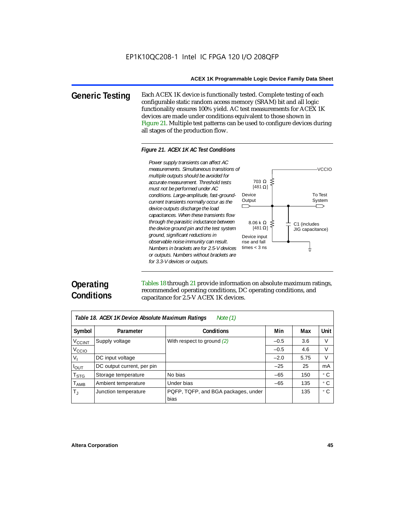**Generic Testing** Each ACEX 1K device is functionally tested. Complete testing of each configurable static random access memory (SRAM) bit and all logic functionality ensures 100% yield. AC test measurements for ACEX 1K devices are made under conditions equivalent to those shown in Figure 21. Multiple test patterns can be used to configure devices during all stages of the production flow.

### *Figure 21. ACEX 1K AC Test Conditions*



# **Operating Conditions**

Tables 18 through 21 provide information on absolute maximum ratings, recommended operating conditions, DC operating conditions, and capacitance for 2.5-V ACEX 1K devices.

| Note $(1)$<br>Table 18. ACEX 1K Device Absolute Maximum Ratings |                            |                                             |        |      |           |  |  |
|-----------------------------------------------------------------|----------------------------|---------------------------------------------|--------|------|-----------|--|--|
| Symbol                                                          | Parameter                  | <b>Conditions</b>                           | Min    | Max  | Unit      |  |  |
| <b>V<sub>CCINT</sub></b>                                        | Supply voltage             | With respect to ground (2)                  | $-0.5$ | 3.6  | V         |  |  |
| V <sub>CCIO</sub>                                               |                            |                                             | $-0.5$ | 4.6  | V         |  |  |
| V,                                                              | DC input voltage           |                                             | $-2.0$ | 5.75 | V         |  |  |
| $I_{OUT}$                                                       | DC output current, per pin |                                             | $-25$  | 25   | mA        |  |  |
| $\mathsf{T}_{\textsf{STG}}$                                     | Storage temperature        | No bias                                     | $-65$  | 150  | ۰c        |  |  |
| $T_{\sf AMB}$                                                   | Ambient temperature        | Under bias                                  | $-65$  | 135  | $\circ$ C |  |  |
| $T_{\rm J}$                                                     | Junction temperature       | PQFP, TQFP, and BGA packages, under<br>bias |        | 135  | ۰c        |  |  |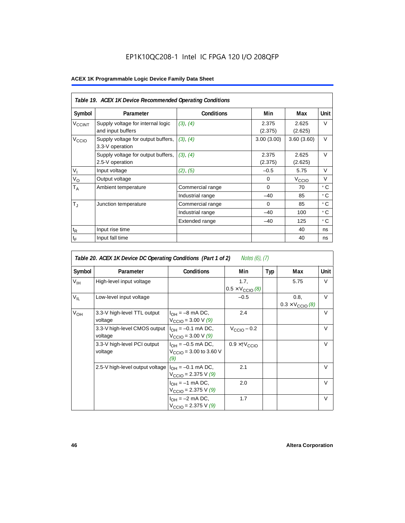# EP1K10QC208-1 Intel IC FPGA 120 I/O 208QFP

|                   | Table 19. ACEX 1K Device Recommended Operating Conditions |                   |                  |                   |        |  |  |  |
|-------------------|-----------------------------------------------------------|-------------------|------------------|-------------------|--------|--|--|--|
| Symbol            | Parameter                                                 | <b>Conditions</b> | Min              | Max               | Unit   |  |  |  |
| $V_{\rm CCINT}$   | Supply voltage for internal logic<br>and input buffers    | (3), (4)          | 2.375<br>(2.375) | 2.625<br>(2.625)  | V      |  |  |  |
| V <sub>CCIO</sub> | Supply voltage for output buffers,<br>3.3-V operation     | (3), (4)          | 3.00(3.00)       | 3.60(3.60)        | $\vee$ |  |  |  |
|                   | Supply voltage for output buffers,<br>2.5-V operation     | (3), (4)          | 2.375<br>(2.375) | 2.625<br>(2.625)  | $\vee$ |  |  |  |
| $V_{I}$           | Input voltage                                             | (2), (5)          | $-0.5$           | 5.75              | V      |  |  |  |
| $V_{\rm O}$       | Output voltage                                            |                   | $\Omega$         | V <sub>ccio</sub> | V      |  |  |  |
| $T_A$             | Ambient temperature                                       | Commercial range  | $\Omega$         | 70                | ۰c     |  |  |  |
|                   |                                                           | Industrial range  | $-40$            | 85                | ۰c     |  |  |  |
| $T_{\rm J}$       | Junction temperature                                      | Commercial range  | $\Omega$         | 85                | ۰c     |  |  |  |
|                   |                                                           | Industrial range  | $-40$            | 100               | ۰c     |  |  |  |
|                   |                                                           | Extended range    | $-40$            | 125               | ° C    |  |  |  |
| $t_{R}$           | Input rise time                                           |                   |                  | 40                | ns     |  |  |  |
| $t_{\mathsf{F}}$  | Input fall time                                           |                   |                  | 40                | ns     |  |  |  |

| <i>Notes (6), (7)</i><br>Table 20. ACEX 1K Device DC Operating Conditions (Part 1 of 2) |                                         |                                                                          |                                          |     |                                          |        |  |  |
|-----------------------------------------------------------------------------------------|-----------------------------------------|--------------------------------------------------------------------------|------------------------------------------|-----|------------------------------------------|--------|--|--|
| Symbol                                                                                  | Parameter                               | <b>Conditions</b>                                                        | Min                                      | Typ | Max                                      | Unit   |  |  |
| $V_{\text{IH}}$                                                                         | High-level input voltage                |                                                                          | 1.7,<br>$0.5 \times V_{\text{CCIO}}$ (8) |     | 5.75                                     | $\vee$ |  |  |
| $V_{IL}$                                                                                | Low-level input voltage                 |                                                                          | $-0.5$                                   |     | 0.8,<br>$0.3 \times V_{\text{CCIO}}$ (8) | $\vee$ |  |  |
| $V_{OH}$                                                                                | 3.3-V high-level TTL output<br>voltage  | $I_{OH} = -8$ mA DC,<br>$V_{\text{CCIO}} = 3.00 \text{ V} (9)$           | 2.4                                      |     |                                          | $\vee$ |  |  |
|                                                                                         | 3.3-V high-level CMOS output<br>voltage | $I_{OH} = -0.1$ mA DC,<br>$V_{\text{CCIO}} = 3.00 \text{ V } (9)$        | $V_{\text{CClO}} - 0.2$                  |     |                                          | $\vee$ |  |  |
|                                                                                         | 3.3-V high-level PCI output<br>voltage  | $I_{OH} = -0.5$ mA DC,<br>$V_{\text{CCIO}} = 3.00$ to 3.60 V<br>(9)      | $0.9 \times$ † $V_{\text{CCIO}}$         |     |                                          | $\vee$ |  |  |
|                                                                                         | 2.5-V high-level output voltage         | I <sub>OH</sub> = –0.1 mA DC,<br>$V_{\text{CCIO}} = 2.375 \text{ V} (9)$ | 2.1                                      |     |                                          | $\vee$ |  |  |
|                                                                                         |                                         | $I_{OH} = -1$ mA DC,<br>$V_{\text{CCIO}} = 2.375 \text{ V} (9)$          | 2.0                                      |     |                                          | $\vee$ |  |  |
|                                                                                         |                                         | $I_{OH} = -2$ mA DC,<br>$V_{\text{CCIO}} = 2.375 \text{ V} (9)$          | 1.7                                      |     |                                          | V      |  |  |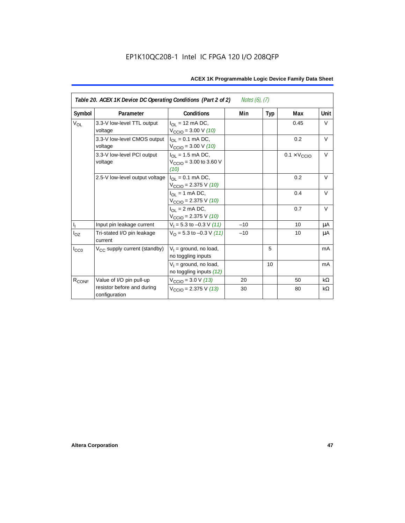| Table 20. ACEX 1K Device DC Operating Conditions (Part 2 of 2)<br><i>Notes (6), (7)</i> |                                             |                                                                         |       |     |                              |           |  |
|-----------------------------------------------------------------------------------------|---------------------------------------------|-------------------------------------------------------------------------|-------|-----|------------------------------|-----------|--|
| Symbol                                                                                  | Parameter                                   | <b>Conditions</b>                                                       | Min   | Typ | Max                          | Unit      |  |
| <b>V<sub>OL</sub></b>                                                                   | 3.3-V low-level TTL output<br>voltage       | $I_{\Omega}$ = 12 mA DC,<br>$V_{\text{CCIO}} = 3.00 \text{ V} (10)$     |       |     | 0.45                         | V         |  |
|                                                                                         | 3.3-V low-level CMOS output<br>voltage      | $I_{\Omega} = 0.1$ mA DC,<br>$V_{\text{CCIO}} = 3.00 \text{ V} (10)$    |       |     | 0.2                          | $\vee$    |  |
|                                                                                         | 3.3-V low-level PCI output<br>voltage       | $I_{OL}$ = 1.5 mA DC,<br>$V_{\text{CCIO}} = 3.00$ to 3.60 V<br>(10)     |       |     | $0.1 \times V_{\text{CCIO}}$ | $\vee$    |  |
|                                                                                         | 2.5-V low-level output voltage              | $I_{\Omega I} = 0.1$ mA DC,<br>$V_{\text{CCIO}} = 2.375 \text{ V} (10)$ |       |     | 0.2                          | $\vee$    |  |
|                                                                                         |                                             | $I_{OL}$ = 1 mA DC,<br>$V_{\text{CCIO}} = 2.375 \text{ V} (10)$         |       |     | 0.4                          | $\vee$    |  |
|                                                                                         |                                             | $I_{\Omega}$ = 2 mA DC,<br>$V_{\text{CCIO}} = 2.375 \text{ V} (10)$     |       |     | 0.7                          | V         |  |
| $\mathbf{I}_\mathrm{I}$                                                                 | Input pin leakage current                   | $V_1 = 5.3$ to $-0.3$ V (11)                                            | $-10$ |     | 10                           | μA        |  |
| $I_{OZ}$                                                                                | Tri-stated I/O pin leakage<br>current       | $V_O$ = 5.3 to -0.3 V (11)                                              | $-10$ |     | 10                           | μA        |  |
| $I_{CC0}$                                                                               | V <sub>CC</sub> supply current (standby)    | $V_1$ = ground, no load,<br>no toggling inputs                          |       | 5   |                              | mA        |  |
|                                                                                         |                                             | $V_1$ = ground, no load,<br>no toggling inputs (12)                     |       | 10  |                              | mA        |  |
| R <sub>CONF</sub>                                                                       | Value of I/O pin pull-up                    | $V_{\text{CCIO}} = 3.0 \text{ V} (13)$                                  | 20    |     | 50                           | $k\Omega$ |  |
|                                                                                         | resistor before and during<br>configuration | $V_{\text{CCIO}}$ = 2.375 V (13)                                        | 30    |     | 80                           | kΩ        |  |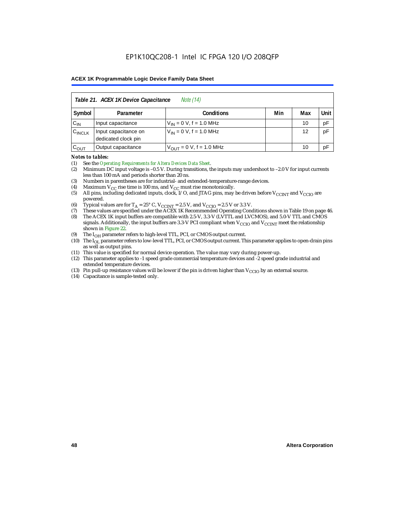| Table 21. ACEX 1K Device Capacitance<br><i>Note</i> (14) |                                                      |                                     |  |    |    |  |  |
|----------------------------------------------------------|------------------------------------------------------|-------------------------------------|--|----|----|--|--|
| Symbol                                                   | Min<br>Unit<br>Max<br><b>Conditions</b><br>Parameter |                                     |  |    |    |  |  |
| $C_{IN}$                                                 | Input capacitance                                    | $V_{IN} = 0 V$ , f = 1.0 MHz        |  | 10 | pF |  |  |
| $C_{\text{INCLK}}$                                       | Input capacitance on<br>dedicated clock pin          | $V_{1N} = 0 V$ , f = 1.0 MHz        |  | 12 | pF |  |  |
| $C_{OUT}$                                                | Output capacitance                                   | $V_{\text{OUT}} = 0$ V, f = 1.0 MHz |  | 10 | рF |  |  |

### *Notes to tables:*

(1) See the *Operating Requirements for Altera Devices Data Sheet*.

- (2) Minimum DC input voltage is –0.5 V. During transitions, the inputs may undershoot to –2.0 V for input currents less than 100 mA and periods shorter than 20 ns.
- (3) Numbers in parentheses are for industrial- and extended-temperature-range devices.
- (4) Maximum  $V_{CC}$  rise time is 100 ms, and  $V_{CC}$  must rise monotonically.<br>(5) All pins, including dedicated inputs, clock, I/O, and JTAG pins, may
- All pins, including dedicated inputs, clock, I/O, and JTAG pins, may be driven before  $V_{\text{CCINT}}$  and  $V_{\text{CCIO}}$  are powered.
- (6) Typical values are for  $T_A = 25^\circ$  C,  $V_{CClNT} = 2.5$  V, and  $V_{CClO} = 2.5$  V or 3.3 V.<br>(7) These values are specified under the ACEX 1K Recommended Operating Cone
- (7) These values are specified under the ACEX 1K Recommended Operating Conditions shown in Table 19 on page 46.<br>(8) The ACEX 1K input buffers are compatible with 2.5-V. 3.3-V (LVTTL and LVCMOS), and 5.0-V TTL and CMOS
- The ACEX 1K input buffers are compatible with 2.5-V, 3.3-V (LVTTL and LVCMOS), and 5.0-V TTL and CMOS signals. Additionally, the input buffers are 3.3-V PCI compliant when  $V_{CCIO}$  and  $V_{CCINT}$  meet the relationship shown in Figure 22.
- (9) The  $I_{OH}$  parameter refers to high-level TTL, PCI, or CMOS output current.
- (10) The I<sub>OL</sub> parameter refers to low-level TTL, PCI, or CMOS output current. This parameter applies to open-drain pins as well as output pins.
- (11) This value is specified for normal device operation. The value may vary during power-up.
- (12) This parameter applies to -1 speed grade commercial temperature devices and -2 speed grade industrial and extended temperature devices.
- (13) Pin pull-up resistance values will be lower if the pin is driven higher than  $V_{\text{CCIO}}$  by an external source.
- (14) Capacitance is sample-tested only.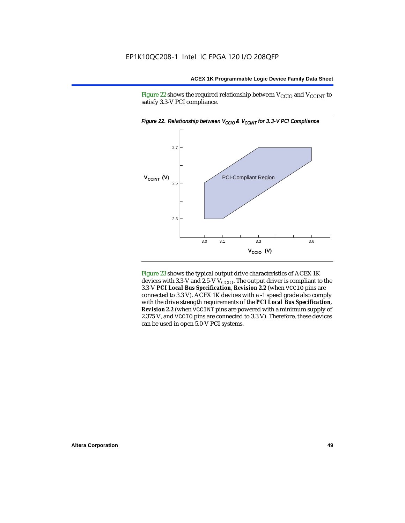Figure 22 shows the required relationship between  $V_{\text{CCIO}}$  and  $V_{\text{CCINT}}$  to satisfy 3.3-V PCI compliance.



Figure 23 shows the typical output drive characteristics of ACEX 1K devices with 3.3-V and 2.5-V  $V_{\text{CCIO}}$ . The output driver is compliant to the 3.3-V *PCI Local Bus Specification*, *Revision 2.2* (when VCCIO pins are connected to 3.3 V). ACEX 1K devices with a -1 speed grade also comply with the drive strength requirements of the *PCI Local Bus Specification*, *Revision 2.2* (when VCCINT pins are powered with a minimum supply of 2.375 V, and VCCIO pins are connected to 3.3 V). Therefore, these devices can be used in open 5.0-V PCI systems.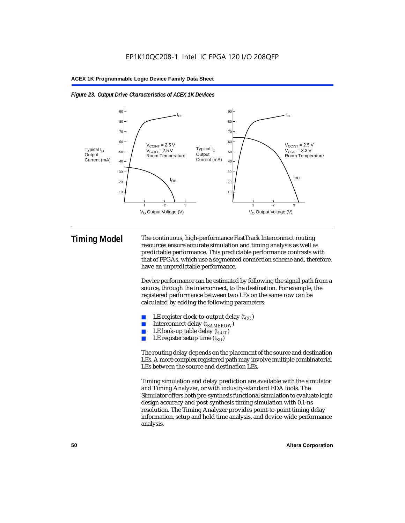



**Timing Model** The continuous, high-performance FastTrack Interconnect routing resources ensure accurate simulation and timing analysis as well as predictable performance. This predictable performance contrasts with that of FPGAs, which use a segmented connection scheme and, therefore, have an unpredictable performance.

> Device performance can be estimated by following the signal path from a source, through the interconnect, to the destination. For example, the registered performance between two LEs on the same row can be calculated by adding the following parameters:

- LE register clock-to-output delay  $(t_{CO})$
- Interconnect delay ( $t_{SAMFROW}$ )
- **■** LE look-up table delay  $(t_{LUT})$ <br>
 LE register setup time  $(t_{ST})$
- LE register setup time  $(t_{SI})$

The routing delay depends on the placement of the source and destination LEs. A more complex registered path may involve multiple combinatorial LEs between the source and destination LEs.

Timing simulation and delay prediction are available with the simulator and Timing Analyzer, or with industry-standard EDA tools. The Simulator offers both pre-synthesis functional simulation to evaluate logic design accuracy and post-synthesis timing simulation with 0.1-ns resolution. The Timing Analyzer provides point-to-point timing delay information, setup and hold time analysis, and device-wide performance analysis.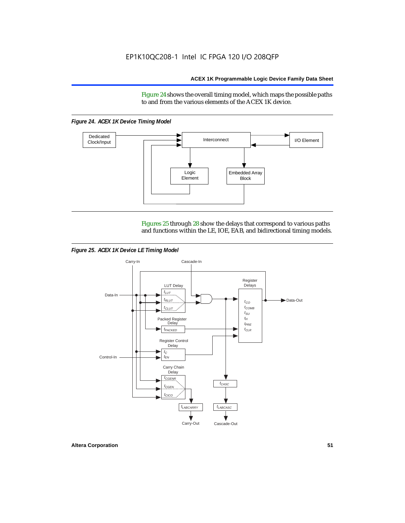Figure 24 shows the overall timing model, which maps the possible paths to and from the various elements of the ACEX 1K device.

*Figure 24. ACEX 1K Device Timing Model*



Figures 25 through 28 show the delays that correspond to various paths and functions within the LE, IOE, EAB, and bidirectional timing models.

*Figure 25. ACEX 1K Device LE Timing Model*

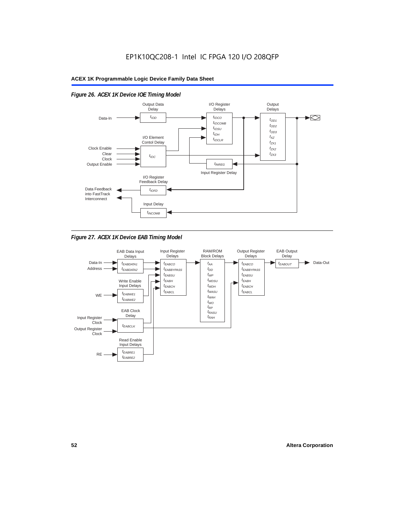

# *Figure 26. ACEX 1K Device IOE Timing Model*



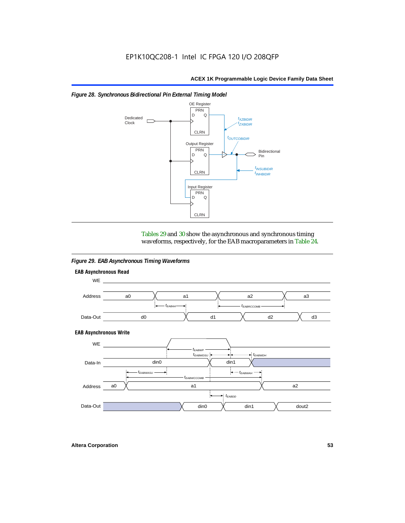



Tables 29 and 30 show the asynchronous and synchronous timing waveforms, respectively, for the EAB macroparameters in Table 24.

*Figure 29. EAB Asynchronous Timing Waveforms*

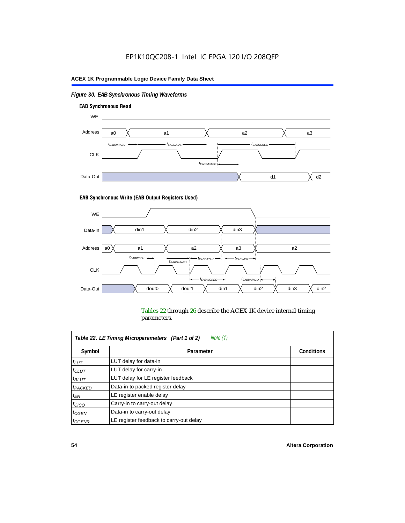# *Figure 30. EAB Synchronous Timing Waveforms*



### **EAB Synchronous Write (EAB Output Registers Used)**



Tables 22 through 26 describe the ACEX 1K device internal timing parameters.

| Note (1)<br>Table 22. LE Timing Microparameters (Part 1 of 2) |                                         |                   |  |  |  |
|---------------------------------------------------------------|-----------------------------------------|-------------------|--|--|--|
| Symbol                                                        | Parameter                               | <b>Conditions</b> |  |  |  |
| $t_{LUT}$                                                     | LUT delay for data-in                   |                   |  |  |  |
| $t_{CLUT}$                                                    | LUT delay for carry-in                  |                   |  |  |  |
| $t_{RLUT}$                                                    | LUT delay for LE register feedback      |                   |  |  |  |
| <sup>t</sup> PACKED                                           | Data-in to packed register delay        |                   |  |  |  |
| $t_{EN}$                                                      | LE register enable delay                |                   |  |  |  |
| $t_{CICO}$                                                    | Carry-in to carry-out delay             |                   |  |  |  |
| $t_{G\text{E}\text{N}}$                                       | Data-in to carry-out delay              |                   |  |  |  |
| ${}^t$ CGENR                                                  | LE register feedback to carry-out delay |                   |  |  |  |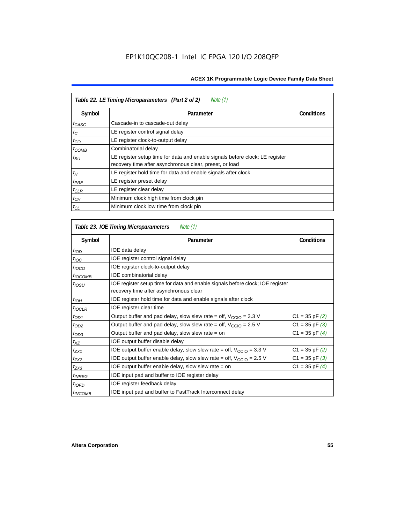| Table 22. LE Timing Microparameters (Part 2 of 2)<br>Note (1) |                                                                                                                                         |                   |  |  |  |
|---------------------------------------------------------------|-----------------------------------------------------------------------------------------------------------------------------------------|-------------------|--|--|--|
| Symbol                                                        | Parameter                                                                                                                               | <b>Conditions</b> |  |  |  |
| t <sub>CASC</sub>                                             | Cascade-in to cascade-out delay                                                                                                         |                   |  |  |  |
| $t_C$                                                         | LE register control signal delay                                                                                                        |                   |  |  |  |
| $t_{CO}$                                                      | LE register clock-to-output delay                                                                                                       |                   |  |  |  |
| $t_{COMB}$                                                    | Combinatorial delay                                                                                                                     |                   |  |  |  |
| $t_{\rm SU}$                                                  | LE register setup time for data and enable signals before clock; LE register<br>recovery time after asynchronous clear, preset, or load |                   |  |  |  |
| $t_H$                                                         | LE register hold time for data and enable signals after clock                                                                           |                   |  |  |  |
| $t_{PRE}$                                                     | LE register preset delay                                                                                                                |                   |  |  |  |
| $t_{CLR}$                                                     | LE register clear delay                                                                                                                 |                   |  |  |  |
| $t_{CH}$                                                      | Minimum clock high time from clock pin                                                                                                  |                   |  |  |  |
| $t_{CL}$                                                      | Minimum clock low time from clock pin                                                                                                   |                   |  |  |  |

| Table 23. IOE Timing Microparameters<br>Note (1) |                                                                                                                          |                    |  |  |  |
|--------------------------------------------------|--------------------------------------------------------------------------------------------------------------------------|--------------------|--|--|--|
| Symbol                                           | Parameter                                                                                                                | <b>Conditions</b>  |  |  |  |
| $t_{\textit{IOD}}$                               | IOE data delay                                                                                                           |                    |  |  |  |
| $t_{\text{IOC}}$                                 | IOE register control signal delay                                                                                        |                    |  |  |  |
| $t_{IOCO}$                                       | IOE register clock-to-output delay                                                                                       |                    |  |  |  |
| $t_{IOCOMB}$                                     | IOE combinatorial delay                                                                                                  |                    |  |  |  |
| $t_{\text{OSU}}$                                 | IOE register setup time for data and enable signals before clock; IOE register<br>recovery time after asynchronous clear |                    |  |  |  |
| $t_{IOH}$                                        | IOE register hold time for data and enable signals after clock                                                           |                    |  |  |  |
| $t_{IOCLR}$                                      | IOE register clear time                                                                                                  |                    |  |  |  |
| $t_{OD1}$                                        | Output buffer and pad delay, slow slew rate = off, $V_{\text{CCIO}} = 3.3 \text{ V}$                                     | $C1 = 35$ pF $(2)$ |  |  |  |
| $t_{OD2}$                                        | Output buffer and pad delay, slow slew rate = off, $V_{\text{CCIO}} = 2.5 V$                                             | $C1 = 35$ pF $(3)$ |  |  |  |
| $t_{OD3}$                                        | Output buffer and pad delay, slow slew rate $=$ on                                                                       | $C1 = 35$ pF $(4)$ |  |  |  |
| $t_{XZ}$                                         | IOE output buffer disable delay                                                                                          |                    |  |  |  |
| $t_{ZX1}$                                        | IOE output buffer enable delay, slow slew rate = off, $V_{\text{CCIO}} = 3.3$ V                                          | $C1 = 35$ pF $(2)$ |  |  |  |
| t <sub>ZX2</sub>                                 | IOE output buffer enable delay, slow slew rate = off, $V_{\text{CCIO}} = 2.5 V$                                          | $C1 = 35$ pF $(3)$ |  |  |  |
| t <sub>ZX3</sub>                                 | IOE output buffer enable delay, slow slew rate = on                                                                      | $C1 = 35$ pF $(4)$ |  |  |  |
| <i>t<sub>INREG</sub></i>                         | IOE input pad and buffer to IOE register delay                                                                           |                    |  |  |  |
| $t_{IOFD}$                                       | IOE register feedback delay                                                                                              |                    |  |  |  |
| <sup>t</sup> INCOMB                              | IOE input pad and buffer to FastTrack Interconnect delay                                                                 |                    |  |  |  |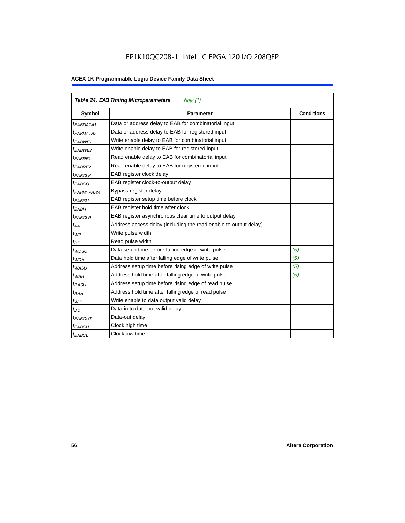| Table 24. EAB Timing Microparameters<br>Note (1) |                                                                  |                   |  |  |  |
|--------------------------------------------------|------------------------------------------------------------------|-------------------|--|--|--|
| Symbol                                           | Parameter                                                        | <b>Conditions</b> |  |  |  |
| $t_{EABDATA1}$                                   | Data or address delay to EAB for combinatorial input             |                   |  |  |  |
| <sup>t</sup> EABDATA2                            | Data or address delay to EAB for registered input                |                   |  |  |  |
| $t_{EABWE1}$                                     | Write enable delay to EAB for combinatorial input                |                   |  |  |  |
| $t_{EABWE2}$                                     | Write enable delay to EAB for registered input                   |                   |  |  |  |
| $t_{EABRE1}$                                     | Read enable delay to EAB for combinatorial input                 |                   |  |  |  |
| t <sub>EABRE2</sub>                              | Read enable delay to EAB for registered input                    |                   |  |  |  |
| $t_{EABCLK}$                                     | EAB register clock delay                                         |                   |  |  |  |
| t <sub>EABCO</sub>                               | EAB register clock-to-output delay                               |                   |  |  |  |
| <sup>t</sup> EABBYPASS                           | Bypass register delay                                            |                   |  |  |  |
| <sup>t</sup> EABSU                               | EAB register setup time before clock                             |                   |  |  |  |
| $t_{EABH}$                                       | EAB register hold time after clock                               |                   |  |  |  |
| $t_{EABCLR}$                                     | EAB register asynchronous clear time to output delay             |                   |  |  |  |
| $t_{AA}$                                         | Address access delay (including the read enable to output delay) |                   |  |  |  |
| $t_{WP}$                                         | Write pulse width                                                |                   |  |  |  |
| $t_{RP}$                                         | Read pulse width                                                 |                   |  |  |  |
| $t_{WDSU}$                                       | Data setup time before falling edge of write pulse               | (5)               |  |  |  |
| $t_{WDH}$                                        | Data hold time after falling edge of write pulse                 | (5)               |  |  |  |
| $t_{WASU}$                                       | Address setup time before rising edge of write pulse             | (5)               |  |  |  |
| $t_{WAH}$                                        | Address hold time after falling edge of write pulse              | (5)               |  |  |  |
| t <sub>RASU</sub>                                | Address setup time before rising edge of read pulse              |                   |  |  |  |
| $t_{RAH}$                                        | Address hold time after falling edge of read pulse               |                   |  |  |  |
| $t_{WO}$                                         | Write enable to data output valid delay                          |                   |  |  |  |
| $t_{DD}$                                         | Data-in to data-out valid delay                                  |                   |  |  |  |
| $t_{EABOUT}$                                     | Data-out delay                                                   |                   |  |  |  |
| <sup>t</sup> ЕАВСН                               | Clock high time                                                  |                   |  |  |  |
| $t_{EABCL}$                                      | Clock low time                                                   |                   |  |  |  |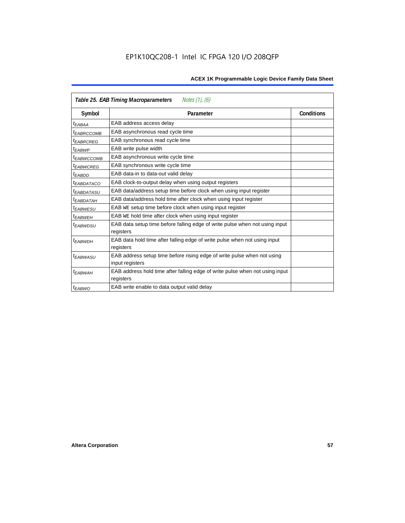| Notes (1), (6)<br>Table 25. EAB Timing Macroparameters |                                                                                           |                   |  |  |  |
|--------------------------------------------------------|-------------------------------------------------------------------------------------------|-------------------|--|--|--|
| Symbol                                                 | Parameter                                                                                 | <b>Conditions</b> |  |  |  |
| t <sub>EABAA</sub>                                     | EAB address access delay                                                                  |                   |  |  |  |
| <sup>I</sup> EABRCCOMB                                 | EAB asynchronous read cycle time                                                          |                   |  |  |  |
| <sup>t</sup> EABRCREG                                  | EAB synchronous read cycle time                                                           |                   |  |  |  |
| t <sub>EABWP</sub>                                     | EAB write pulse width                                                                     |                   |  |  |  |
| <sup>t</sup> EABWCCOMB                                 | EAB asynchronous write cycle time                                                         |                   |  |  |  |
| <sup>t</sup> EABWCREG                                  | EAB synchronous write cycle time                                                          |                   |  |  |  |
| <sup>t</sup> EABDD                                     | EAB data-in to data-out valid delay                                                       |                   |  |  |  |
| <sup>t</sup> EABDATACO                                 | EAB clock-to-output delay when using output registers                                     |                   |  |  |  |
| <sup>t</sup> EABDATASU                                 | EAB data/address setup time before clock when using input register                        |                   |  |  |  |
| <sup>t</sup> EABDATAH                                  | EAB data/address hold time after clock when using input register                          |                   |  |  |  |
| <sup>t</sup> EABWESU                                   | EAB WE setup time before clock when using input register                                  |                   |  |  |  |
| t <sub>FARWFH</sub>                                    | EAB WE hold time after clock when using input register                                    |                   |  |  |  |
| <sup>t</sup> EABWDSU                                   | EAB data setup time before falling edge of write pulse when not using input<br>registers  |                   |  |  |  |
| <sup>t</sup> EABWDH                                    | EAB data hold time after falling edge of write pulse when not using input                 |                   |  |  |  |
|                                                        | registers                                                                                 |                   |  |  |  |
| <sup>t</sup> EABWASU                                   | EAB address setup time before rising edge of write pulse when not using                   |                   |  |  |  |
|                                                        | input registers                                                                           |                   |  |  |  |
| <sup>t</sup> EABWAH                                    | EAB address hold time after falling edge of write pulse when not using input<br>registers |                   |  |  |  |
| $t_{EABWO}$                                            | EAB write enable to data output valid delay                                               |                   |  |  |  |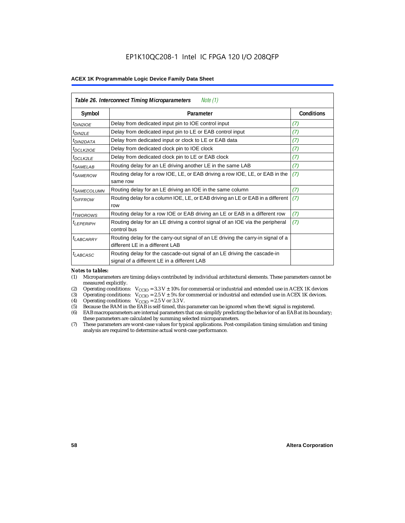| Table 26. Interconnect Timing Microparameters<br>Note $(1)$ |                                                                                                                         |            |  |  |  |
|-------------------------------------------------------------|-------------------------------------------------------------------------------------------------------------------------|------------|--|--|--|
| Symbol                                                      | Parameter                                                                                                               | Conditions |  |  |  |
| $t_{DIN2IOE}$                                               | Delay from dedicated input pin to IOE control input                                                                     | (7)        |  |  |  |
| t <sub>DIN2LE</sub>                                         | Delay from dedicated input pin to LE or EAB control input                                                               | (7)        |  |  |  |
| <sup>t</sup> DIN2DATA                                       | Delay from dedicated input or clock to LE or EAB data                                                                   | (7)        |  |  |  |
| <sup>t</sup> DCLK2IOE                                       | Delay from dedicated clock pin to IOE clock                                                                             | (7)        |  |  |  |
| $t_{DCLK2LE}$                                               | Delay from dedicated clock pin to LE or EAB clock                                                                       | (7)        |  |  |  |
| <sup>t</sup> SAMELAB                                        | Routing delay for an LE driving another LE in the same LAB                                                              | (7)        |  |  |  |
| <sup>t</sup> SAMEROW                                        | Routing delay for a row IOE, LE, or EAB driving a row IOE, LE, or EAB in the<br>same row                                | (7)        |  |  |  |
| <i>t<sub>SAMECOLUMN</sub></i>                               | Routing delay for an LE driving an IOE in the same column                                                               | (7)        |  |  |  |
| <i>t<sub>DIFFROW</sub></i>                                  | Routing delay for a column IOE, LE, or EAB driving an LE or EAB in a different<br>row                                   | (7)        |  |  |  |
| <i>t</i> <sub>TWOROWS</sub>                                 | Routing delay for a row IOE or EAB driving an LE or EAB in a different row                                              | (7)        |  |  |  |
| <sup>t</sup> I FPFRIPH                                      | Routing delay for an LE driving a control signal of an IOE via the peripheral<br>control bus                            | (7)        |  |  |  |
| t <sub>LABCARRY</sub>                                       | Routing delay for the carry-out signal of an LE driving the carry-in signal of a<br>different LE in a different LAB     |            |  |  |  |
| $t_{LABCASC}$                                               | Routing delay for the cascade-out signal of an LE driving the cascade-in<br>signal of a different LE in a different LAB |            |  |  |  |

### *Notes to tables:*

- (1) Microparameters are timing delays contributed by individual architectural elements. These parameters cannot be measured explicitly.
- (2) Operating conditions:  $V_{\text{CCIO}} = 3.3 V \pm 10\%$  for commercial or industrial and extended use in ACEX 1K devices (3) Operating conditions:  $V_{\text{CCIO}} = 2.5 V \pm 5\%$  for commercial or industrial and extended use in ACEX 1K
- (3) Operating conditions:  $V_{CCIO} = 2.5 V \pm 5\%$  for commercial or industrial and extended use in ACEX 1K devices.<br>(4) Operating conditions:  $V_{CCIO} = 2.5 V$  or 3.3 V.
- (4) Operating conditions:  $V_{\text{CCIO}} = 2.5 \text{ V or } 3.3 \text{ V.}$ <br>(5) Because the RAM in the EAB is self-timed, this
- Because the RAM in the EAB is self-timed, this parameter can be ignored when the WE signal is registered.
- (6) EAB macroparameters are internal parameters that can simplify predicting the behavior of an EAB at its boundary; these parameters are calculated by summing selected microparameters.
- (7) These parameters are worst-case values for typical applications. Post-compilation timing simulation and timing analysis are required to determine actual worst-case performance.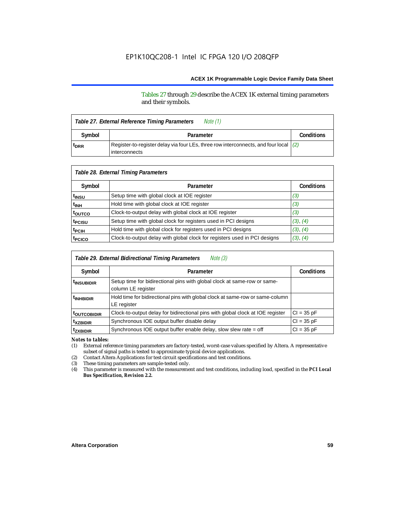Tables 27 through 29 describe the ACEX 1K external timing parameters and their symbols.

| Note (1)<br>Table 27. External Reference Timing Parameters |                                                                                        |  |  |  |  |
|------------------------------------------------------------|----------------------------------------------------------------------------------------|--|--|--|--|
| Symbol                                                     | Parameter                                                                              |  |  |  |  |
| <sup>t</sup> DRR                                           | Register-to-register delay via four LEs, three row interconnects, and four local $(2)$ |  |  |  |  |

| Table 28. External Timing Parameters |                                                                           |                   |  |  |  |
|--------------------------------------|---------------------------------------------------------------------------|-------------------|--|--|--|
| Symbol                               | Parameter                                                                 | <b>Conditions</b> |  |  |  |
| t <sub>insu</sub>                    | Setup time with global clock at IOE register                              | (3)               |  |  |  |
| t <sub>INH</sub>                     | Hold time with global clock at IOE register                               | (3)               |  |  |  |
| toutco                               | Clock-to-output delay with global clock at IOE register                   | (3)               |  |  |  |
| t <sub>PCISU</sub>                   | Setup time with global clock for registers used in PCI designs            | (3), (4)          |  |  |  |
| <sup>t</sup> PCIH                    | Hold time with global clock for registers used in PCI designs             | (3), (4)          |  |  |  |
| t <sub>PCICO</sub>                   | Clock-to-output delay with global clock for registers used in PCI designs | (3), (4)          |  |  |  |

| Table 29. External Bidirectional Timing Parameters<br>Note (3) |                                                                                                |                   |  |  |  |
|----------------------------------------------------------------|------------------------------------------------------------------------------------------------|-------------------|--|--|--|
| Symbol                                                         | Parameter                                                                                      | <b>Conditions</b> |  |  |  |
| <sup>t</sup> INSUBIDIR                                         | Setup time for bidirectional pins with global clock at same-row or same-<br>column LE register |                   |  |  |  |
| <sup>t</sup> INHBIDIR                                          | Hold time for bidirectional pins with global clock at same-row or same-column<br>LE register   |                   |  |  |  |
| <b>toutcobidir</b>                                             | Clock-to-output delay for bidirectional pins with global clock at IOE register                 | $Cl = 35 pF$      |  |  |  |
| <sup>t</sup> xzbidir                                           | Synchronous IOE output buffer disable delay                                                    | $CI = 35 pF$      |  |  |  |
| <sup>t</sup> zxbidir                                           | Synchronous IOE output buffer enable delay, slow slew rate = off                               | $CI = 35 pF$      |  |  |  |

*Notes to tables:*

(1) External reference timing parameters are factory-tested, worst-case values specified by Altera. A representative subset of signal paths is tested to approximate typical device applications.

(2) Contact Altera Applications for test circuit specifications and test conditions.

(3) These timing parameters are sample-tested only.

(4) This parameter is measured with the measurement and test conditions, including load, specified in the *PCI Local Bus Specification, Revision 2.2.*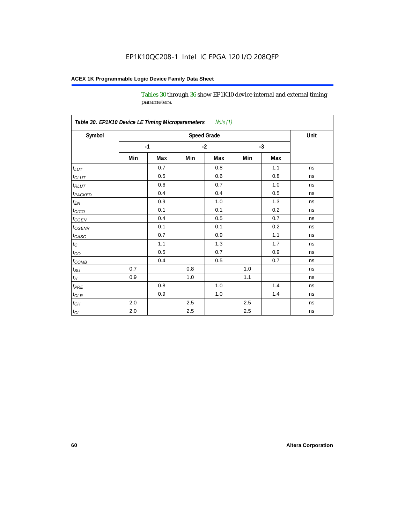Tables 30 through 36 show EP1K10 device internal and external timing parameters.

| Table 30. EP1K10 Device LE Timing Microparameters<br>Note (1) |     |      |                    |      |     |      |      |
|---------------------------------------------------------------|-----|------|--------------------|------|-----|------|------|
| Symbol                                                        |     |      | <b>Speed Grade</b> |      |     |      | Unit |
|                                                               |     | $-1$ |                    | $-2$ |     | $-3$ |      |
|                                                               | Min | Max  | Min                | Max  | Min | Max  |      |
| $t_{LUT}$                                                     |     | 0.7  |                    | 0.8  |     | 1.1  | ns   |
| $t_{CLUT}$                                                    |     | 0.5  |                    | 0.6  |     | 0.8  | ns   |
| $t_{RLUT}$                                                    |     | 0.6  |                    | 0.7  |     | 1.0  | ns   |
| <b>t</b> <sub>PACKED</sub>                                    |     | 0.4  |                    | 0.4  |     | 0.5  | ns   |
| $t_{EN}$                                                      |     | 0.9  |                    | 1.0  |     | 1.3  | ns   |
| $t_{CICO}$                                                    |     | 0.1  |                    | 0.1  |     | 0.2  | ns   |
| $t_{\text{CGEN}}$                                             |     | 0.4  |                    | 0.5  |     | 0.7  | ns   |
| $t_{GENR}$                                                    |     | 0.1  |                    | 0.1  |     | 0.2  | ns   |
| $t_{CASC}$                                                    |     | 0.7  |                    | 0.9  |     | 1.1  | ns   |
| $t_{\rm C}$                                                   |     | 1.1  |                    | 1.3  |     | 1.7  | ns   |
| $t_{CO}$                                                      |     | 0.5  |                    | 0.7  |     | 0.9  | ns   |
| $t$ <sub>COMB</sub>                                           |     | 0.4  |                    | 0.5  |     | 0.7  | ns   |
| $t_{\rm SU}$                                                  | 0.7 |      | 0.8                |      | 1.0 |      | ns   |
| $t_H\,$                                                       | 0.9 |      | 1.0                |      | 1.1 |      | ns   |
| $t_{PRE}$                                                     |     | 0.8  |                    | 1.0  |     | 1.4  | ns   |
| $t_{CLR}$                                                     |     | 0.9  |                    | 1.0  |     | 1.4  | ns   |
| $t_{\mathit{CH}}$                                             | 2.0 |      | 2.5                |      | 2.5 |      | ns   |
| $t_{CL}$                                                      | 2.0 |      | $2.5\,$            |      | 2.5 |      | ns   |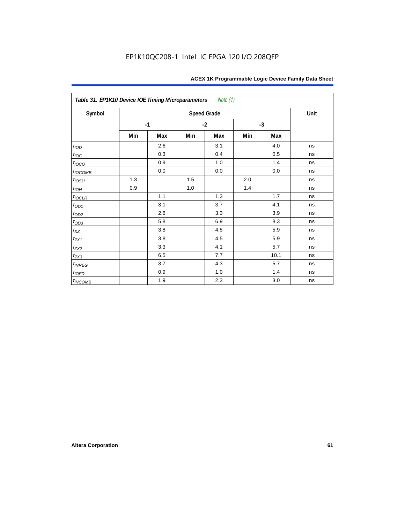| Table 31. EP1K10 Device IOE Timing Microparameters<br>Note (1) |     |      |     |                    |     |      |      |  |  |  |
|----------------------------------------------------------------|-----|------|-----|--------------------|-----|------|------|--|--|--|
| Symbol                                                         |     |      |     | <b>Speed Grade</b> |     |      | Unit |  |  |  |
|                                                                |     | $-1$ |     | $-2$               |     | $-3$ |      |  |  |  |
|                                                                | Min | Max  | Min | Max                | Min | Max  |      |  |  |  |
| t <sub>IOD</sub>                                               |     | 2.6  |     | 3.1                |     | 4.0  | ns   |  |  |  |
| $t_{\text{IOC}}$                                               |     | 0.3  |     | 0.4                |     | 0.5  | ns   |  |  |  |
| $t_{IOCO}$                                                     |     | 0.9  |     | 1.0                |     | 1.4  | ns   |  |  |  |
| $t_{IOCOMB}$                                                   |     | 0.0  |     | 0.0                |     | 0.0  | ns   |  |  |  |
| $t_{IOSU}$                                                     | 1.3 |      | 1.5 |                    | 2.0 |      | ns   |  |  |  |
| $t_{IOH}$                                                      | 0.9 |      | 1.0 |                    | 1.4 |      | ns   |  |  |  |
| $t_{IOCLR}$                                                    |     | 1.1  |     | 1.3                |     | 1.7  | ns   |  |  |  |
| $t_{OD1}$                                                      |     | 3.1  |     | 3.7                |     | 4.1  | ns   |  |  |  |
| $t_{OD2}$                                                      |     | 2.6  |     | 3.3                |     | 3.9  | ns   |  |  |  |
|                                                                |     | 5.8  |     | 6.9                |     | 8.3  | ns   |  |  |  |
| $\frac{t_{OD3}}{t_{XZ}}$                                       |     | 3.8  |     | 4.5                |     | 5.9  | ns   |  |  |  |
| $t_{ZX1}$                                                      |     | 3.8  |     | 4.5                |     | 5.9  | ns   |  |  |  |
| $t_{ZX2}$                                                      |     | 3.3  |     | 4.1                |     | 5.7  | ns   |  |  |  |
| $t_{ZX3}$                                                      |     | 6.5  |     | 7.7                |     | 10.1 | ns   |  |  |  |
| $t_{INREG}$                                                    |     | 3.7  |     | 4.3                |     | 5.7  | ns   |  |  |  |
| $t_{IOFD}$                                                     |     | 0.9  |     | 1.0                |     | 1.4  | ns   |  |  |  |
| $t_{INCOMB}$                                                   |     | 1.9  |     | 2.3                |     | 3.0  | ns   |  |  |  |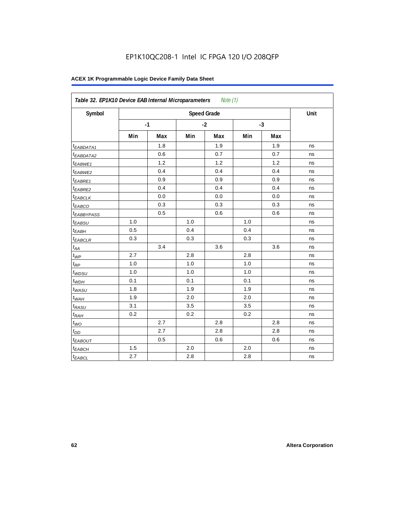| Symbol                  |     |      |     | <b>Speed Grade</b> |     |      | Unit |
|-------------------------|-----|------|-----|--------------------|-----|------|------|
|                         |     | $-1$ |     | $-2$               |     | $-3$ |      |
|                         | Min | Max  | Min | Max                | Min | Max  |      |
| <sup>t</sup> EABDATA1   |     | 1.8  |     | 1.9                |     | 1.9  | ns   |
| <sup>t</sup> EABDATA2   |     | 0.6  |     | 0.7                |     | 0.7  | ns   |
| t <sub>EABWE1</sub>     |     | 1.2  |     | 1.2                |     | 1.2  | ns   |
| <sup>t</sup> EABWE2     |     | 0.4  |     | 0.4                |     | 0.4  | ns   |
| <sup>t</sup> EABRE1     |     | 0.9  |     | 0.9                |     | 0.9  | ns   |
| <sup>t</sup> EABRE2     |     | 0.4  |     | 0.4                |     | 0.4  | ns   |
| <sup>t</sup> EABCLK     |     | 0.0  |     | 0.0                |     | 0.0  | ns   |
| t <sub>EABCO</sub>      |     | 0.3  |     | 0.3                |     | 0.3  | ns   |
| <i><b>EABBYPASS</b></i> |     | 0.5  |     | 0.6                |     | 0.6  | ns   |
| t <sub>EABSU</sub>      | 1.0 |      | 1.0 |                    | 1.0 |      | ns   |
| t <sub>EABH</sub>       | 0.5 |      | 0.4 |                    | 0.4 |      | ns   |
| <sup>t</sup> EABCLR     | 0.3 |      | 0.3 |                    | 0.3 |      | ns   |
| $t_{AA}$                |     | 3.4  |     | 3.6                |     | 3.6  | ns   |
| $t_{\mathit{WP}}$       | 2.7 |      | 2.8 |                    | 2.8 |      | ns   |
| $t_{RP}$                | 1.0 |      | 1.0 |                    | 1.0 |      | ns   |
| $t_{WDSU}$              | 1.0 |      | 1.0 |                    | 1.0 |      | ns   |
| $t_{WDH}$               | 0.1 |      | 0.1 |                    | 0.1 |      | ns   |
| $t_{WASU}$              | 1.8 |      | 1.9 |                    | 1.9 |      | ns   |
| $t_{WAH}$               | 1.9 |      | 2.0 |                    | 2.0 |      | ns   |
| t <sub>RASU</sub>       | 3.1 |      | 3.5 |                    | 3.5 |      | ns   |
| $t_{RAH}$               | 0.2 |      | 0.2 |                    | 0.2 |      | ns   |
| $t_{WQ}$                |     | 2.7  |     | 2.8                |     | 2.8  | ns   |
| $t_{DD}$                |     | 2.7  |     | 2.8                |     | 2.8  | ns   |
| t <sub>EABOUT</sub>     |     | 0.5  |     | 0.6                |     | 0.6  | ns   |
| t <sub>EABCH</sub>      | 1.5 |      | 2.0 |                    | 2.0 |      | ns   |
| $t_{EABCL}$             | 2.7 |      | 2.8 |                    | 2.8 |      | ns   |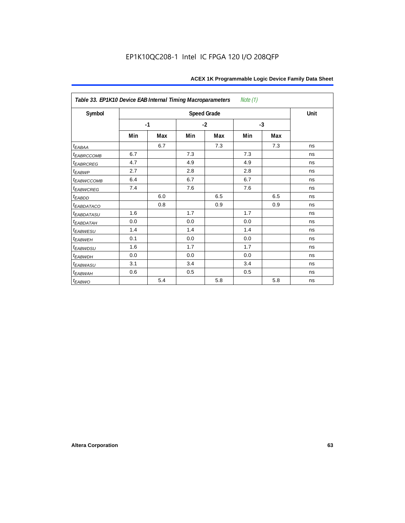| Table 33. EP1K10 Device EAB Internal Timing Macroparameters<br>Note (1) |     |      |     |                    |     |      |      |  |  |  |
|-------------------------------------------------------------------------|-----|------|-----|--------------------|-----|------|------|--|--|--|
| Symbol                                                                  |     |      |     | <b>Speed Grade</b> |     |      | Unit |  |  |  |
|                                                                         |     | $-1$ |     | $-2$               |     | $-3$ |      |  |  |  |
|                                                                         | Min | Max  | Min | Max                | Min | Max  |      |  |  |  |
| $t_{EABA}$                                                              |     | 6.7  |     | 7.3                |     | 7.3  | ns   |  |  |  |
| t <sub>EABRCCOMB</sub>                                                  | 6.7 |      | 7.3 |                    | 7.3 |      | ns   |  |  |  |
| <i>EABRCREG</i>                                                         | 4.7 |      | 4.9 |                    | 4.9 |      | ns   |  |  |  |
| t <sub>EABWP</sub>                                                      | 2.7 |      | 2.8 |                    | 2.8 |      | ns   |  |  |  |
| <sup>t</sup> EABWCCOMB                                                  | 6.4 |      | 6.7 |                    | 6.7 |      | ns   |  |  |  |
| t <sub>EABWCREG</sub>                                                   | 7.4 |      | 7.6 |                    | 7.6 |      | ns   |  |  |  |
| $t_{EABDD}$                                                             |     | 6.0  |     | 6.5                |     | 6.5  | ns   |  |  |  |
| <i>EABDATACO</i>                                                        |     | 0.8  |     | 0.9                |     | 0.9  | ns   |  |  |  |
| <i>t<sub>EABDATASU</sub></i>                                            | 1.6 |      | 1.7 |                    | 1.7 |      | ns   |  |  |  |
| <sup>t</sup> EABDATAH                                                   | 0.0 |      | 0.0 |                    | 0.0 |      | ns   |  |  |  |
| t <sub>EABWESU</sub>                                                    | 1.4 |      | 1.4 |                    | 1.4 |      | ns   |  |  |  |
| <sup>t</sup> EABWEH                                                     | 0.1 |      | 0.0 |                    | 0.0 |      | ns   |  |  |  |
| t <sub>EABWDSU</sub>                                                    | 1.6 |      | 1.7 |                    | 1.7 |      | ns   |  |  |  |
| <b><i>EABWDH</i></b>                                                    | 0.0 |      | 0.0 |                    | 0.0 |      | ns   |  |  |  |
| <sup>t</sup> EABWASU                                                    | 3.1 |      | 3.4 |                    | 3.4 |      | ns   |  |  |  |
| t <sub>ЕАВWАН</sub>                                                     | 0.6 |      | 0.5 |                    | 0.5 |      | ns   |  |  |  |
| t <sub>EABWO</sub>                                                      |     | 5.4  |     | 5.8                |     | 5.8  | ns   |  |  |  |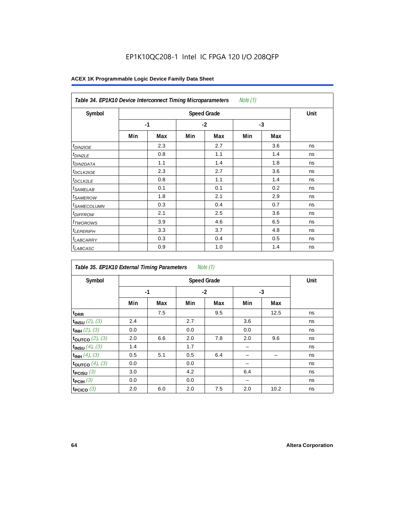| Note $(1)$<br>Table 34. EP1K10 Device Interconnect Timing Microparameters |     |                    |      |     |      |     |    |  |  |  |
|---------------------------------------------------------------------------|-----|--------------------|------|-----|------|-----|----|--|--|--|
| Symbol                                                                    |     | <b>Speed Grade</b> |      |     |      |     |    |  |  |  |
|                                                                           |     | $-1$               | $-2$ |     | $-3$ |     |    |  |  |  |
|                                                                           | Min | Max                | Min  | Max | Min  | Max |    |  |  |  |
| $t_{DINZIOE}$                                                             |     | 2.3                |      | 2.7 |      | 3.6 | ns |  |  |  |
| <sup>t</sup> DIN2LE                                                       |     | 0.8                |      | 1.1 |      | 1.4 | ns |  |  |  |
| <sup>t</sup> DIN2DATA                                                     |     | 1.1                |      | 1.4 |      | 1.8 | ns |  |  |  |
| <sup>t</sup> DCLK2IOE                                                     |     | 2.3                |      | 2.7 |      | 3.6 | ns |  |  |  |
| <sup>t</sup> DCLK2LE                                                      |     | 0.8                |      | 1.1 |      | 1.4 | ns |  |  |  |
| <sup>t</sup> SAMELAB                                                      |     | 0.1                |      | 0.1 |      | 0.2 | ns |  |  |  |
| <sup>t</sup> SAMEROW                                                      |     | 1.8                |      | 2.1 |      | 2.9 | ns |  |  |  |
| <sup>t</sup> SAMECOLUMN                                                   |     | 0.3                |      | 0.4 |      | 0.7 | ns |  |  |  |
| <i>t<sub>DIFFROW</sub></i>                                                |     | 2.1                |      | 2.5 |      | 3.6 | ns |  |  |  |
| <sup>t</sup> TWOROWS                                                      |     | 3.9                |      | 4.6 |      | 6.5 | ns |  |  |  |
| <sup>t</sup> LEPERIPH                                                     |     | 3.3                |      | 3.7 |      | 4.8 | ns |  |  |  |
| <sup>t</sup> LABCARRY                                                     |     | 0.3                |      | 0.4 |      | 0.5 | ns |  |  |  |
| <b>LABCASC</b>                                                            |     | 0.9                |      | 1.0 |      | 1.4 | ns |  |  |  |

| Note $(1)$<br>Table 35. EP1K10 External Timing Parameters |      |                    |     |      |     |      |    |  |  |  |
|-----------------------------------------------------------|------|--------------------|-----|------|-----|------|----|--|--|--|
| Symbol                                                    |      | <b>Speed Grade</b> |     |      |     |      |    |  |  |  |
|                                                           | $-1$ |                    |     | $-2$ |     | $-3$ |    |  |  |  |
|                                                           | Min  | Max                | Min | Max  | Min | Max  |    |  |  |  |
| t <sub>DRR</sub>                                          |      | 7.5                |     | 9.5  |     | 12.5 | ns |  |  |  |
| $t_{INSU}$ (2), (3)                                       | 2.4  |                    | 2.7 |      | 3.6 |      | ns |  |  |  |
| $t_{INH}$ (2), (3)                                        | 0.0  |                    | 0.0 |      | 0.0 |      | ns |  |  |  |
| toutco $(2)$ , $(3)$                                      | 2.0  | 6.6                | 2.0 | 7.8  | 2.0 | 9.6  | ns |  |  |  |
| $t_{INSU}$ (4), (3)                                       | 1.4  |                    | 1.7 |      | -   |      | ns |  |  |  |
| $t_{INH}$ (4), (3)                                        | 0.5  | 5.1                | 0.5 | 6.4  |     |      | ns |  |  |  |
| toutco $(4)$ , $(3)$                                      | 0.0  |                    | 0.0 |      |     |      | ns |  |  |  |
| t <sub>PCISU</sub> $(3)$                                  | 3.0  |                    | 4.2 |      | 6.4 |      | ns |  |  |  |
| $t_{PCH}(3)$                                              | 0.0  |                    | 0.0 |      |     |      | ns |  |  |  |
| t <sub>PCICO</sub> $(3)$                                  | 2.0  | 6.0                | 2.0 | 7.5  | 2.0 | 10.2 | ns |  |  |  |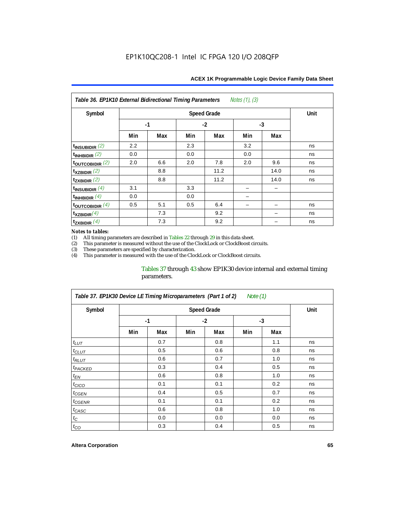| Notes $(1)$ , $(3)$<br>Table 36. EP1K10 External Bidirectional Timing Parameters |      |     |      |                    |      |      |             |  |  |  |
|----------------------------------------------------------------------------------|------|-----|------|--------------------|------|------|-------------|--|--|--|
| Symbol                                                                           |      |     |      | <b>Speed Grade</b> |      |      | <b>Unit</b> |  |  |  |
|                                                                                  | $-1$ |     | $-2$ |                    | $-3$ |      |             |  |  |  |
|                                                                                  | Min  | Max | Min  | Max                | Min  | Max  |             |  |  |  |
| $t_{INSUBIDIR}$ (2)                                                              | 2.2  |     | 2.3  |                    | 3.2  |      | ns          |  |  |  |
| $t_{INHBIDIR}$ (2)                                                               | 0.0  |     | 0.0  |                    | 0.0  |      | ns          |  |  |  |
| $t_{\text{OUTC}OBIDIR}$ (2)                                                      | 2.0  | 6.6 | 2.0  | 7.8                | 2.0  | 9.6  | ns          |  |  |  |
| $t_{XZBIDIR}$ (2)                                                                |      | 8.8 |      | 11.2               |      | 14.0 | ns          |  |  |  |
| $t_{ZXBIDIR}$ (2)                                                                |      | 8.8 |      | 11.2               |      | 14.0 | ns          |  |  |  |
| $t_{INSUBIDIR}(4)$                                                               | 3.1  |     | 3.3  |                    |      |      |             |  |  |  |
| $t_{INHBIDIR}(4)$                                                                | 0.0  |     | 0.0  |                    |      |      |             |  |  |  |
| $t_{\text{OUTCOBIDIR}}$ (4)                                                      | 0.5  | 5.1 | 0.5  | 6.4                |      |      | ns          |  |  |  |
| $t_{XZBIDIR}(4)$                                                                 |      | 7.3 |      | 9.2                |      |      | ns          |  |  |  |
| $t_{ZXBIDIR}$ $(4)$                                                              |      | 7.3 |      | 9.2                |      |      | ns          |  |  |  |

### *Notes to tables:*

(1) All timing parameters are described in Tables  $22$  through  $29$  in this data sheet.<br>(2) This parameter is measured without the use of the ClockLock or ClockBoost cir (2) This parameter is measured without the use of the ClockLock or ClockBoost circuits.

These parameters are specified by characterization.

(4) This parameter is measured with the use of the ClockLock or ClockBoost circuits.

### Tables 37 through 43 show EP1K30 device internal and external timing parameters.

| Table 37. EP1K30 Device LE Timing Microparameters (Part 1 of 2)<br>Note (1) |      |                    |     |      |     |      |    |  |  |  |
|-----------------------------------------------------------------------------|------|--------------------|-----|------|-----|------|----|--|--|--|
| Symbol                                                                      |      | <b>Speed Grade</b> |     |      |     |      |    |  |  |  |
|                                                                             | $-1$ |                    |     | $-2$ |     | $-3$ |    |  |  |  |
|                                                                             | Min  | Max                | Min | Max  | Min | Max  |    |  |  |  |
| $t_{LUT}$                                                                   |      | 0.7                |     | 0.8  |     | 1.1  | ns |  |  |  |
| $t_{CLUT}$                                                                  |      | 0.5                |     | 0.6  |     | 0.8  | ns |  |  |  |
| $t_{RLUT}$                                                                  |      | 0.6                |     | 0.7  |     | 1.0  | ns |  |  |  |
| <sup>t</sup> PACKED                                                         |      | 0.3                |     | 0.4  |     | 0.5  | ns |  |  |  |
| $t_{EN}$                                                                    |      | 0.6                |     | 0.8  |     | 1.0  | ns |  |  |  |
| $t_{CICO}$                                                                  |      | 0.1                |     | 0.1  |     | 0.2  | ns |  |  |  |
| $t_{GEN}$                                                                   |      | 0.4                |     | 0.5  |     | 0.7  | ns |  |  |  |
| <sup>t</sup> CGENR                                                          |      | 0.1                |     | 0.1  |     | 0.2  | ns |  |  |  |
| $t_{CASC}$                                                                  |      | 0.6                |     | 0.8  |     | 1.0  | ns |  |  |  |
| $t_C$                                                                       |      | 0.0                |     | 0.0  |     | 0.0  | ns |  |  |  |
| $t_{CO}$                                                                    |      | 0.3                |     | 0.4  |     | 0.5  | ns |  |  |  |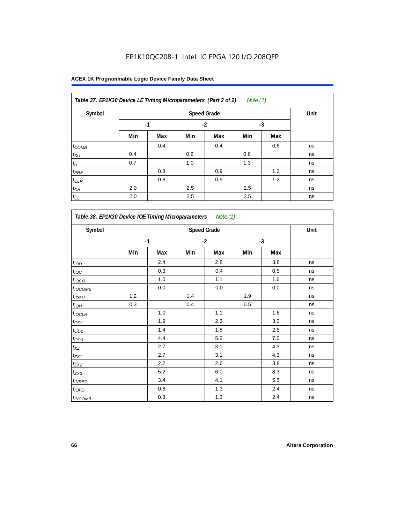| Table 37. EP1K30 Device LE Timing Microparameters (Part 2 of 2)<br>Note $(1)$ |      |      |      |     |     |     |    |  |  |
|-------------------------------------------------------------------------------|------|------|------|-----|-----|-----|----|--|--|
| Symbol                                                                        |      | Unit |      |     |     |     |    |  |  |
|                                                                               | $-1$ |      | $-2$ |     | -3  |     |    |  |  |
|                                                                               | Min  | Max  | Min  | Max | Min | Max |    |  |  |
| $t_{COMB}$                                                                    |      | 0.4  |      | 0.4 |     | 0.6 | ns |  |  |
| $t_{\text{SU}}$                                                               | 0.4  |      | 0.6  |     | 0.6 |     | ns |  |  |
| $t_H$                                                                         | 0.7  |      | 1.0  |     | 1.3 |     | ns |  |  |
| $t_{PRE}$                                                                     |      | 0.8  |      | 0.9 |     | 1.2 | ns |  |  |
| $t_{CLR}$                                                                     |      | 0.8  |      | 0.9 |     | 1.2 | ns |  |  |
| $t_{CH}$                                                                      | 2.0  |      | 2.5  |     | 2.5 |     | ns |  |  |
| $t_{CL}$                                                                      | 2.0  |      | 2.5  |     | 2.5 |     | ns |  |  |

| Symbol                     |     | <b>Speed Grade</b> |     |      |     |      |    |  |  |  |
|----------------------------|-----|--------------------|-----|------|-----|------|----|--|--|--|
|                            |     | $-1$               |     | $-2$ |     | $-3$ |    |  |  |  |
|                            | Min | Max                | Min | Max  | Min | Max  |    |  |  |  |
| t <sub>IOD</sub>           |     | 2.4                |     | 2.8  |     | 3.8  | ns |  |  |  |
| $t_{\text{IOC}}$           |     | 0.3                |     | 0.4  |     | 0.5  | ns |  |  |  |
| t <sub>IOCO</sub>          |     | 1.0                |     | 1.1  |     | 1.6  | ns |  |  |  |
| $t_{\text{IOCOMB}}$        |     | 0.0                |     | 0.0  |     | 0.0  | ns |  |  |  |
| $t_{IOSU}$                 | 1.2 |                    | 1.4 |      | 1.9 |      | ns |  |  |  |
| $t_{IOH}$                  | 0.3 |                    | 0.4 |      | 0.5 |      | ns |  |  |  |
| $t_{IOCLR}$                |     | 1.0                |     | 1.1  |     | 1.6  | ns |  |  |  |
| $t_{OD1}$                  |     | 1.9                |     | 2.3  |     | 3.0  | ns |  |  |  |
| $t_{OD2}$                  |     | 1.4                |     | 1.8  |     | 2.5  | ns |  |  |  |
| $t_{OD3}$                  |     | 4.4                |     | 5.2  |     | 7.0  | ns |  |  |  |
| $t_{XZ}$                   |     | 2.7                |     | 3.1  |     | 4.3  | ns |  |  |  |
| $t_{ZX1}$                  |     | 2.7                |     | 3.1  |     | 4.3  | ns |  |  |  |
| $t_{ZX2}$                  |     | 2.2                |     | 2.6  |     | 3.8  | ns |  |  |  |
| $t_{ZX3}$                  |     | 5.2                |     | 6.0  |     | 8.3  | ns |  |  |  |
| $t_{INREG}$                |     | 3.4                |     | 4.1  |     | 5.5  | ns |  |  |  |
| $t_{IOFD}$                 |     | 0.8                |     | 1.3  |     | 2.4  | ns |  |  |  |
| <i>t</i> <sub>INCOMB</sub> |     | 0.8                |     | 1.3  |     | 2.4  | ns |  |  |  |

r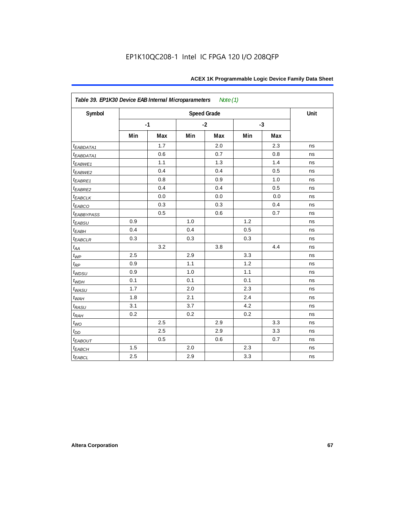| Symbol                  |     |      |     | <b>Speed Grade</b> |     |      | Unit |
|-------------------------|-----|------|-----|--------------------|-----|------|------|
|                         |     | $-1$ |     | $-2$               |     | $-3$ |      |
|                         | Min | Max  | Min | Max                | Min | Max  |      |
| $t_{EABDATA1}$          |     | 1.7  |     | 2.0                |     | 2.3  | ns   |
| $t_{EABDATA1}$          |     | 0.6  |     | 0.7                |     | 0.8  | ns   |
| $t_{EABWE1}$            |     | 1.1  |     | 1.3                |     | 1.4  | ns   |
| $t_{EABWE2}$            |     | 0.4  |     | 0.4                |     | 0.5  | ns   |
| $t_{EABRE1}$            |     | 0.8  |     | 0.9                |     | 1.0  | ns   |
| $t_{EABRE2}$            |     | 0.4  |     | 0.4                |     | 0.5  | ns   |
| $t_{EABCLK}$            |     | 0.0  |     | 0.0                |     | 0.0  | ns   |
| $t_{EABCO}$             |     | 0.3  |     | 0.3                |     | 0.4  | ns   |
| <b><i>EABBYPASS</i></b> |     | 0.5  |     | 0.6                |     | 0.7  | ns   |
| $t_{EABSU}$             | 0.9 |      | 1.0 |                    | 1.2 |      | ns   |
| $t_{EABH}$              | 0.4 |      | 0.4 |                    | 0.5 |      | ns   |
| $t_{EABCLR}$            | 0.3 |      | 0.3 |                    | 0.3 |      | ns   |
| $t_{\rm AA}$            |     | 3.2  |     | 3.8                |     | 4.4  | ns   |
| $t_{\mathit{WP}}$       | 2.5 |      | 2.9 |                    | 3.3 |      | ns   |
| $t_{RP}$                | 0.9 |      | 1.1 |                    | 1.2 |      | ns   |
| $t_{WDSU}$              | 0.9 |      | 1.0 |                    | 1.1 |      | ns   |
| $t_{WDH}$               | 0.1 |      | 0.1 |                    | 0.1 |      | ns   |
| $t_{WASU}$              | 1.7 |      | 2.0 |                    | 2.3 |      | ns   |
| $t_{WAH}$               | 1.8 |      | 2.1 |                    | 2.4 |      | ns   |
| $t_{RASU}$              | 3.1 |      | 3.7 |                    | 4.2 |      | ns   |
| $t_{RAH}$               | 0.2 |      | 0.2 |                    | 0.2 |      | ns   |
| $t_{WO}$                |     | 2.5  |     | 2.9                |     | 3.3  | ns   |
| $t_{\mathit{DD}}$       |     | 2.5  |     | 2.9                |     | 3.3  | ns   |
| <b><i>EABOUT</i></b>    |     | 0.5  |     | 0.6                |     | 0.7  | ns   |
| $t_{EABCH}$             | 1.5 |      | 2.0 |                    | 2.3 |      | ns   |
| $t_{EABCL}$             | 2.5 |      | 2.9 |                    | 3.3 |      | ns   |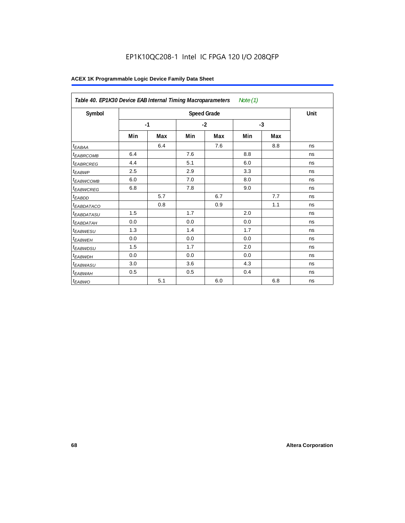|                        | Table 40. EP1K30 Device EAB Internal Timing Macroparameters<br>Note $(1)$ |     |      |                    |      |     |      |  |  |  |
|------------------------|---------------------------------------------------------------------------|-----|------|--------------------|------|-----|------|--|--|--|
| Symbol                 |                                                                           |     |      | <b>Speed Grade</b> |      |     | Unit |  |  |  |
|                        | $-1$                                                                      |     | $-2$ |                    | $-3$ |     |      |  |  |  |
|                        | Min                                                                       | Max | Min  | Max                | Min  | Max |      |  |  |  |
| t <sub>EABAA</sub>     |                                                                           | 6.4 |      | 7.6                |      | 8.8 | ns   |  |  |  |
| <sup>t</sup> EABRCOMB  | 6.4                                                                       |     | 7.6  |                    | 8.8  |     | ns   |  |  |  |
| <sup>t</sup> EABRCREG  | 4.4                                                                       |     | 5.1  |                    | 6.0  |     | ns   |  |  |  |
| t <sub>EABWP</sub>     | 2.5                                                                       |     | 2.9  |                    | 3.3  |     | ns   |  |  |  |
| <sup>t</sup> EABWCOMB  | 6.0                                                                       |     | 7.0  |                    | 8.0  |     | ns   |  |  |  |
| <sup>t</sup> EABWCREG  | 6.8                                                                       |     | 7.8  |                    | 9.0  |     | ns   |  |  |  |
| <sup>t</sup> EABDD     |                                                                           | 5.7 |      | 6.7                |      | 7.7 | ns   |  |  |  |
| <sup>t</sup> EABDATACO |                                                                           | 0.8 |      | 0.9                |      | 1.1 | ns   |  |  |  |
| <sup>t</sup> EABDATASU | 1.5                                                                       |     | 1.7  |                    | 2.0  |     | ns   |  |  |  |
| <sup>t</sup> EABDATAH  | 0.0                                                                       |     | 0.0  |                    | 0.0  |     | ns   |  |  |  |
| <sup>t</sup> EABWESU   | 1.3                                                                       |     | 1.4  |                    | 1.7  |     | ns   |  |  |  |
| <sup>t</sup> EABWEH    | 0.0                                                                       |     | 0.0  |                    | 0.0  |     | ns   |  |  |  |
| <sup>t</sup> EABWDSU   | 1.5                                                                       |     | 1.7  |                    | 2.0  |     | ns   |  |  |  |
| <sup>t</sup> EABWDH    | 0.0                                                                       |     | 0.0  |                    | 0.0  |     | ns   |  |  |  |
| <sup>t</sup> EABWASU   | 3.0                                                                       |     | 3.6  |                    | 4.3  |     | ns   |  |  |  |
| <sup>t</sup> EABWAH    | 0.5                                                                       |     | 0.5  |                    | 0.4  |     | ns   |  |  |  |
| t <sub>EABWO</sub>     |                                                                           | 5.1 |      | 6.0                |      | 6.8 | ns   |  |  |  |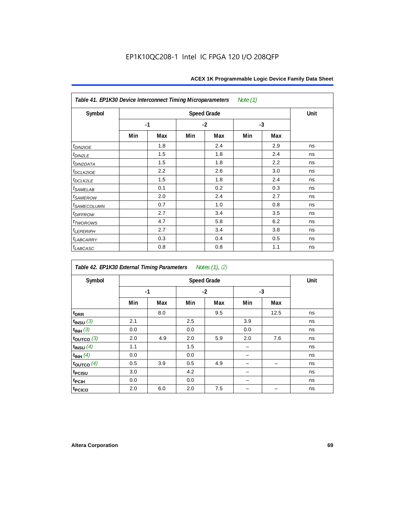| Table 41. EP1K30 Device Interconnect Timing Microparameters |                    |     |      |     | Note (1) |     |      |
|-------------------------------------------------------------|--------------------|-----|------|-----|----------|-----|------|
| Symbol                                                      | <b>Speed Grade</b> |     |      |     |          |     | Unit |
|                                                             | $-1$               |     | $-2$ |     | $-3$     |     |      |
|                                                             | Min                | Max | Min  | Max | Min      | Max |      |
| $t_{DIN2IOE}$                                               |                    | 1.8 |      | 2.4 |          | 2.9 | ns   |
| $t_{DIN2LE}$                                                |                    | 1.5 |      | 1.8 |          | 2.4 | ns   |
| t <sub>DIN2DATA</sub>                                       |                    | 1.5 |      | 1.8 |          | 2.2 | ns   |
| $t$ <sub>DCLK2IOE</sub>                                     |                    | 2.2 |      | 2.6 |          | 3.0 | ns   |
| $t_{DCLK2LE}$                                               |                    | 1.5 |      | 1.8 |          | 2.4 | ns   |
| $t_{SAMELAB}$                                               |                    | 0.1 |      | 0.2 |          | 0.3 | ns   |
| <i>t</i> <sub>SAMEROW</sub>                                 |                    | 2.0 |      | 2.4 |          | 2.7 | ns   |
| <i>t<sub>SAMECOLUMN</sub></i>                               |                    | 0.7 |      | 1.0 |          | 0.8 | ns   |
| $t$ DIFFROW                                                 |                    | 2.7 |      | 3.4 |          | 3.5 | ns   |
| $t_{TWOROMS}$                                               |                    | 4.7 |      | 5.8 |          | 6.2 | ns   |
| t <sub>LEPERIPH</sub>                                       |                    | 2.7 |      | 3.4 |          | 3.8 | ns   |
| <b><i>LABCARRY</i></b>                                      |                    | 0.3 |      | 0.4 |          | 0.5 | ns   |
| $t_{LABCASC}$                                               |                    | 0.8 |      | 0.8 |          | 1.1 | ns   |

| Table 42. EP1K30 External Timing Parameters Notes (1), (2) |     |      |     |      |      |      |    |
|------------------------------------------------------------|-----|------|-----|------|------|------|----|
| Symbol                                                     |     | Unit |     |      |      |      |    |
|                                                            |     | $-1$ |     | $-2$ | $-3$ |      |    |
|                                                            | Min | Max  | Min | Max  | Min  | Max  |    |
| t <sub>DRR</sub>                                           |     | 8.0  |     | 9.5  |      | 12.5 | ns |
| $t_{INSU}$ (3)                                             | 2.1 |      | 2.5 |      | 3.9  |      | ns |
| $t_{INH}$ (3)                                              | 0.0 |      | 0.0 |      | 0.0  |      | ns |
| $t_{OUTCO}$ (3)                                            | 2.0 | 4.9  | 2.0 | 5.9  | 2.0  | 7.6  | ns |
| $t_{INSU}$ (4)                                             | 1.1 |      | 1.5 |      |      |      | ns |
| $t_{INH}$ (4)                                              | 0.0 |      | 0.0 |      |      |      | ns |
| $t_{OUTCO}$ (4)                                            | 0.5 | 3.9  | 0.5 | 4.9  |      |      | ns |
| t <sub>PCISU</sub>                                         | 3.0 |      | 4.2 |      |      |      | ns |
| <sup>t</sup> PCIH                                          | 0.0 |      | 0.0 |      |      |      | ns |
| t <sub>PCICO</sub>                                         | 2.0 | 6.0  | 2.0 | 7.5  |      |      | ns |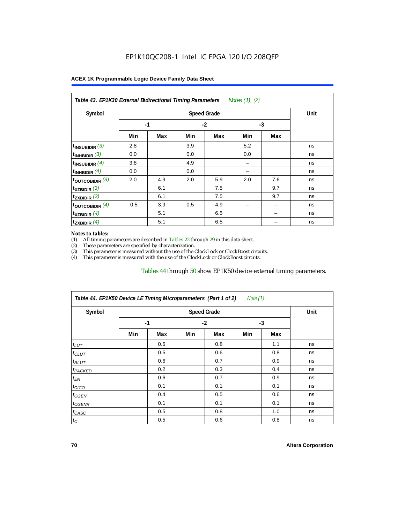| Symbol                      |      | Unit |      |     |      |     |    |
|-----------------------------|------|------|------|-----|------|-----|----|
|                             | $-1$ |      | $-2$ |     | $-3$ |     |    |
|                             | Min  | Max  | Min  | Max | Min  | Max |    |
| $t_{\text{INSUBIDIR}}(3)$   | 2.8  |      | 3.9  |     | 5.2  |     | ns |
| $t_{INHBIDIR}$ (3)          | 0.0  |      | 0.0  |     | 0.0  |     | ns |
| $t_{INSUBIDIR}$ (4)         | 3.8  |      | 4.9  |     |      |     | ns |
| $t_{INHBIDIR}(4)$           | 0.0  |      | 0.0  |     |      |     | ns |
| $t_{\text{OUTCOBIDIR}}$ (3) | 2.0  | 4.9  | 2.0  | 5.9 | 2.0  | 7.6 | ns |
| $t_{XZBIDIR}$ (3)           |      | 6.1  |      | 7.5 |      | 9.7 | ns |
| $t_{ZXBIDIR}$ (3)           |      | 6.1  |      | 7.5 |      | 9.7 | ns |
| toutcobidir $(4)$           | 0.5  | 3.9  | 0.5  | 4.9 |      |     | ns |
| $t_{XZBIDIR}$ (4)           |      | 5.1  |      | 6.5 |      |     | ns |
| $t_{ZXBIDIR}$ (4)           |      | 5.1  |      | 6.5 |      |     | ns |

### *Notes to tables:*

(1) All timing parameters are described in Tables 22 through  $29$  in this data sheet.<br>(2) These parameters are specified by characterization.

(2) These parameters are specified by characterization.<br>
(3) This parameter is measured without the use of the C This parameter is measured without the use of the ClockLock or ClockBoost circuits.

(4) This parameter is measured with the use of the ClockLock or ClockBoost circuits.

### Tables 44 through 50 show EP1K50 device external timing parameters.

| Symbol               |      | <b>Speed Grade</b> |      |     |     |     |    |  |  |
|----------------------|------|--------------------|------|-----|-----|-----|----|--|--|
|                      | $-1$ |                    | $-2$ |     | -3  |     |    |  |  |
|                      | Min  | Max                | Min  | Max | Min | Max |    |  |  |
| $t_{LUT}$            |      | 0.6                |      | 0.8 |     | 1.1 | ns |  |  |
| $t_{CLUT}$           |      | 0.5                |      | 0.6 |     | 0.8 | ns |  |  |
| $t_{RLUT}$           |      | 0.6                |      | 0.7 |     | 0.9 | ns |  |  |
| <sup>t</sup> PACKED  |      | 0.2                |      | 0.3 |     | 0.4 | ns |  |  |
| $t_{EN}$             |      | 0.6                |      | 0.7 |     | 0.9 | ns |  |  |
| $t_{CICO}$           |      | 0.1                |      | 0.1 |     | 0.1 | ns |  |  |
| $t_{\overline{GED}}$ |      | 0.4                |      | 0.5 |     | 0.6 | ns |  |  |
| $t_{GENR}$           |      | 0.1                |      | 0.1 |     | 0.1 | ns |  |  |
| $t_{CASC}$           |      | 0.5                |      | 0.8 |     | 1.0 | ns |  |  |
| $t_C$                |      | 0.5                |      | 0.6 |     | 0.8 | ns |  |  |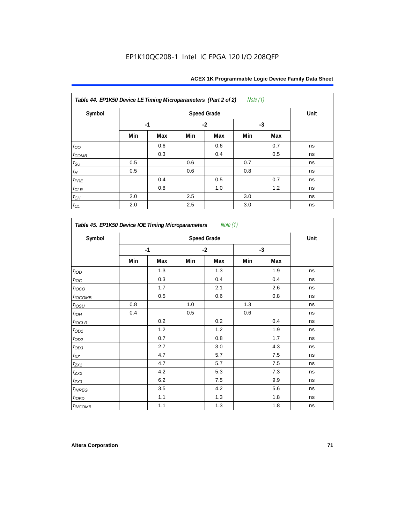| Symbol             |     | <b>Speed Grade</b> |     |      |     |      |    |  |  |
|--------------------|-----|--------------------|-----|------|-----|------|----|--|--|
|                    |     | $-1$               |     | $-2$ |     | $-3$ |    |  |  |
|                    | Min | Max                | Min | Max  | Min | Max  |    |  |  |
| $t_{CO}$           |     | 0.6                |     | 0.6  |     | 0.7  | ns |  |  |
| $t_{COMB}$         |     | 0.3                |     | 0.4  |     | 0.5  | ns |  |  |
| $t_{\rm SU}$       | 0.5 |                    | 0.6 |      | 0.7 |      | ns |  |  |
| $t_H\,$            | 0.5 |                    | 0.6 |      | 0.8 |      | ns |  |  |
| $t_{PRE}$          |     | 0.4                |     | 0.5  |     | 0.7  | ns |  |  |
| $t_{CLR}$          |     | 0.8                |     | 1.0  |     | 1.2  | ns |  |  |
| $t_{\mathbb{C} H}$ | 2.0 |                    | 2.5 |      | 3.0 |      | ns |  |  |
| $t_{CL}$           | 2.0 |                    | 2.5 |      | 3.0 |      | ns |  |  |

| Symbol                | <b>Speed Grade</b> |     |      |     |      |     |    |  |
|-----------------------|--------------------|-----|------|-----|------|-----|----|--|
|                       | $-1$               |     | $-2$ |     | $-3$ |     |    |  |
|                       | Min                | Max | Min  | Max | Min  | Max |    |  |
| t <sub>IOD</sub>      |                    | 1.3 |      | 1.3 |      | 1.9 | ns |  |
| $t_{\text{IOC}}$      |                    | 0.3 |      | 0.4 |      | 0.4 | ns |  |
| $t_{IOCO}$            |                    | 1.7 |      | 2.1 |      | 2.6 | ns |  |
| $t_{IOCOMB}$          |                    | 0.5 |      | 0.6 |      | 0.8 | ns |  |
| $t_{IOSU}$            | 0.8                |     | 1.0  |     | 1.3  |     | ns |  |
| $t_{I\underline{OH}}$ | 0.4                |     | 0.5  |     | 0.6  |     | ns |  |
| $t_{IOCLR}$           |                    | 0.2 |      | 0.2 |      | 0.4 | ns |  |
| $t_{OD1}$             |                    | 1.2 |      | 1.2 |      | 1.9 | ns |  |
| $t_{OD2}$             |                    | 0.7 |      | 0.8 |      | 1.7 | ns |  |
| $t_{OD3}$             |                    | 2.7 |      | 3.0 |      | 4.3 | ns |  |
| $t_{XZ}$              |                    | 4.7 |      | 5.7 |      | 7.5 | ns |  |
| $t_{ZX1}$             |                    | 4.7 |      | 5.7 |      | 7.5 | ns |  |
| $t_{ZX2}$             |                    | 4.2 |      | 5.3 |      | 7.3 | ns |  |
| $t_{ZX3}$             |                    | 6.2 |      | 7.5 |      | 9.9 | ns |  |
| $t_{INREG}$           |                    | 3.5 |      | 4.2 |      | 5.6 | ns |  |
| $t_{IOED}$            |                    | 1.1 |      | 1.3 |      | 1.8 | ns |  |
| $t_{INCOMB}$          |                    | 1.1 |      | 1.3 |      | 1.8 | ns |  |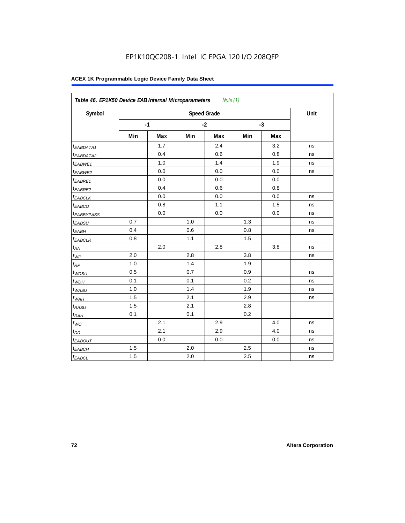| Symbol                  |     |      |      | <b>Speed Grade</b> |      |     | Unit |
|-------------------------|-----|------|------|--------------------|------|-----|------|
|                         |     | $-1$ | $-2$ |                    | $-3$ |     |      |
|                         | Min | Max  | Min  | Max                | Min  | Max |      |
| <sup>t</sup> EABDATA1   |     | 1.7  |      | 2.4                |      | 3.2 | ns   |
| <sup>t</sup> EABDATA2   |     | 0.4  |      | 0.6                |      | 0.8 | ns   |
| t <sub>EABWE1</sub>     |     | 1.0  |      | 1.4                |      | 1.9 | ns   |
| <sup>t</sup> EABWE2     |     | 0.0  |      | 0.0                |      | 0.0 | ns   |
| <sup>t</sup> EABRE1     |     | 0.0  |      | 0.0                |      | 0.0 |      |
| <sup>t</sup> EABRE2     |     | 0.4  |      | 0.6                |      | 0.8 |      |
| <sup>t</sup> EABCLK     |     | 0.0  |      | 0.0                |      | 0.0 | ns   |
| t <sub>EABCO</sub>      |     | 0.8  |      | 1.1                |      | 1.5 | ns   |
| <i><b>EABBYPASS</b></i> |     | 0.0  |      | 0.0                |      | 0.0 | ns   |
| t <sub>EABSU</sub>      | 0.7 |      | 1.0  |                    | 1.3  |     | ns   |
| t <sub>EABH</sub>       | 0.4 |      | 0.6  |                    | 0.8  |     | ns   |
| <sup>t</sup> EABCLR     | 0.8 |      | 1.1  |                    | 1.5  |     |      |
| $t_{AA}$                |     | 2.0  |      | 2.8                |      | 3.8 | ns   |
| $t_{\mathit{WP}}$       | 2.0 |      | 2.8  |                    | 3.8  |     | ns   |
| $t_{RP}$                | 1.0 |      | 1.4  |                    | 1.9  |     |      |
| $t_{WDSU}$              | 0.5 |      | 0.7  |                    | 0.9  |     | ns   |
| $t_{WDH}$               | 0.1 |      | 0.1  |                    | 0.2  |     | ns   |
| $t_{WASU}$              | 1.0 |      | 1.4  |                    | 1.9  |     | ns   |
| $t_{WAH}$               | 1.5 |      | 2.1  |                    | 2.9  |     | ns   |
| t <sub>RASU</sub>       | 1.5 |      | 2.1  |                    | 2.8  |     |      |
| $t_{RAH}$               | 0.1 |      | 0.1  |                    | 0.2  |     |      |
| $t_{WO}$                |     | 2.1  |      | 2.9                |      | 4.0 | ns   |
| $t_{DD}$                |     | 2.1  |      | 2.9                |      | 4.0 | ns   |
| t <sub>EABOUT</sub>     |     | 0.0  |      | 0.0                |      | 0.0 | ns   |
| t <sub>EABCH</sub>      | 1.5 |      | 2.0  |                    | 2.5  |     | ns   |
| $t_{EABCL}$             | 1.5 |      | 2.0  |                    | 2.5  |     | ns   |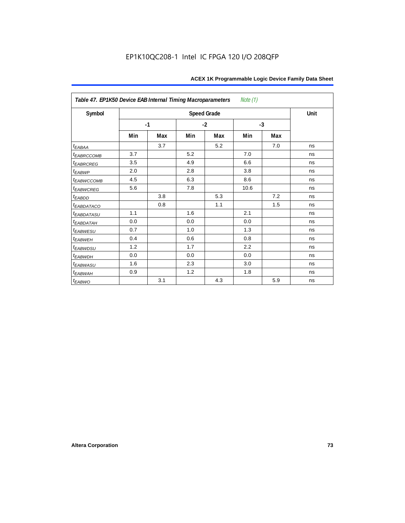| Table 47. EP1K50 Device EAB Internal Timing Macroparameters<br>Note (1) |      |     |     |                    |      |      |      |  |  |  |
|-------------------------------------------------------------------------|------|-----|-----|--------------------|------|------|------|--|--|--|
| Symbol                                                                  |      |     |     | <b>Speed Grade</b> |      |      | Unit |  |  |  |
|                                                                         | $-1$ |     |     | $-2$               |      | $-3$ |      |  |  |  |
|                                                                         | Min  | Max | Min | Max                | Min  | Max  |      |  |  |  |
| $t_{EABA}$                                                              |      | 3.7 |     | 5.2                |      | 7.0  | ns   |  |  |  |
| t <sub>EABRCCOMB</sub>                                                  | 3.7  |     | 5.2 |                    | 7.0  |      | ns   |  |  |  |
| <sup>t</sup> EABRCREG                                                   | 3.5  |     | 4.9 |                    | 6.6  |      | ns   |  |  |  |
| $t_{EABWP}$                                                             | 2.0  |     | 2.8 |                    | 3.8  |      | ns   |  |  |  |
| <sup>t</sup> EABWCCOMB                                                  | 4.5  |     | 6.3 |                    | 8.6  |      | ns   |  |  |  |
| t <sub>EABWCREG</sub>                                                   | 5.6  |     | 7.8 |                    | 10.6 |      | ns   |  |  |  |
| $t_{EABDD}$                                                             |      | 3.8 |     | 5.3                |      | 7.2  | ns   |  |  |  |
| <i>EABDATACO</i>                                                        |      | 0.8 |     | 1.1                |      | 1.5  | ns   |  |  |  |
| t <sub>eabdatasu</sub>                                                  | 1.1  |     | 1.6 |                    | 2.1  |      | ns   |  |  |  |
| <sup>t</sup> EABDATAH                                                   | 0.0  |     | 0.0 |                    | 0.0  |      | ns   |  |  |  |
| t <sub>EABWESU</sub>                                                    | 0.7  |     | 1.0 |                    | 1.3  |      | ns   |  |  |  |
| <sup>t</sup> EABWEH                                                     | 0.4  |     | 0.6 |                    | 0.8  |      | ns   |  |  |  |
| t <sub>EABWDSU</sub>                                                    | 1.2  |     | 1.7 |                    | 2.2  |      | ns   |  |  |  |
| <b><i>EABWDH</i></b>                                                    | 0.0  |     | 0.0 |                    | 0.0  |      | ns   |  |  |  |
| t <sub>EABWASU</sub>                                                    | 1.6  |     | 2.3 |                    | 3.0  |      | ns   |  |  |  |
| t <sub>ЕАВWАН</sub>                                                     | 0.9  |     | 1.2 |                    | 1.8  |      | ns   |  |  |  |
| t <sub>EABWO</sub>                                                      |      | 3.1 |     | 4.3                |      | 5.9  | ns   |  |  |  |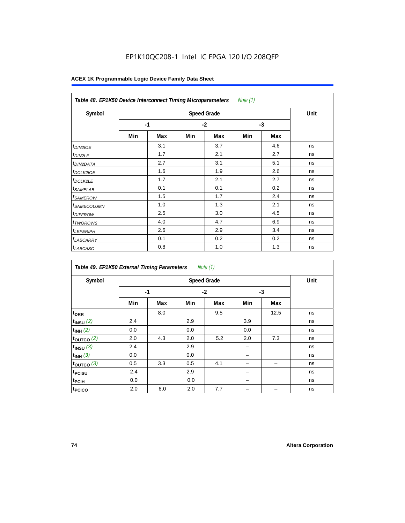| Note $(1)$<br>Table 48. EP1K50 Device Interconnect Timing Microparameters |     |      |      |     |      |     |    |  |  |  |
|---------------------------------------------------------------------------|-----|------|------|-----|------|-----|----|--|--|--|
| Symbol                                                                    |     | Unit |      |     |      |     |    |  |  |  |
|                                                                           |     | $-1$ | $-2$ |     | $-3$ |     |    |  |  |  |
|                                                                           | Min | Max  | Min  | Max | Min  | Max |    |  |  |  |
| $t_{DINZIOE}$                                                             |     | 3.1  |      | 3.7 |      | 4.6 | ns |  |  |  |
| <sup>t</sup> DIN2LE                                                       |     | 1.7  |      | 2.1 |      | 2.7 | ns |  |  |  |
| <sup>t</sup> DIN2DATA                                                     |     | 2.7  |      | 3.1 |      | 5.1 | ns |  |  |  |
| <sup>t</sup> DCLK2IOE                                                     |     | 1.6  |      | 1.9 |      | 2.6 | ns |  |  |  |
| <sup>t</sup> DCLK2LE                                                      |     | 1.7  |      | 2.1 |      | 2.7 | ns |  |  |  |
| <sup>t</sup> SAMELAB                                                      |     | 0.1  |      | 0.1 |      | 0.2 | ns |  |  |  |
| <sup>t</sup> SAMEROW                                                      |     | 1.5  |      | 1.7 |      | 2.4 | ns |  |  |  |
| <sup>t</sup> SAMECOLUMN                                                   |     | 1.0  |      | 1.3 |      | 2.1 | ns |  |  |  |
| <i>t<sub>DIFFROW</sub></i>                                                |     | 2.5  |      | 3.0 |      | 4.5 | ns |  |  |  |
| <sup>t</sup> TWOROWS                                                      |     | 4.0  |      | 4.7 |      | 6.9 | ns |  |  |  |
| <sup>t</sup> LEPERIPH                                                     |     | 2.6  |      | 2.9 |      | 3.4 | ns |  |  |  |
| <sup>t</sup> LABCARRY                                                     |     | 0.1  |      | 0.2 |      | 0.2 | ns |  |  |  |
| <b>LABCASC</b>                                                            |     | 0.8  |      | 1.0 |      | 1.3 | ns |  |  |  |

| Note $(1)$<br>Table 49. EP1K50 External Timing Parameters |     |                    |     |      |      |      |    |  |  |  |
|-----------------------------------------------------------|-----|--------------------|-----|------|------|------|----|--|--|--|
| Symbol                                                    |     | <b>Speed Grade</b> |     |      |      |      |    |  |  |  |
|                                                           |     | $-1$               |     | $-2$ | $-3$ |      |    |  |  |  |
|                                                           | Min | Max                | Min | Max  | Min  | Max  |    |  |  |  |
| t <sub>DRR</sub>                                          |     | 8.0                |     | 9.5  |      | 12.5 | ns |  |  |  |
| $t_{INSU}$ (2)                                            | 2.4 |                    | 2.9 |      | 3.9  |      | ns |  |  |  |
| $t_{INH}$ (2)                                             | 0.0 |                    | 0.0 |      | 0.0  |      | ns |  |  |  |
| $t_{OUTCO}$ (2)                                           | 2.0 | 4.3                | 2.0 | 5.2  | 2.0  | 7.3  | ns |  |  |  |
| $t_{INSU}$ (3)                                            | 2.4 |                    | 2.9 |      |      |      | ns |  |  |  |
| $t_{INH}$ (3)                                             | 0.0 |                    | 0.0 |      |      |      | ns |  |  |  |
| $t_{OUTCO}$ (3)                                           | 0.5 | 3.3                | 0.5 | 4.1  |      | -    | ns |  |  |  |
| t <sub>PCISU</sub>                                        | 2.4 |                    | 2.9 |      |      |      | ns |  |  |  |
| t <sub>PCIH</sub>                                         | 0.0 |                    | 0.0 |      |      |      | ns |  |  |  |
| t <sub>PCICO</sub>                                        | 2.0 | 6.0                | 2.0 | 7.7  |      |      | ns |  |  |  |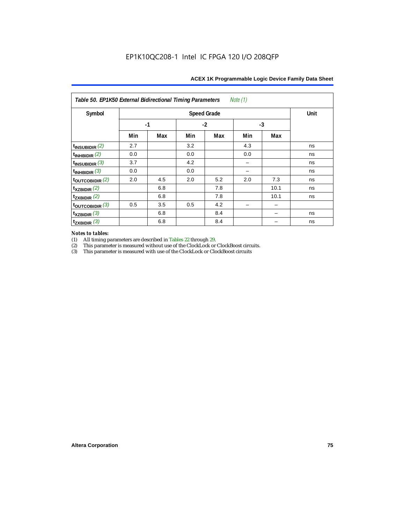| Symbol                                         |      | <b>Speed Grade</b> |     |      |     |      |    |  |  |  |
|------------------------------------------------|------|--------------------|-----|------|-----|------|----|--|--|--|
|                                                | $-1$ |                    |     | $-2$ |     | $-3$ |    |  |  |  |
|                                                | Min  | Max                | Min | Max  | Min | Max  |    |  |  |  |
| $t_{\sf INSUBIDIR}$ $(2)$                      | 2.7  |                    | 3.2 |      | 4.3 |      | ns |  |  |  |
| t <sub>inhbidir</sub> (2)                      | 0.0  |                    | 0.0 |      | 0.0 |      | ns |  |  |  |
| t <sub>insubidir</sub> (3)                     | 3.7  |                    | 4.2 |      |     |      | ns |  |  |  |
| ${\sf t}_{\sf INHBIDIR}$ $(3)$                 | 0.0  |                    | 0.0 |      |     |      | ns |  |  |  |
| ${\sf t}_{\sf OUTCOBIDIR}$ $(2)$               | 2.0  | 4.5                | 2.0 | 5.2  | 2.0 | 7.3  | ns |  |  |  |
| t <sub>XZBIDIR</sub> (2)                       |      | 6.8                |     | 7.8  |     | 10.1 | ns |  |  |  |
| t <sub>zxbidir</sub> (2)                       |      | 6.8                |     | 7.8  |     | 10.1 | ns |  |  |  |
| ${\sf t}_{\sf OUTCOBIDIR}$ $\left(3\right)$    | 0.5  | 3.5                | 0.5 | 4.2  |     |      |    |  |  |  |
| t <sub>XZBIDIR</sub> (3)                       |      | 6.8                |     | 8.4  |     |      | ns |  |  |  |
| ${\mathsf t}_{\mathsf ZX\mathsf{BIDIR}}$ $(3)$ |      | 6.8                |     | 8.4  |     |      | ns |  |  |  |

# *Notes to tables:*

(1) All timing parameters are described in Tables 22 through 29.<br>
(2) This parameter is measured without use of the ClockLock or

(2) This parameter is measured without use of the ClockLock or ClockBoost circuits.<br>
(3) This parameter is measured with use of the ClockLock or ClockBoost circuits

This parameter is measured with use of the ClockLock or ClockBoost circuits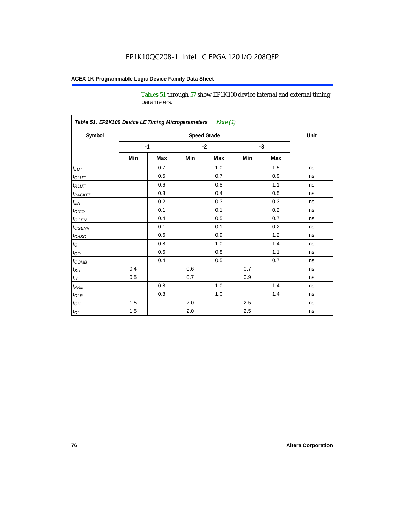Tables 51 through 57 show EP1K100 device internal and external timing parameters.

| Symbol                     |     | <b>Speed Grade</b> |     |      |     |      |    |  |  |
|----------------------------|-----|--------------------|-----|------|-----|------|----|--|--|
|                            |     | $-1$               |     | $-2$ |     | $-3$ |    |  |  |
|                            | Min | Max                | Min | Max  | Min | Max  |    |  |  |
| $t_{L\underline{UT}}$      |     | 0.7                |     | 1.0  |     | 1.5  | ns |  |  |
| $t_{CLUT}$                 |     | 0.5                |     | 0.7  |     | 0.9  | ns |  |  |
| $t_{RLUT}$                 |     | 0.6                |     | 0.8  |     | 1.1  | ns |  |  |
| <b>t</b> <sub>PACKED</sub> |     | 0.3                |     | 0.4  |     | 0.5  | ns |  |  |
| $t_{EN}$                   |     | 0.2                |     | 0.3  |     | 0.3  | ns |  |  |
| $t_{CICO}$                 |     | 0.1                |     | 0.1  |     | 0.2  | ns |  |  |
| $t_{\text{CGEN}}$          |     | 0.4                |     | 0.5  |     | 0.7  | ns |  |  |
| t <sub>CGENR</sub>         |     | 0.1                |     | 0.1  |     | 0.2  | ns |  |  |
| $t_{CASC}$                 |     | 0.6                |     | 0.9  |     | 1.2  | ns |  |  |
| $t_C$                      |     | 0.8                |     | 1.0  |     | 1.4  | ns |  |  |
| $t_{CO}$                   |     | 0.6                |     | 0.8  |     | 1.1  | ns |  |  |
| $t_{\text{COMB}}$          |     | 0.4                |     | 0.5  |     | 0.7  | ns |  |  |
| $t_{\rm SU}$               | 0.4 |                    | 0.6 |      | 0.7 |      | ns |  |  |
| $t_H$                      | 0.5 |                    | 0.7 |      | 0.9 |      | ns |  |  |
| $t_{PRE}$                  |     | 0.8                |     | 1.0  |     | 1.4  | ns |  |  |
| $t_{\text{CLR}}$           |     | 0.8                |     | 1.0  |     | 1.4  | ns |  |  |
| $t_{CH}$                   | 1.5 |                    | 2.0 |      | 2.5 |      | ns |  |  |
| $t_{\rm CL}$               | 1.5 |                    | 2.0 |      | 2.5 |      | ns |  |  |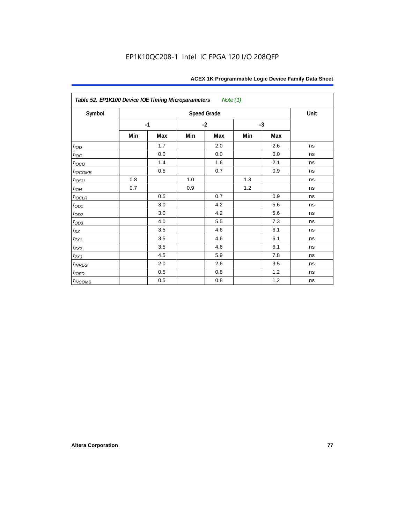| Table 52. EP1K100 Device IOE Timing Microparameters<br>Note (1) |      |     |      |                    |      |     |      |  |  |  |
|-----------------------------------------------------------------|------|-----|------|--------------------|------|-----|------|--|--|--|
| Symbol                                                          |      |     |      | <b>Speed Grade</b> |      |     | Unit |  |  |  |
|                                                                 | $-1$ |     | $-2$ |                    | $-3$ |     |      |  |  |  |
|                                                                 | Min  | Max | Min  | Max                | Min  | Max |      |  |  |  |
| t <sub>IOD</sub>                                                |      | 1.7 |      | 2.0                |      | 2.6 | ns   |  |  |  |
| $t_{\text{IOC}}$                                                |      | 0.0 |      | 0.0                |      | 0.0 | ns   |  |  |  |
| $t_{IOCO}$                                                      |      | 1.4 |      | 1.6                |      | 2.1 | ns   |  |  |  |
| $t_{IOCOMB}$                                                    |      | 0.5 |      | 0.7                |      | 0.9 | ns   |  |  |  |
| $t_{IOSU}$                                                      | 0.8  |     | 1.0  |                    | 1.3  |     | ns   |  |  |  |
| $t_{IOH}$                                                       | 0.7  |     | 0.9  |                    | 1.2  |     | ns   |  |  |  |
| $t_{IOCLR}$                                                     |      | 0.5 |      | 0.7                |      | 0.9 | ns   |  |  |  |
| $t_{OD1}$                                                       |      | 3.0 |      | 4.2                |      | 5.6 | ns   |  |  |  |
| $t_{OD2}$                                                       |      | 3.0 |      | 4.2                |      | 5.6 | ns   |  |  |  |
|                                                                 |      | 4.0 |      | 5.5                |      | 7.3 | ns   |  |  |  |
| $\frac{t_{OD3}}{t_{XZ}}$                                        |      | 3.5 |      | 4.6                |      | 6.1 | ns   |  |  |  |
| $t_{ZX1}$                                                       |      | 3.5 |      | 4.6                |      | 6.1 | ns   |  |  |  |
| $t_{ZX2}$                                                       |      | 3.5 |      | 4.6                |      | 6.1 | ns   |  |  |  |
| $t_{ZX3}$                                                       |      | 4.5 |      | 5.9                |      | 7.8 | ns   |  |  |  |
| $t_{INREG}$                                                     |      | 2.0 |      | 2.6                |      | 3.5 | ns   |  |  |  |
| $t_{IOFD}$                                                      |      | 0.5 |      | 0.8                |      | 1.2 | ns   |  |  |  |
| $t_{INCOMB}$                                                    |      | 0.5 |      | 0.8                |      | 1.2 | ns   |  |  |  |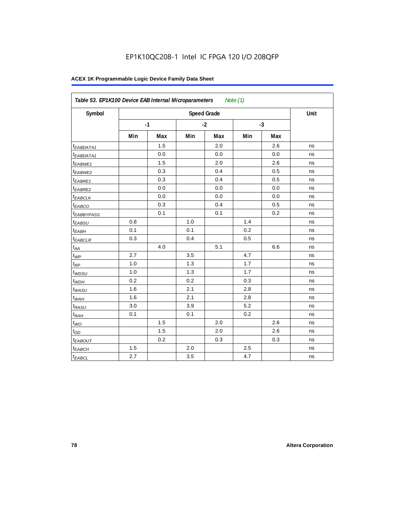| Symbol                  |     |      |     | <b>Speed Grade</b> |     |      | Unit |
|-------------------------|-----|------|-----|--------------------|-----|------|------|
|                         |     | $-1$ |     | $-2$               |     | $-3$ |      |
|                         | Min | Max  | Min | Max                | Min | Max  |      |
| <sup>t</sup> EABDATA1   |     | 1.5  |     | 2.0                |     | 2.6  | ns   |
| <sup>t</sup> EABDATA1   |     | 0.0  |     | 0.0                |     | 0.0  | ns   |
| t <sub>EABWE1</sub>     |     | 1.5  |     | 2.0                |     | 2.6  | ns   |
| <sup>t</sup> EABWE2     |     | 0.3  |     | 0.4                |     | 0.5  | ns   |
| <sup>t</sup> EABRE1     |     | 0.3  |     | 0.4                |     | 0.5  | ns   |
| <sup>t</sup> EABRE2     |     | 0.0  |     | 0.0                |     | 0.0  | ns   |
| <sup>t</sup> EABCLK     |     | 0.0  |     | 0.0                |     | 0.0  | ns   |
| t <sub>EABCO</sub>      |     | 0.3  |     | 0.4                |     | 0.5  | ns   |
| <i><b>EABBYPASS</b></i> |     | 0.1  |     | 0.1                |     | 0.2  | ns   |
| t <sub>EABSU</sub>      | 0.8 |      | 1.0 |                    | 1.4 |      | ns   |
| t <sub>EABH</sub>       | 0.1 |      | 0.1 |                    | 0.2 |      | ns   |
| <sup>t</sup> EABCLR     | 0.3 |      | 0.4 |                    | 0.5 |      | ns   |
| $t_{AA}$                |     | 4.0  |     | 5.1                |     | 6.6  | ns   |
| $t_{\mathit{WP}}$       | 2.7 |      | 3.5 |                    | 4.7 |      | ns   |
| $t_{RP}$                | 1.0 |      | 1.3 |                    | 1.7 |      | ns   |
| $t_{WDSU}$              | 1.0 |      | 1.3 |                    | 1.7 |      | ns   |
| $t_{WDH}$               | 0.2 |      | 0.2 |                    | 0.3 |      | ns   |
| $t_{WASU}$              | 1.6 |      | 2.1 |                    | 2.8 |      | ns   |
| $t_{WAH}$               | 1.6 |      | 2.1 |                    | 2.8 |      | ns   |
| t <sub>RASU</sub>       | 3.0 |      | 3.9 |                    | 5.2 |      | ns   |
| $t_{RAH}$               | 0.1 |      | 0.1 |                    | 0.2 |      | ns   |
| $t_{WO}$                |     | 1.5  |     | 2.0                |     | 2.6  | ns   |
| $t_{DD}$                |     | 1.5  |     | 2.0                |     | 2.6  | ns   |
| t <sub>EABOUT</sub>     |     | 0.2  |     | 0.3                |     | 0.3  | ns   |
| t <sub>EABCH</sub>      | 1.5 |      | 2.0 |                    | 2.5 |      | ns   |
| $t_{EABCL}$             | 2.7 |      | 3.5 |                    | 4.7 |      | ns   |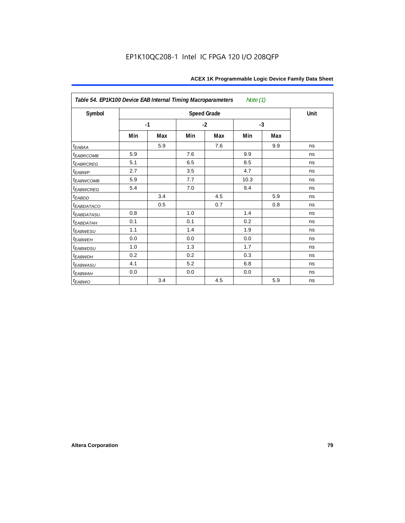| Table 54. EP1K100 Device EAB Internal Timing Macroparameters<br>Note $(1)$ |      |     |      |                    |      |     |      |  |  |  |
|----------------------------------------------------------------------------|------|-----|------|--------------------|------|-----|------|--|--|--|
| Symbol                                                                     |      |     |      | <b>Speed Grade</b> |      |     | Unit |  |  |  |
|                                                                            | $-1$ |     | $-2$ |                    | $-3$ |     |      |  |  |  |
|                                                                            | Min  | Max | Min  | Max                | Min  | Max |      |  |  |  |
| $t_{EABA}$                                                                 |      | 5.9 |      | 7.6                |      | 9.9 | ns   |  |  |  |
| <sup>t</sup> EABRCOMB                                                      | 5.9  |     | 7.6  |                    | 9.9  |     | ns   |  |  |  |
| <b><i>EABRCREG</i></b>                                                     | 5.1  |     | 6.5  |                    | 8.5  |     | ns   |  |  |  |
| $t_{EABWP}$                                                                | 2.7  |     | 3.5  |                    | 4.7  |     | ns   |  |  |  |
| t <sub>EABWCOMB</sub>                                                      | 5.9  |     | 7.7  |                    | 10.3 |     | ns   |  |  |  |
| <i>EABWCREG</i>                                                            | 5.4  |     | 7.0  |                    | 9.4  |     | ns   |  |  |  |
| $t_{EABDD}$                                                                |      | 3.4 |      | 4.5                |      | 5.9 | ns   |  |  |  |
| t <sub>eabdataco</sub>                                                     |      | 0.5 |      | 0.7                |      | 0.8 | ns   |  |  |  |
| <i><b>EABDATASU</b></i>                                                    | 0.8  |     | 1.0  |                    | 1.4  |     | ns   |  |  |  |
| t <sub>EABDATAH</sub>                                                      | 0.1  |     | 0.1  |                    | 0.2  |     | ns   |  |  |  |
| t <sub>EABWESU</sub>                                                       | 1.1  |     | 1.4  |                    | 1.9  |     | ns   |  |  |  |
| t <sub>EABWEH</sub>                                                        | 0.0  |     | 0.0  |                    | 0.0  |     | ns   |  |  |  |
| <sup>t</sup> EABWDSU                                                       | 1.0  |     | 1.3  |                    | 1.7  |     | ns   |  |  |  |
| <sup>t</sup> EABWDH                                                        | 0.2  |     | 0.2  |                    | 0.3  |     | ns   |  |  |  |
| <sup>t</sup> EABWASU                                                       | 4.1  |     | 5.2  |                    | 6.8  |     | ns   |  |  |  |
| t <sub>ЕАВWАН</sub>                                                        | 0.0  |     | 0.0  |                    | 0.0  |     | ns   |  |  |  |
| t <sub>EABWO</sub>                                                         |      | 3.4 |      | 4.5                |      | 5.9 | ns   |  |  |  |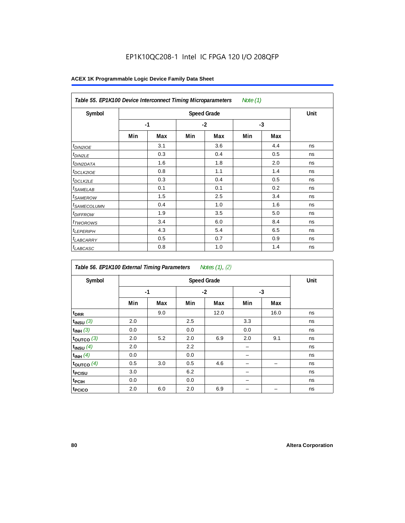| Table 55. EP1K100 Device Interconnect Timing Microparameters<br>Note (1) |     |      |      |     |      |     |    |  |  |
|--------------------------------------------------------------------------|-----|------|------|-----|------|-----|----|--|--|
| Symbol                                                                   |     | Unit |      |     |      |     |    |  |  |
|                                                                          |     | $-1$ | $-2$ |     | $-3$ |     |    |  |  |
|                                                                          | Min | Max  | Min  | Max | Min  | Max |    |  |  |
| <i>t<sub>DIN2IOE</sub></i>                                               |     | 3.1  |      | 3.6 |      | 4.4 | ns |  |  |
| <sup>t</sup> DIN2LE                                                      |     | 0.3  |      | 0.4 |      | 0.5 | ns |  |  |
| <sup>t</sup> DIN2DATA                                                    |     | 1.6  |      | 1.8 |      | 2.0 | ns |  |  |
| <sup>t</sup> DCLK2IOE                                                    |     | 0.8  |      | 1.1 |      | 1.4 | ns |  |  |
| <sup>t</sup> DCLK2LE                                                     |     | 0.3  |      | 0.4 |      | 0.5 | ns |  |  |
| <sup>t</sup> SAMELAB                                                     |     | 0.1  |      | 0.1 |      | 0.2 | ns |  |  |
| <sup>t</sup> SAMEROW                                                     |     | 1.5  |      | 2.5 |      | 3.4 | ns |  |  |
| <sup>t</sup> SAMECOLUMN                                                  |     | 0.4  |      | 1.0 |      | 1.6 | ns |  |  |
| <i>t<sub>DIFFROW</sub></i>                                               |     | 1.9  |      | 3.5 |      | 5.0 | ns |  |  |
| <sup>t</sup> TWOROWS                                                     |     | 3.4  |      | 6.0 |      | 8.4 | ns |  |  |
| <sup>t</sup> LEPERIPH                                                    |     | 4.3  |      | 5.4 |      | 6.5 | ns |  |  |
| <sup>t</sup> LABCARRY                                                    |     | 0.5  |      | 0.7 |      | 0.9 | ns |  |  |
| <sup>t</sup> LABCASC                                                     |     | 0.8  |      | 1.0 |      | 1.4 | ns |  |  |

| Table 56. EP1K100 External Timing Parameters<br>Notes (1), (2) |      |     |     |                    |      |      |      |  |  |  |
|----------------------------------------------------------------|------|-----|-----|--------------------|------|------|------|--|--|--|
| Symbol                                                         |      |     |     | <b>Speed Grade</b> |      |      | Unit |  |  |  |
|                                                                | $-1$ |     |     | $-2$               | $-3$ |      |      |  |  |  |
|                                                                | Min  | Max | Min | Max                | Min  | Max  |      |  |  |  |
| t <sub>DRR</sub>                                               |      | 9.0 |     | 12.0               |      | 16.0 | ns   |  |  |  |
| $t_{INSU}$ (3)                                                 | 2.0  |     | 2.5 |                    | 3.3  |      | ns   |  |  |  |
| $t_{INH}$ (3)                                                  | 0.0  |     | 0.0 |                    | 0.0  |      | ns   |  |  |  |
| $t_{OUTCO}$ (3)                                                | 2.0  | 5.2 | 2.0 | 6.9                | 2.0  | 9.1  | ns   |  |  |  |
| $t_{INSU}$ (4)                                                 | 2.0  |     | 2.2 |                    |      |      | ns   |  |  |  |
| $t_{INH}$ (4)                                                  | 0.0  |     | 0.0 |                    |      |      | ns   |  |  |  |
| toutco $(4)$                                                   | 0.5  | 3.0 | 0.5 | 4.6                |      |      | ns   |  |  |  |
| t <sub>PCISU</sub>                                             | 3.0  |     | 6.2 |                    |      |      | ns   |  |  |  |
| t <sub>PCIH</sub>                                              | 0.0  |     | 0.0 |                    |      |      | ns   |  |  |  |
| t <sub>PCICO</sub>                                             | 2.0  | 6.0 | 2.0 | 6.9                |      |      | ns   |  |  |  |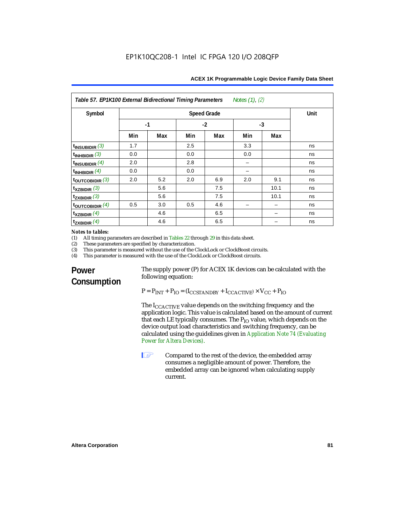| Table 57. EP1K100 External Bidirectional Timing Parameters<br>Notes $(1)$ , $(2)$ |                                   |     |      |     |      |      |    |
|-----------------------------------------------------------------------------------|-----------------------------------|-----|------|-----|------|------|----|
| Symbol                                                                            | <b>Speed Grade</b><br><b>Unit</b> |     |      |     |      |      |    |
|                                                                                   | $-1$                              |     | $-2$ |     | $-3$ |      |    |
|                                                                                   | Min                               | Max | Min  | Max | Min  | Max  |    |
| $t_{INSUBIDIR}$ (3)                                                               | 1.7                               |     | 2.5  |     | 3.3  |      | ns |
| $t_{INHBIDIR}$ (3)                                                                | 0.0                               |     | 0.0  |     | 0.0  |      | ns |
| $t_{INSUBIDIR}$ $(4)$                                                             | 2.0                               |     | 2.8  |     |      |      | ns |
| $t_{INHBIDIR}$ (4)                                                                | 0.0                               |     | 0.0  |     |      |      | ns |
| $t_{\text{OUTCOBIDIR}}$ (3)                                                       | 2.0                               | 5.2 | 2.0  | 6.9 | 2.0  | 9.1  | ns |
| $t_{XZBIDIR}$ (3)                                                                 |                                   | 5.6 |      | 7.5 |      | 10.1 | ns |
| $t_{ZXBIDIR}$ (3)                                                                 |                                   | 5.6 |      | 7.5 |      | 10.1 | ns |
| $t_{\text{OUTCOBIDIR}}$ (4)                                                       | 0.5                               | 3.0 | 0.5  | 4.6 |      |      | ns |
| $t_{XZBIDIR}$ (4)                                                                 |                                   | 4.6 |      | 6.5 |      |      | ns |
| $t_{ZXBIDIR}$ $(4)$                                                               |                                   | 4.6 |      | 6.5 |      |      | ns |

## *Notes to tables:*<br>(1) All timing p

(1) All timing parameters are described in Tables 22 through  $29$  in this data sheet.<br>(2) These parameters are specified by characterization.

(2) These parameters are specified by characterization.<br>(3) This parameter is measured without the use of the C

(3) This parameter is measured without the use of the ClockLock or ClockBoost circuits.<br>(4) This parameter is measured with the use of the ClockLock or ClockBoost circuits.

This parameter is measured with the use of the ClockLock or ClockBoost circuits.

## **Power Consumption**

The supply power (P) for ACEX 1K devices can be calculated with the following equation:

 $P = P_{INT} + P_{IO} = (I_{CCSTANDBY} + I_{CCACTIVE}) \times V_{CC} + P_{IO}$ 

The I<sub>CCACTIVE</sub> value depends on the switching frequency and the application logic. This value is calculated based on the amount of current that each LE typically consumes. The  $P_{IO}$  value, which depends on the device output load characteristics and switching frequency, can be calculated using the guidelines given in *Application Note 74 (Evaluating Power for Altera Devices)*.

**1 Compared to the rest of the device, the embedded array** consumes a negligible amount of power. Therefore, the embedded array can be ignored when calculating supply current.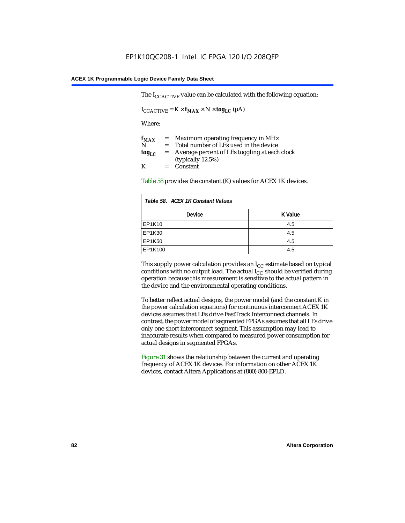The  $I_{CCACTIVE}$  value can be calculated with the following equation:

 $I_{\text{CCACTIVE}} = K \times f_{\text{MAX}} \times N \times \text{tog}_{\text{LC}} (\mu A)$ 

Where:

| $f_{MAX}$  | $=$     | Maximum operating frequency in MHz            |
|------------|---------|-----------------------------------------------|
| N          | $=$ $-$ | Total number of LEs used in the device        |
| $log_{LC}$ | $=$     | Average percent of LEs toggling at each clock |
|            |         | (typically $12.5\%$ )                         |
| K          |         | $=$ Constant                                  |

Table 58 provides the constant (K) values for ACEX 1K devices.

| Table 58. ACEX 1K Constant Values |         |  |  |
|-----------------------------------|---------|--|--|
| <b>Device</b>                     | K Value |  |  |
| EP1K10                            | 4.5     |  |  |
| EP1K30                            | 4.5     |  |  |
| <b>EP1K50</b>                     | 4.5     |  |  |
| EP1K100                           | 4.5     |  |  |

This supply power calculation provides an  $I_{CC}$  estimate based on typical conditions with no output load. The actual  $I_{CC}$  should be verified during operation because this measurement is sensitive to the actual pattern in the device and the environmental operating conditions.

To better reflect actual designs, the power model (and the constant K in the power calculation equations) for continuous interconnect ACEX 1K devices assumes that LEs drive FastTrack Interconnect channels. In contrast, the power model of segmented FPGAs assumes that all LEs drive only one short interconnect segment. This assumption may lead to inaccurate results when compared to measured power consumption for actual designs in segmented FPGAs.

Figure 31 shows the relationship between the current and operating frequency of ACEX 1K devices. For information on other ACEX 1K devices, contact Altera Applications at (800) 800-EPLD.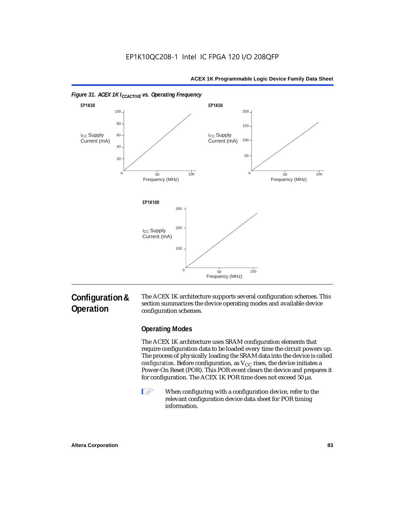

#### *Figure 31. ACEX 1K I<sub>CCACTIVE</sub> vs. Operating Frequency*

## **Configuration & Operation**

The ACEX 1K architecture supports several configuration schemes. This section summarizes the device operating modes and available device configuration schemes.

#### **Operating Modes**

The ACEX 1K architecture uses SRAM configuration elements that require configuration data to be loaded every time the circuit powers up. The process of physically loading the SRAM data into the device is called *configuration*. Before configuration, as  $V_{CC}$  rises, the device initiates a Power-On Reset (POR). This POR event clears the device and prepares it for configuration. The ACEX 1K POR time does not exceed 50 µs.

**1** When configuring with a configuration device, refer to the relevant configuration device data sheet for POR timing information.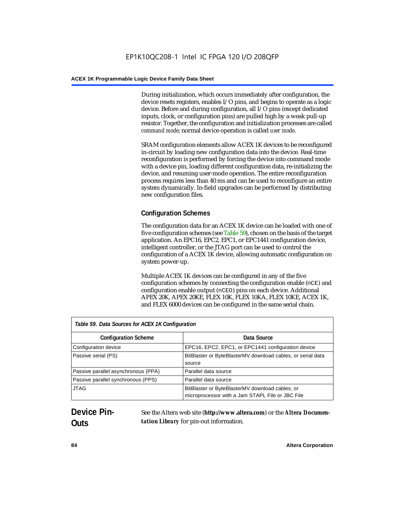During initialization, which occurs immediately after configuration, the device resets registers, enables I/O pins, and begins to operate as a logic device. Before and during configuration, all I/O pins (except dedicated inputs, clock, or configuration pins) are pulled high by a weak pull-up resistor. Together, the configuration and initialization processes are called *command mode*; normal device operation is called *user mode*.

SRAM configuration elements allow ACEX 1K devices to be reconfigured in-circuit by loading new configuration data into the device. Real-time reconfiguration is performed by forcing the device into command mode with a device pin, loading different configuration data, re-initializing the device, and resuming user-mode operation. The entire reconfiguration process requires less than 40 ms and can be used to reconfigure an entire system dynamically. In-field upgrades can be performed by distributing new configuration files.

## **Configuration Schemes**

The configuration data for an ACEX 1K device can be loaded with one of five configuration schemes (see Table 59), chosen on the basis of the target application. An EPC16, EPC2, EPC1, or EPC1441 configuration device, intelligent controller, or the JTAG port can be used to control the configuration of a ACEX 1K device, allowing automatic configuration on system power-up.

Multiple ACEX 1K devices can be configured in any of the five configuration schemes by connecting the configuration enable (nCE) and configuration enable output (nCEO) pins on each device. Additional APEX 20K, APEX 20KE, FLEX 10K, FLEX 10KA, FLEX 10KE, ACEX 1K, and FLEX 6000 devices can be configured in the same serial chain.

| Table 59. Data Sources for ACEX 1K Configuration |                                                                                                     |  |
|--------------------------------------------------|-----------------------------------------------------------------------------------------------------|--|
| <b>Configuration Scheme</b>                      | Data Source                                                                                         |  |
| Configuration device                             | EPC16, EPC2, EPC1, or EPC1441 configuration device                                                  |  |
| Passive serial (PS)                              | BitBlaster or ByteBlasterMV download cables, or serial data<br>source                               |  |
| Passive parallel asynchronous (PPA)              | Parallel data source                                                                                |  |
| Passive parallel synchronous (PPS)               | Parallel data source                                                                                |  |
| <b>JTAG</b>                                      | BitBlaster or ByteBlasterMV download cables, or<br>microprocessor with a Jam STAPL File or JBC File |  |

## **Device Pin-Outs**

See the Altera web site (**http://www.altera.com**) or the *Altera Documentation Library* for pin-out information.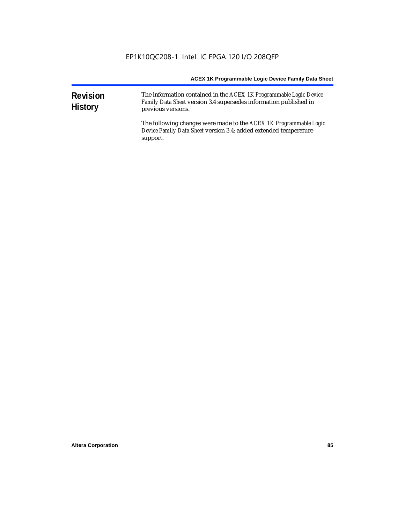| <b>Revision</b><br><b>History</b> | The information contained in the ACEX 1K Programmable Logic Device<br>Family Data Sheet version 3.4 supersedes information published in<br>previous versions. |  |  |
|-----------------------------------|---------------------------------------------------------------------------------------------------------------------------------------------------------------|--|--|
|                                   | The following changes were made to the ACEX 1K Programmable Logic<br>Device Family Data Sheet version 3.4: added extended temperature<br>support.             |  |  |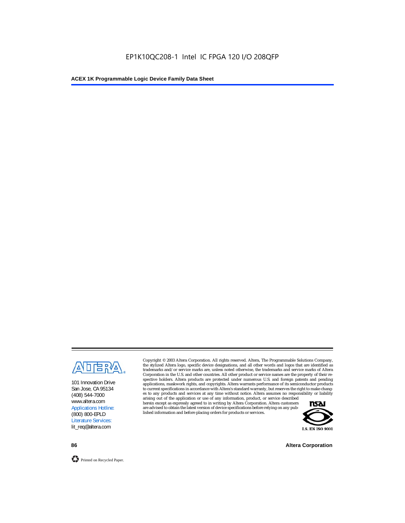

101 Innovation Drive San Jose, CA 95134 (408) 544-7000 www.altera.com Applications Hotline: (800) 800-EPLD Literature Services: lit\_req@altera.com

Copyright © 2003 Altera Corporation. All rights reserved. Altera, The Programmable Solutions Company, the stylized Altera logo, specific device designations, and all other words and logos that are identified as trademarks and/or service marks are, unless noted otherwise, the trademarks and service marks of Altera Corporation in the U.S. and other countries. All other product or service names are the property of their respective holders. Altera products are protected under numerous U.S. and foreign patents and pending applications, maskwork rights, and copyrights. Altera warrants performance of its semiconductor products to current specifications in accordance with Altera's standard warranty, but reserves the right to make changes to any products and services at any time without notice. Altera assumes no responsibility or liability

arising out of the application or use of any information, product, or service described herein except as expressly agreed to in writing by Altera Corporation. Altera customers are advised to obtain the latest version of device specifications before relying on any published information and before placing orders for products or services.



**86 Altera Corporation**